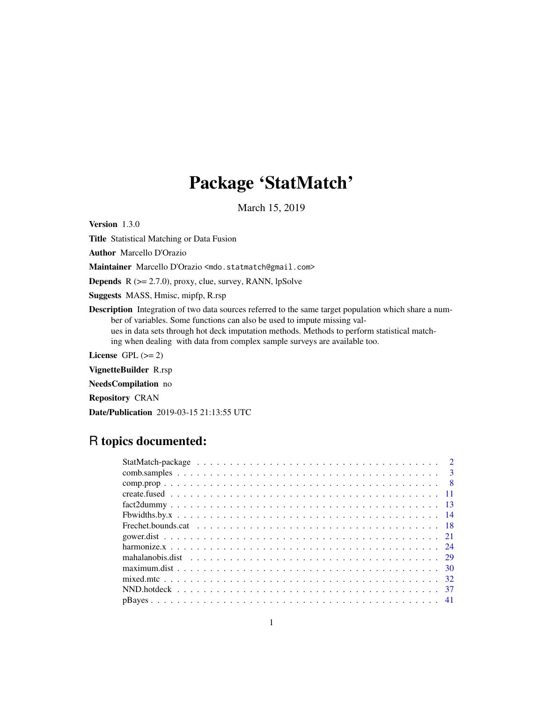## Package 'StatMatch'

March 15, 2019

<span id="page-0-0"></span>Version 1.3.0

Title Statistical Matching or Data Fusion

Author Marcello D'Orazio

Maintainer Marcello D'Orazio <mdo.statmatch@gmail.com>

**Depends**  $R$  ( $>= 2.7.0$ ), proxy, clue, survey, RANN, lpSolve

Suggests MASS, Hmisc, mipfp, R.rsp

Description Integration of two data sources referred to the same target population which share a number of variables. Some functions can also be used to impute missing values in data sets through hot deck imputation methods. Methods to perform statistical matching when dealing with data from complex sample surveys are available too.

License GPL  $(>= 2)$ 

VignetteBuilder R.rsp

NeedsCompilation no

Repository CRAN

Date/Publication 2019-03-15 21:13:55 UTC

## R topics documented: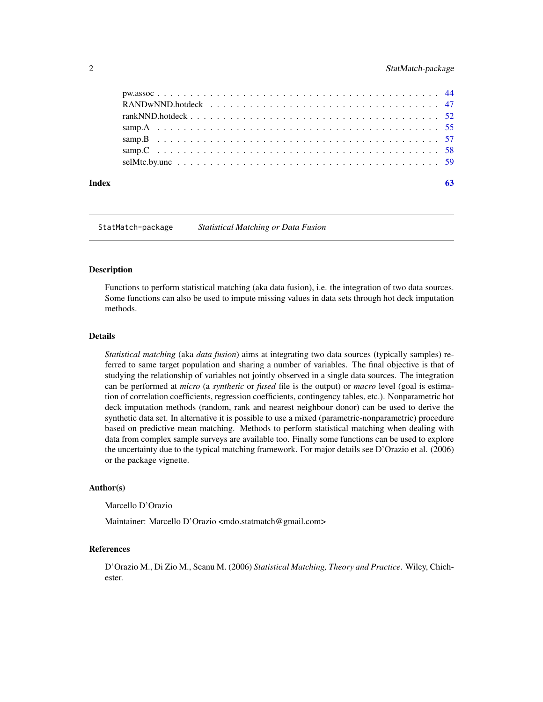<span id="page-1-0"></span>

### $\blacksquare$  Index  $\blacksquare$

StatMatch-package *Statistical Matching or Data Fusion*

#### Description

Functions to perform statistical matching (aka data fusion), i.e. the integration of two data sources. Some functions can also be used to impute missing values in data sets through hot deck imputation methods.

### Details

*Statistical matching* (aka *data fusion*) aims at integrating two data sources (typically samples) referred to same target population and sharing a number of variables. The final objective is that of studying the relationship of variables not jointly observed in a single data sources. The integration can be performed at *micro* (a *synthetic* or *fused* file is the output) or *macro* level (goal is estimation of correlation coefficients, regression coefficients, contingency tables, etc.). Nonparametric hot deck imputation methods (random, rank and nearest neighbour donor) can be used to derive the synthetic data set. In alternative it is possible to use a mixed (parametric-nonparametric) procedure based on predictive mean matching. Methods to perform statistical matching when dealing with data from complex sample surveys are available too. Finally some functions can be used to explore the uncertainty due to the typical matching framework. For major details see D'Orazio et al. (2006) or the package vignette.

### Author(s)

Marcello D'Orazio

Maintainer: Marcello D'Orazio <mdo.statmatch@gmail.com>

### References

D'Orazio M., Di Zio M., Scanu M. (2006) *Statistical Matching, Theory and Practice*. Wiley, Chichester.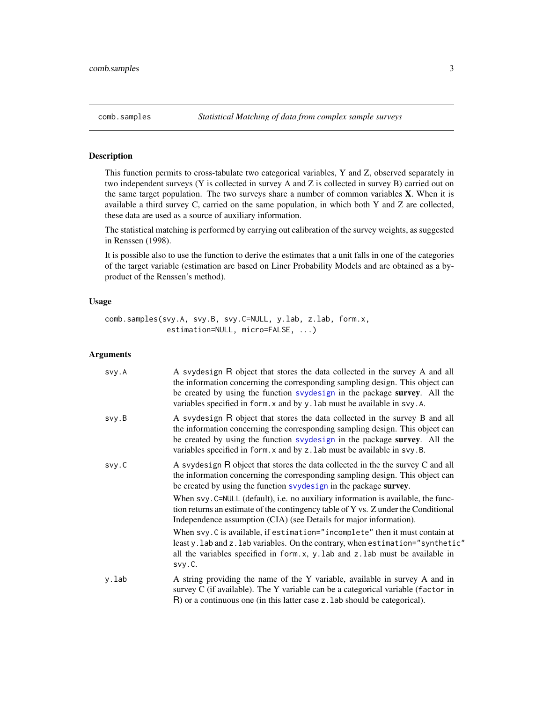### <span id="page-2-1"></span><span id="page-2-0"></span>Description

This function permits to cross-tabulate two categorical variables, Y and Z, observed separately in two independent surveys (Y is collected in survey A and Z is collected in survey B) carried out on the same target population. The two surveys share a number of common variables  $X$ . When it is available a third survey C, carried on the same population, in which both Y and Z are collected, these data are used as a source of auxiliary information.

The statistical matching is performed by carrying out calibration of the survey weights, as suggested in Renssen (1998).

It is possible also to use the function to derive the estimates that a unit falls in one of the categories of the target variable (estimation are based on Liner Probability Models and are obtained as a byproduct of the Renssen's method).

#### Usage

```
comb.samples(svy.A, svy.B, svy.C=NULL, y.lab, z.lab, form.x,
              estimation=NULL, micro=FALSE, ...)
```
### Arguments

| svy.A | A svydesign R object that stores the data collected in the survey A and all<br>the information concerning the corresponding sampling design. This object can<br>be created by using the function svydesign in the package survey. All the<br>variables specified in form. x and by y. lab must be available in svy. A. |
|-------|------------------------------------------------------------------------------------------------------------------------------------------------------------------------------------------------------------------------------------------------------------------------------------------------------------------------|
| svy.B | A syydesign R object that stores the data collected in the survey B and all<br>the information concerning the corresponding sampling design. This object can<br>be created by using the function svydesign in the package survey. All the<br>variables specified in form. x and by z. lab must be available in svy. B. |
| svy.C | A svydesign R object that stores the data collected in the the survey C and all<br>the information concerning the corresponding sampling design. This object can<br>be created by using the function svydesign in the package survey.                                                                                  |
|       | When svy. C=NULL (default), i.e. no auxiliary information is available, the func-<br>tion returns an estimate of the contingency table of Y vs. Z under the Conditional<br>Independence assumption (CIA) (see Details for major information).                                                                          |
|       | When svy. C is available, if estimation="incomplete" then it must contain at<br>leasty. lab and z. lab variables. On the contrary, when estimation="synthetic"<br>all the variables specified in form.x, y.lab and z.lab must be available in<br>svy.C.                                                                |
| y.lab | A string providing the name of the Y variable, available in survey A and in<br>survey C (if available). The Y variable can be a categorical variable (factor in<br>$R$ ) or a continuous one (in this latter case z. lab should be categorical).                                                                       |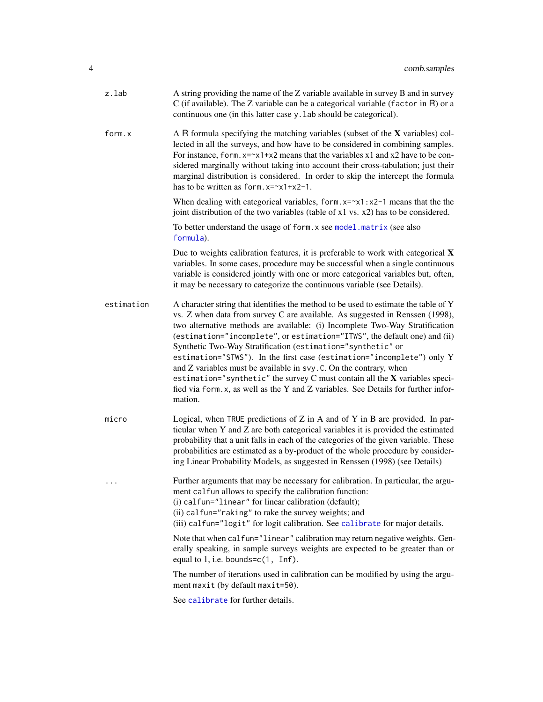<span id="page-3-0"></span>

| z.lab      | A string providing the name of the Z variable available in survey B and in survey<br>C (if available). The Z variable can be a categorical variable (factor in $R$ ) or a<br>continuous one (in this latter case y. lab should be categorical).                                                                                                                                                                                                                                                                                                                                                                                                                                                                                    |
|------------|------------------------------------------------------------------------------------------------------------------------------------------------------------------------------------------------------------------------------------------------------------------------------------------------------------------------------------------------------------------------------------------------------------------------------------------------------------------------------------------------------------------------------------------------------------------------------------------------------------------------------------------------------------------------------------------------------------------------------------|
| form.x     | A R formula specifying the matching variables (subset of the $X$ variables) col-<br>lected in all the surveys, and how have to be considered in combining samples.<br>For instance, form. $x = x1 + x2$ means that the variables x1 and x2 have to be con-<br>sidered marginally without taking into account their cross-tabulation; just their<br>marginal distribution is considered. In order to skip the intercept the formula<br>has to be written as form. $x = x^2 + x^2 - 1$ .                                                                                                                                                                                                                                             |
|            | When dealing with categorical variables, form. $x = x1 : x2 - 1$ means that the the<br>joint distribution of the two variables (table of x1 vs. x2) has to be considered.                                                                                                                                                                                                                                                                                                                                                                                                                                                                                                                                                          |
|            | To better understand the usage of form. x see model. matrix (see also<br>formula).                                                                                                                                                                                                                                                                                                                                                                                                                                                                                                                                                                                                                                                 |
|            | Due to weights calibration features, it is preferable to work with categorical $X$<br>variables. In some cases, procedure may be successful when a single continuous<br>variable is considered jointly with one or more categorical variables but, often,<br>it may be necessary to categorize the continuous variable (see Details).                                                                                                                                                                                                                                                                                                                                                                                              |
| estimation | A character string that identifies the method to be used to estimate the table of Y<br>vs. Z when data from survey C are available. As suggested in Renssen (1998),<br>two alternative methods are available: (i) Incomplete Two-Way Stratification<br>(estimation="incomplete", or estimation="ITWS", the default one) and (ii)<br>Synthetic Two-Way Stratification (estimation="synthetic" or<br>estimation="STWS"). In the first case (estimation="incomplete") only Y<br>and Z variables must be available in svy. C. On the contrary, when<br>estimation="synthetic" the survey $C$ must contain all the $X$ variables speci-<br>fied via form.x, as well as the Y and Z variables. See Details for further infor-<br>mation. |
| micro      | Logical, when TRUE predictions of $Z$ in $A$ and of $Y$ in $B$ are provided. In par-<br>ticular when Y and Z are both categorical variables it is provided the estimated<br>probability that a unit falls in each of the categories of the given variable. These<br>probabilities are estimated as a by-product of the whole procedure by consider-<br>ing Linear Probability Models, as suggested in Renssen (1998) (see Details)                                                                                                                                                                                                                                                                                                 |
| $\cdots$   | Further arguments that may be necessary for calibration. In particular, the argu-<br>ment calfun allows to specify the calibration function:<br>(i) calfun="linear" for linear calibration (default);<br>(ii) calfun="raking" to rake the survey weights; and<br>(iii) calfun="logit" for logit calibration. See calibrate for major details.                                                                                                                                                                                                                                                                                                                                                                                      |
|            | Note that when calfun="linear" calibration may return negative weights. Gen-<br>erally speaking, in sample surveys weights are expected to be greater than or<br>equal to $1$ , i.e. bounds= $c(1, Inf)$ .                                                                                                                                                                                                                                                                                                                                                                                                                                                                                                                         |
|            | The number of iterations used in calibration can be modified by using the argu-<br>ment maxit (by default maxit=50).                                                                                                                                                                                                                                                                                                                                                                                                                                                                                                                                                                                                               |
|            | See calibrate for further details.                                                                                                                                                                                                                                                                                                                                                                                                                                                                                                                                                                                                                                                                                                 |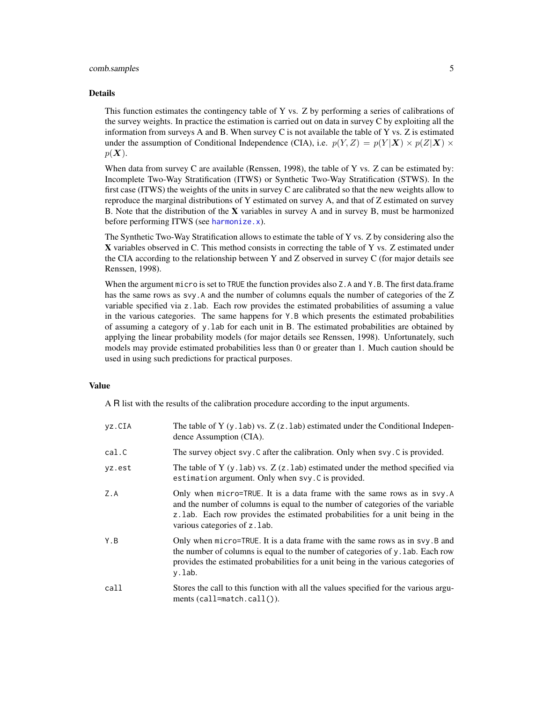### <span id="page-4-0"></span>comb.samples 5

#### Details

This function estimates the contingency table of Y vs. Z by performing a series of calibrations of the survey weights. In practice the estimation is carried out on data in survey C by exploiting all the information from surveys A and B. When survey C is not available the table of Y vs. Z is estimated under the assumption of Conditional Independence (CIA), i.e.  $p(Y, Z) = p(Y|X) \times p(Z|X)$  $p(\boldsymbol{X}).$ 

When data from survey C are available (Renssen, 1998), the table of Y vs. Z can be estimated by: Incomplete Two-Way Stratification (ITWS) or Synthetic Two-Way Stratification (STWS). In the first case (ITWS) the weights of the units in survey C are calibrated so that the new weights allow to reproduce the marginal distributions of Y estimated on survey A, and that of Z estimated on survey B. Note that the distribution of the  $X$  variables in survey A and in survey B, must be harmonized before performing ITWS (see [harmonize.x](#page-23-1)).

The Synthetic Two-Way Stratification allows to estimate the table of Y vs. Z by considering also the X variables observed in C. This method consists in correcting the table of Y vs. Z estimated under the CIA according to the relationship between Y and Z observed in survey C (for major details see Renssen, 1998).

When the argument micro is set to TRUE the function provides also Z.A and Y.B. The first data.frame has the same rows as svy.A and the number of columns equals the number of categories of the Z variable specified via z.lab. Each row provides the estimated probabilities of assuming a value in the various categories. The same happens for Y.B which presents the estimated probabilities of assuming a category of y.lab for each unit in B. The estimated probabilities are obtained by applying the linear probability models (for major details see Renssen, 1998). Unfortunately, such models may provide estimated probabilities less than 0 or greater than 1. Much caution should be used in using such predictions for practical purposes.

### Value

A R list with the results of the calibration procedure according to the input arguments.

| vz.CIA | The table of Y $(y.$ lab) vs. Z $(z.$ lab) estimated under the Conditional Indepen-<br>dence Assumption (CIA).                                                                                                                                                             |
|--------|----------------------------------------------------------------------------------------------------------------------------------------------------------------------------------------------------------------------------------------------------------------------------|
| cal.C  | The survey object svy. C after the calibration. Only when svy. C is provided.                                                                                                                                                                                              |
| vz.est | The table of Y $(y, lab)$ vs. Z $(z, lab)$ estimated under the method specified via<br>estimation argument. Only when svy. C is provided.                                                                                                                                  |
| Z.A    | Only when micro=TRUE. It is a data frame with the same rows as in svy.A<br>and the number of columns is equal to the number of categories of the variable<br>z. lab. Each row provides the estimated probabilities for a unit being in the<br>various categories of z.1ab. |
| Y.B    | Only when micro=TRUE. It is a data frame with the same rows as in svy. B and<br>the number of columns is equal to the number of categories of y. lab. Each row<br>provides the estimated probabilities for a unit being in the various categories of<br>y.lab.             |
| call   | Stores the call to this function with all the values specified for the various argu-<br>ments $(call = match.call())$ .                                                                                                                                                    |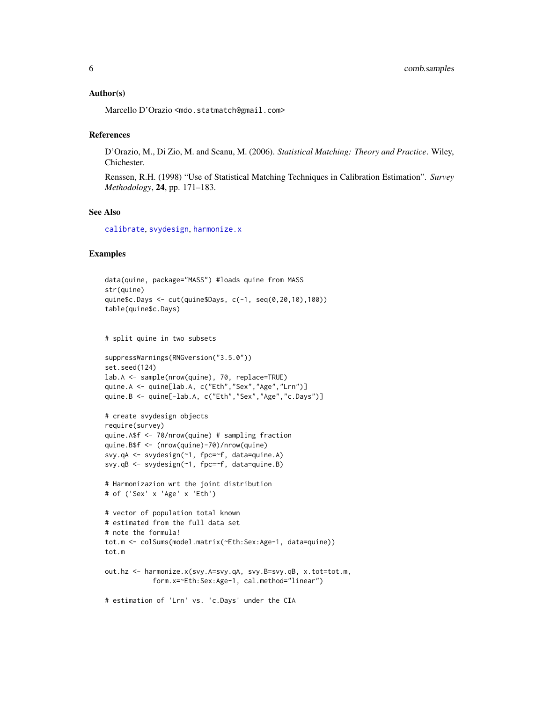### <span id="page-5-0"></span>Author(s)

Marcello D'Orazio <mdo.statmatch@gmail.com>

### References

D'Orazio, M., Di Zio, M. and Scanu, M. (2006). *Statistical Matching: Theory and Practice*. Wiley, Chichester.

Renssen, R.H. (1998) "Use of Statistical Matching Techniques in Calibration Estimation". *Survey Methodology*, 24, pp. 171–183.

### See Also

[calibrate](#page-0-0), [svydesign](#page-0-0), [harmonize.x](#page-23-1)

### Examples

```
data(quine, package="MASS") #loads quine from MASS
str(quine)
quine$c.Days <- cut(quine$Days, c(-1, seq(0,20,10),100))
table(quine$c.Days)
# split quine in two subsets
suppressWarnings(RNGversion("3.5.0"))
set.seed(124)
lab.A <- sample(nrow(quine), 70, replace=TRUE)
quine.A <- quine[lab.A, c("Eth","Sex","Age","Lrn")]
quine.B <- quine[-lab.A, c("Eth","Sex","Age","c.Days")]
# create svydesign objects
require(survey)
quine.A$f <- 70/nrow(quine) # sampling fraction
quine.B$f <- (nrow(quine)-70)/nrow(quine)
svy.qA <- svydesign(~1, fpc=~f, data=quine.A)
svy.qB <- svydesign(~1, fpc=~f, data=quine.B)
# Harmonizazion wrt the joint distribution
# of ('Sex' x 'Age' x 'Eth')
# vector of population total known
# estimated from the full data set
# note the formula!
tot.m <- colSums(model.matrix(~Eth:Sex:Age-1, data=quine))
tot.m
out.hz <- harmonize.x(svy.A=svy.qA, svy.B=svy.qB, x.tot=tot.m,
            form.x=~Eth:Sex:Age-1, cal.method="linear")
# estimation of 'Lrn' vs. 'c.Days' under the CIA
```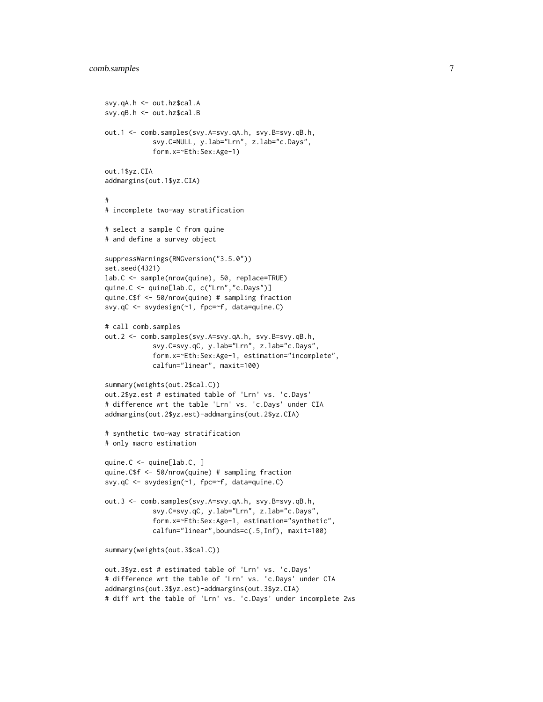```
svy.qA.h <- out.hz$cal.A
svy.qB.h <- out.hz$cal.B
out.1 <- comb.samples(svy.A=svy.qA.h, svy.B=svy.qB.h,
            svy.C=NULL, y.lab="Lrn", z.lab="c.Days",
            form.x=~Eth:Sex:Age-1)
out.1$yz.CIA
addmargins(out.1$yz.CIA)
#
# incomplete two-way stratification
# select a sample C from quine
# and define a survey object
suppressWarnings(RNGversion("3.5.0"))
set.seed(4321)
lab.C <- sample(nrow(quine), 50, replace=TRUE)
quine.C <- quine[lab.C, c("Lrn","c.Days")]
quine.C$f <- 50/nrow(quine) # sampling fraction
svy.qC <- svydesign(~1, fpc=~f, data=quine.C)
# call comb.samples
out.2 <- comb.samples(svy.A=svy.qA.h, svy.B=svy.qB.h,
            svy.C=svy.qC, y.lab="Lrn", z.lab="c.Days",
            form.x=~Eth:Sex:Age-1, estimation="incomplete",
            calfun="linear", maxit=100)
summary(weights(out.2$cal.C))
out.2$yz.est # estimated table of 'Lrn' vs. 'c.Days'
# difference wrt the table 'Lrn' vs. 'c.Days' under CIA
addmargins(out.2$yz.est)-addmargins(out.2$yz.CIA)
# synthetic two-way stratification
# only macro estimation
quine.C <- quine[lab.C, ]
quine.C$f <- 50/nrow(quine) # sampling fraction
svy.qC <- svydesign(~1, fpc=~f, data=quine.C)
out.3 <- comb.samples(svy.A=svy.qA.h, svy.B=svy.qB.h,
            svy.C=svy.qC, y.lab="Lrn", z.lab="c.Days",
            form.x=~Eth:Sex:Age-1, estimation="synthetic",
            calfun="linear",bounds=c(.5,Inf), maxit=100)
summary(weights(out.3$cal.C))
out.3$yz.est # estimated table of 'Lrn' vs. 'c.Days'
# difference wrt the table of 'Lrn' vs. 'c.Days' under CIA
addmargins(out.3$yz.est)-addmargins(out.3$yz.CIA)
# diff wrt the table of 'Lrn' vs. 'c.Days' under incomplete 2ws
```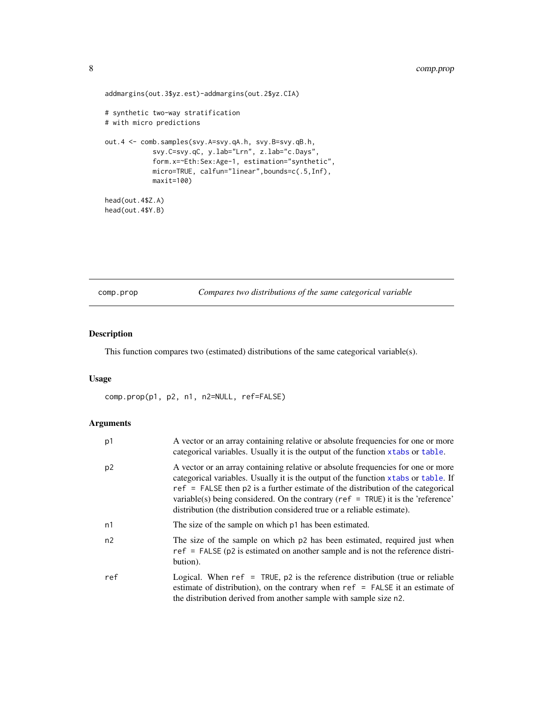### <span id="page-7-0"></span>8 comp.prop

```
addmargins(out.3$yz.est)-addmargins(out.2$yz.CIA)
# synthetic two-way stratification
# with micro predictions
out.4 <- comb.samples(svy.A=svy.qA.h, svy.B=svy.qB.h,
            svy.C=svy.qC, y.lab="Lrn", z.lab="c.Days",
            form.x=~Eth:Sex:Age-1, estimation="synthetic",
            micro=TRUE, calfun="linear",bounds=c(.5,Inf),
            maxit=100)
head(out.4$Z.A)
head(out.4$Y.B)
```
comp.prop *Compares two distributions of the same categorical variable*

### Description

This function compares two (estimated) distributions of the same categorical variable(s).

#### Usage

comp.prop(p1, p2, n1, n2=NULL, ref=FALSE)

### Arguments

| p1  | A vector or an array containing relative or absolute frequencies for one or more<br>categorical variables. Usually it is the output of the function xtabs or table.                                                                                                                                                                                                                                                             |
|-----|---------------------------------------------------------------------------------------------------------------------------------------------------------------------------------------------------------------------------------------------------------------------------------------------------------------------------------------------------------------------------------------------------------------------------------|
| p2  | A vector or an array containing relative or absolute frequencies for one or more<br>categorical variables. Usually it is the output of the function xtabs or table. If<br>$ref$ = FALSE then p2 is a further estimate of the distribution of the categorical<br>variable(s) being considered. On the contrary ( $ref = TRUE$ ) it is the 'reference'<br>distribution (the distribution considered true or a reliable estimate). |
| n1  | The size of the sample on which p1 has been estimated.                                                                                                                                                                                                                                                                                                                                                                          |
| n2  | The size of the sample on which p2 has been estimated, required just when<br>$ref = FALSE (p2 is estimated on another sample and is not the reference distri-$<br>bution).                                                                                                                                                                                                                                                      |
| ref | Logical. When $ref = TRUE$ , p2 is the reference distribution (true or reliable<br>estimate of distribution), on the contrary when $ref = FALSE$ it an estimate of<br>the distribution derived from another sample with sample size n2.                                                                                                                                                                                         |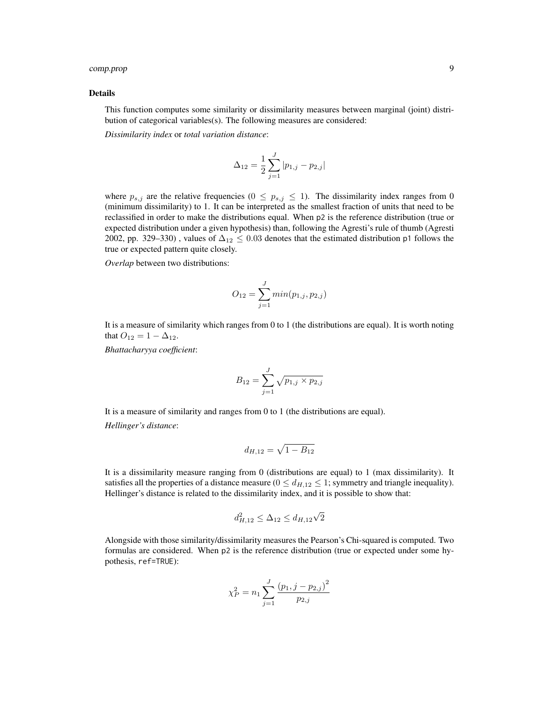### comp.prop 9

#### Details

This function computes some similarity or dissimilarity measures between marginal (joint) distribution of categorical variables(s). The following measures are considered:

*Dissimilarity index* or *total variation distance*:

$$
\Delta_{12} = \frac{1}{2} \sum_{j=1}^{J} |p_{1,j} - p_{2,j}|
$$

where  $p_{s,j}$  are the relative frequencies ( $0 \leq p_{s,j} \leq 1$ ). The dissimilarity index ranges from 0 (minimum dissimilarity) to 1. It can be interpreted as the smallest fraction of units that need to be reclassified in order to make the distributions equal. When p2 is the reference distribution (true or expected distribution under a given hypothesis) than, following the Agresti's rule of thumb (Agresti 2002, pp. 329–330), values of  $\Delta_{12} \leq 0.03$  denotes that the estimated distribution p1 follows the true or expected pattern quite closely.

*Overlap* between two distributions:

$$
O_{12} = \sum_{j=1}^{J} min(p_{1,j}, p_{2,j})
$$

It is a measure of similarity which ranges from 0 to 1 (the distributions are equal). It is worth noting that  $O_{12} = 1 - \Delta_{12}$ .

*Bhattacharyya coefficient*:

$$
B_{12} = \sum_{j=1}^{J} \sqrt{p_{1,j} \times p_{2,j}}
$$

It is a measure of similarity and ranges from 0 to 1 (the distributions are equal). *Hellinger's distance*:

$$
d_{H,12} = \sqrt{1 - B_{12}}
$$

It is a dissimilarity measure ranging from 0 (distributions are equal) to 1 (max dissimilarity). It satisfies all the properties of a distance measure ( $0 \le d_{H,12} \le 1$ ; symmetry and triangle inequality). Hellinger's distance is related to the dissimilarity index, and it is possible to show that:

$$
d_{H,12}^2 \le \Delta_{12} \le d_{H,12}\sqrt{2}
$$

Alongside with those similarity/dissimilarity measures the Pearson's Chi-squared is computed. Two formulas are considered. When p2 is the reference distribution (true or expected under some hypothesis, ref=TRUE):

$$
\chi_P^2 = n_1 \sum_{j=1}^J \frac{(p_1, j - p_{2,j})^2}{p_{2,j}}
$$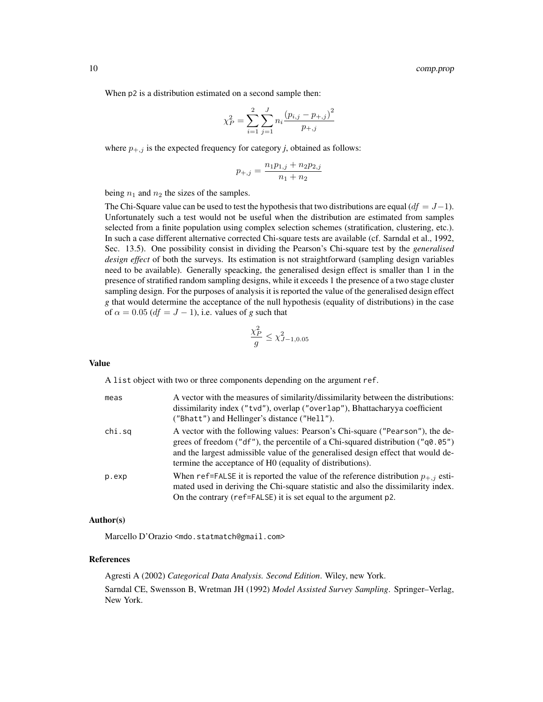When  $p2$  is a distribution estimated on a second sample then:

$$
\chi_P^2 = \sum_{i=1}^2 \sum_{j=1}^J n_i \frac{\left(p_{i,j} - p_{+,j}\right)^2}{p_{+,j}}
$$

where  $p_{+,j}$  is the expected frequency for category *j*, obtained as follows:

$$
p_{+,j} = \frac{n_1 p_{1,j} + n_2 p_{2,j}}{n_1 + n_2}
$$

being  $n_1$  and  $n_2$  the sizes of the samples.

The Chi-Square value can be used to test the hypothesis that two distributions are equal  $(df = J - 1)$ . Unfortunately such a test would not be useful when the distribution are estimated from samples selected from a finite population using complex selection schemes (stratification, clustering, etc.). In such a case different alternative corrected Chi-square tests are available (cf. Sarndal et al., 1992, Sec. 13.5). One possibility consist in dividing the Pearson's Chi-square test by the *generalised design effect* of both the surveys. Its estimation is not straightforward (sampling design variables need to be available). Generally speacking, the generalised design effect is smaller than 1 in the presence of stratified random sampling designs, while it exceeds 1 the presence of a two stage cluster sampling design. For the purposes of analysis it is reported the value of the generalised design effect *g* that would determine the acceptance of the null hypothesis (equality of distributions) in the case of  $\alpha = 0.05$  ( $df = J - 1$ ), i.e. values of *g* such that

$$
\frac{\chi_P^2}{g} \le \chi_{J-1,0.05}^2
$$

### Value

A list object with two or three components depending on the argument ref.

| meas   | A vector with the measures of similarity/dissimilarity between the distributions:<br>dissimilarity index ("tvd"), overlap ("overlap"), Bhattacharyya coefficient<br>("Bhatt") and Hellinger's distance ("Hell").                                                                                                      |
|--------|-----------------------------------------------------------------------------------------------------------------------------------------------------------------------------------------------------------------------------------------------------------------------------------------------------------------------|
| chi.sq | A vector with the following values: Pearson's Chi-square ("Pearson"), the de-<br>grees of freedom ("df"), the percentile of a Chi-squared distribution (" $q0.05$ ")<br>and the largest admissible value of the generalised design effect that would de-<br>termine the acceptance of HO (equality of distributions). |
| p.exp  | When ref=FALSE it is reported the value of the reference distribution $p_{+,i}$ esti-<br>mated used in deriving the Chi-square statistic and also the dissimilarity index.<br>On the contrary (ref=FALSE) it is set equal to the argument p2.                                                                         |

### Author(s)

Marcello D'Orazio <mdo.statmatch@gmail.com>

#### References

Agresti A (2002) *Categorical Data Analysis. Second Edition*. Wiley, new York. Sarndal CE, Swensson B, Wretman JH (1992) *Model Assisted Survey Sampling*. Springer–Verlag, New York.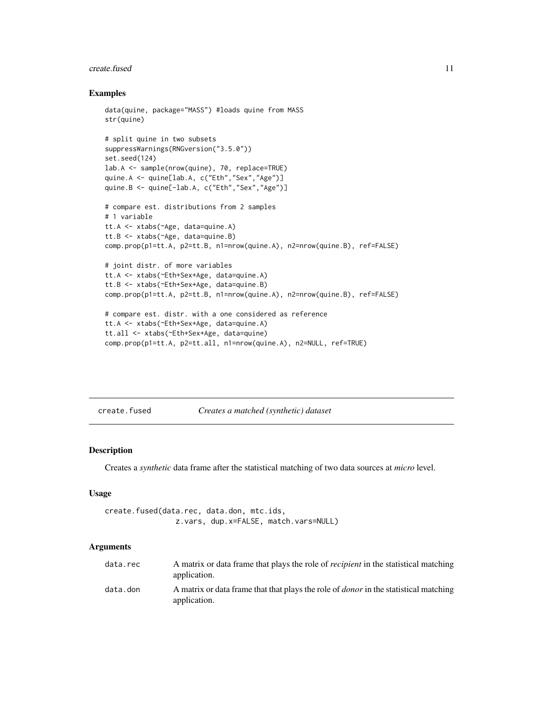#### <span id="page-10-0"></span>create.fused 11

### Examples

```
data(quine, package="MASS") #loads quine from MASS
str(quine)
# split quine in two subsets
suppressWarnings(RNGversion("3.5.0"))
set.seed(124)
lab.A <- sample(nrow(quine), 70, replace=TRUE)
quine.A <- quine[lab.A, c("Eth","Sex","Age")]
quine.B <- quine[-lab.A, c("Eth","Sex","Age")]
# compare est. distributions from 2 samples
# 1 variable
tt.A <- xtabs(~Age, data=quine.A)
tt.B <- xtabs(~Age, data=quine.B)
comp.prop(p1=tt.A, p2=tt.B, n1=nrow(quine.A), n2=nrow(quine.B), ref=FALSE)
# joint distr. of more variables
tt.A <- xtabs(~Eth+Sex+Age, data=quine.A)
tt.B <- xtabs(~Eth+Sex+Age, data=quine.B)
comp.prop(p1=tt.A, p2=tt.B, n1=nrow(quine.A), n2=nrow(quine.B), ref=FALSE)
# compare est. distr. with a one considered as reference
tt.A <- xtabs(~Eth+Sex+Age, data=quine.A)
tt.all <- xtabs(~Eth+Sex+Age, data=quine)
comp.prop(p1=tt.A, p2=tt.all, n1=nrow(quine.A), n2=NULL, ref=TRUE)
```
create.fused *Creates a matched (synthetic) dataset*

### Description

Creates a *synthetic* data frame after the statistical matching of two data sources at *micro* level.

#### Usage

```
create.fused(data.rec, data.don, mtc.ids,
                z.vars, dup.x=FALSE, match.vars=NULL)
```
### Arguments

| data.rec | A matrix or data frame that plays the role of <i>recipient</i> in the statistical matching<br>application.  |
|----------|-------------------------------------------------------------------------------------------------------------|
| data.don | A matrix or data frame that that plays the role of <i>donor</i> in the statistical matching<br>application. |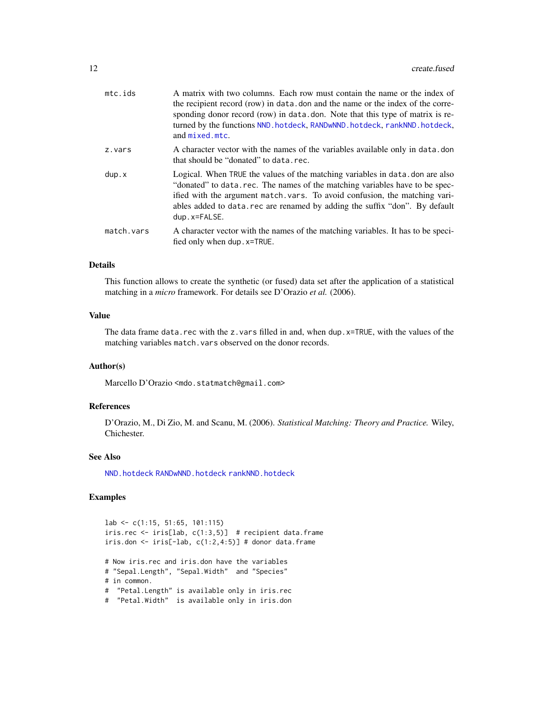<span id="page-11-0"></span>

| mtc.ids    | A matrix with two columns. Each row must contain the name or the index of<br>the recipient record (row) in data, don and the name or the index of the corre-<br>sponding donor record (row) in data.don. Note that this type of matrix is re-<br>turned by the functions NND. hotdeck, RANDwNND. hotdeck, rankNND. hotdeck,<br>and mixed.mtc. |
|------------|-----------------------------------------------------------------------------------------------------------------------------------------------------------------------------------------------------------------------------------------------------------------------------------------------------------------------------------------------|
| z.vars     | A character vector with the names of the variables available only in data.don<br>that should be "donated" to data.rec.                                                                                                                                                                                                                        |
| dup.x      | Logical. When TRUE the values of the matching variables in data, don are also<br>"donated" to data.rec. The names of the matching variables have to be spec-<br>ified with the argument match vars. To avoid confusion, the matching vari-<br>ables added to data, rec are renamed by adding the suffix "don". By default<br>$dup.x = FALSE.$ |
| match.vars | A character vector with the names of the matching variables. It has to be speci-<br>fied only when dup. x=TRUE.                                                                                                                                                                                                                               |
|            |                                                                                                                                                                                                                                                                                                                                               |

### Details

This function allows to create the synthetic (or fused) data set after the application of a statistical matching in a *micro* framework. For details see D'Orazio *et al.* (2006).

### Value

The data frame data.rec with the z.vars filled in and, when dup. $x$ =TRUE, with the values of the matching variables match.vars observed on the donor records.

### Author(s)

Marcello D'Orazio <mdo.statmatch@gmail.com>

### References

D'Orazio, M., Di Zio, M. and Scanu, M. (2006). *Statistical Matching: Theory and Practice.* Wiley, Chichester.

### See Also

[NND.hotdeck](#page-36-1) [RANDwNND.hotdeck](#page-46-1) [rankNND.hotdeck](#page-51-1)

### Examples

lab <- c(1:15, 51:65, 101:115) iris.rec <- iris[lab, c(1:3,5)] # recipient data.frame iris.don <- iris[-lab,  $c(1:2,4:5)$ ] # donor data.frame # Now iris.rec and iris.don have the variables # "Sepal.Length", "Sepal.Width" and "Species" # in common. # "Petal.Length" is available only in iris.rec # "Petal.Width" is available only in iris.don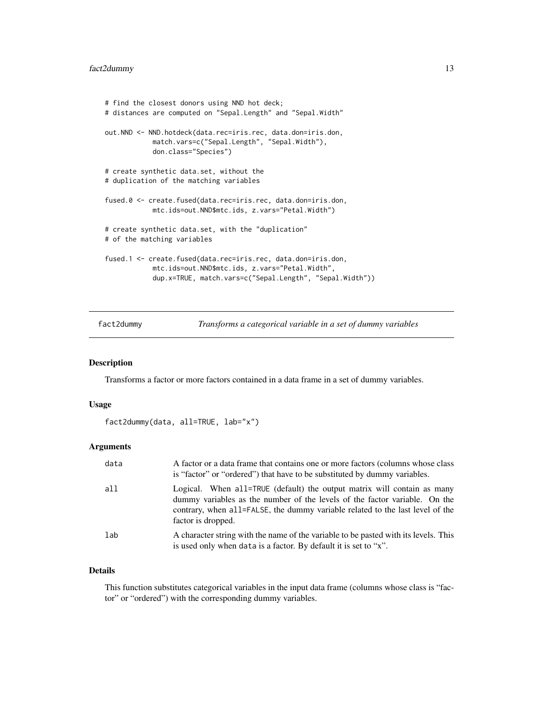```
# find the closest donors using NND hot deck;
# distances are computed on "Sepal.Length" and "Sepal.Width"
out.NND <- NND.hotdeck(data.rec=iris.rec, data.don=iris.don,
            match.vars=c("Sepal.Length", "Sepal.Width"),
            don.class="Species")
# create synthetic data.set, without the
# duplication of the matching variables
fused.0 <- create.fused(data.rec=iris.rec, data.don=iris.don,
            mtc.ids=out.NND$mtc.ids, z.vars="Petal.Width")
# create synthetic data.set, with the "duplication"
# of the matching variables
fused.1 <- create.fused(data.rec=iris.rec, data.don=iris.don,
            mtc.ids=out.NND$mtc.ids, z.vars="Petal.Width",
            dup.x=TRUE, match.vars=c("Sepal.Length", "Sepal.Width"))
```
fact2dummy *Transforms a categorical variable in a set of dummy variables*

#### Description

Transforms a factor or more factors contained in a data frame in a set of dummy variables.

#### Usage

```
fact2dummy(data, all=TRUE, lab="x")
```
### Arguments

| data | A factor or a data frame that contains one or more factors (columns whose class)<br>is "factor" or "ordered") that have to be substituted by dummy variables.                                                                                                |
|------|--------------------------------------------------------------------------------------------------------------------------------------------------------------------------------------------------------------------------------------------------------------|
| all  | Logical. When all=TRUE (default) the output matrix will contain as many<br>dummy variables as the number of the levels of the factor variable. On the<br>contrary, when all=FALSE, the dummy variable related to the last level of the<br>factor is dropped. |
| lab  | A character string with the name of the variable to be pasted with its levels. This<br>is used only when data is a factor. By default it is set to "x".                                                                                                      |

### Details

This function substitutes categorical variables in the input data frame (columns whose class is "factor" or "ordered") with the corresponding dummy variables.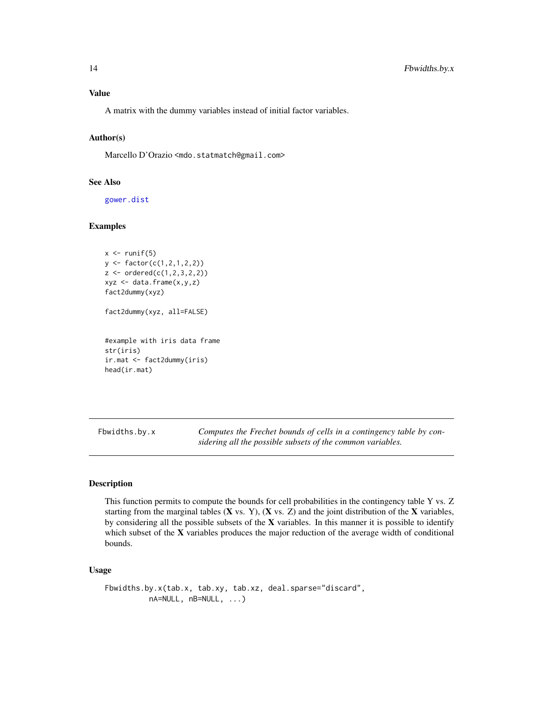<span id="page-13-0"></span>A matrix with the dummy variables instead of initial factor variables.

### Author(s)

Marcello D'Orazio <mdo.statmatch@gmail.com>

#### See Also

[gower.dist](#page-20-1)

### Examples

```
x \leftarrow runif(5)y <- factor(c(1,2,1,2,2))
z <- ordered(c(1,2,3,2,2))
xyz <- data.frame(x,y,z)
fact2dummy(xyz)
fact2dummy(xyz, all=FALSE)
#example with iris data frame
str(iris)
ir.mat <- fact2dummy(iris)
head(ir.mat)
```
<span id="page-13-1"></span>Fbwidths.by.x *Computes the Frechet bounds of cells in a contingency table by considering all the possible subsets of the common variables.*

### Description

This function permits to compute the bounds for cell probabilities in the contingency table Y vs. Z starting from the marginal tables  $(X \text{ vs. } Y)$ ,  $(X \text{ vs. } Z)$  and the joint distribution of the  $X$  variables, by considering all the possible subsets of the X variables. In this manner it is possible to identify which subset of the X variables produces the major reduction of the average width of conditional bounds.

### Usage

Fbwidths.by.x(tab.x, tab.xy, tab.xz, deal.sparse="discard", nA=NULL, nB=NULL, ...)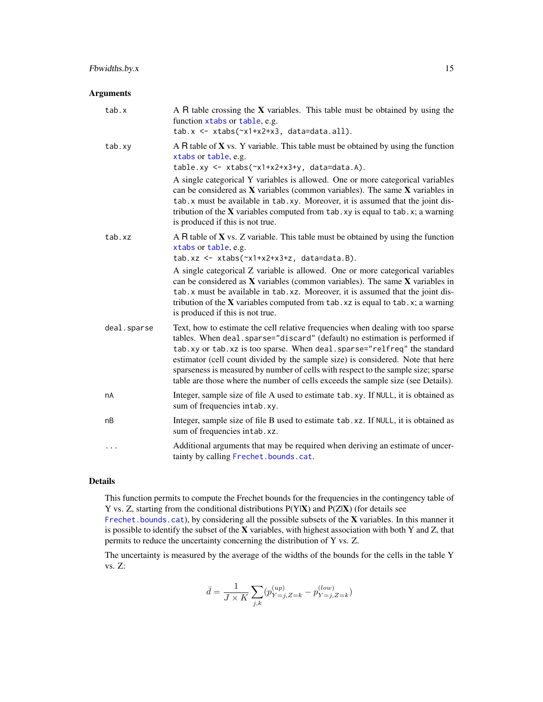### <span id="page-14-0"></span>Arguments

| A R table crossing the $X$ variables. This table must be obtained by using the<br>function xtabs or table, e.g.<br>$tab.x \leftarrow x \text{tabs}(\text{rx1+x2+x3}, data=data.a11).$                                                                                                                                                                                                                                                                                                                 |
|-------------------------------------------------------------------------------------------------------------------------------------------------------------------------------------------------------------------------------------------------------------------------------------------------------------------------------------------------------------------------------------------------------------------------------------------------------------------------------------------------------|
| A R table of $X$ vs. Y variable. This table must be obtained by using the function<br>xtabs or table, e.g.<br>$tablexy \leftarrow x tabs(\gamma x1+x2+x3+y, data=data.A).$                                                                                                                                                                                                                                                                                                                            |
| A single categorical Y variables is allowed. One or more categorical variables<br>can be considered as $X$ variables (common variables). The same $X$ variables in<br>tab. x must be available in tab. xy. Moreover, it is assumed that the joint dis-<br>tribution of the $X$ variables computed from $tab. xy$ is equal to $tab. x; a warning$<br>is produced if this is not true.                                                                                                                  |
| A R table of $X$ vs. Z variable. This table must be obtained by using the function<br>xtabs or table, e.g.<br>$tab.xz \leftarrow x tabs(\sim x1+x2+x3+z, data=data.B).$                                                                                                                                                                                                                                                                                                                               |
| A single categorical Z variable is allowed. One or more categorical variables<br>can be considered as $X$ variables (common variables). The same $X$ variables in<br>tab. x must be available in tab. xz. Moreover, it is assumed that the joint dis-<br>tribution of the $X$ variables computed from $tab.xz$ is equal to $tab.x; a warning$<br>is produced if this is not true.                                                                                                                     |
| Text, how to estimate the cell relative frequencies when dealing with too sparse<br>tables. When deal.sparse="discard" (default) no estimation is performed if<br>tab.xy or tab.xz is too sparse. When deal.sparse="relfreq" the standard<br>estimator (cell count divided by the sample size) is considered. Note that here<br>sparseness is measured by number of cells with respect to the sample size; sparse<br>table are those where the number of cells exceeds the sample size (see Details). |
| Integer, sample size of file A used to estimate tab.xy. If NULL, it is obtained as<br>sum of frequencies intab.xy.                                                                                                                                                                                                                                                                                                                                                                                    |
| Integer, sample size of file B used to estimate tab. xz. If NULL, it is obtained as<br>sum of frequencies intab.xz.                                                                                                                                                                                                                                                                                                                                                                                   |
| Additional arguments that may be required when deriving an estimate of uncer-<br>tainty by calling Frechet.bounds.cat.                                                                                                                                                                                                                                                                                                                                                                                |
|                                                                                                                                                                                                                                                                                                                                                                                                                                                                                                       |

### Details

This function permits to compute the Frechet bounds for the frequencies in the contingency table of Y vs. Z, starting from the conditional distributions  $P(Y|X)$  and  $P(Z|X)$  (for details see

[Frechet.bounds.cat](#page-17-1)), by considering all the possible subsets of the X variables. In this manner it is possible to identify the subset of the X variables, with highest association with both Y and Z, that permits to reduce the uncertainty concerning the distribution of Y vs. Z.

The uncertainty is measured by the average of the widths of the bounds for the cells in the table Y vs. Z:

$$
\bar{d} = \frac{1}{J \times K} \sum_{j,k} (p_{Y=j,Z=k}^{(up)} - p_{Y=j,Z=k}^{(low)})
$$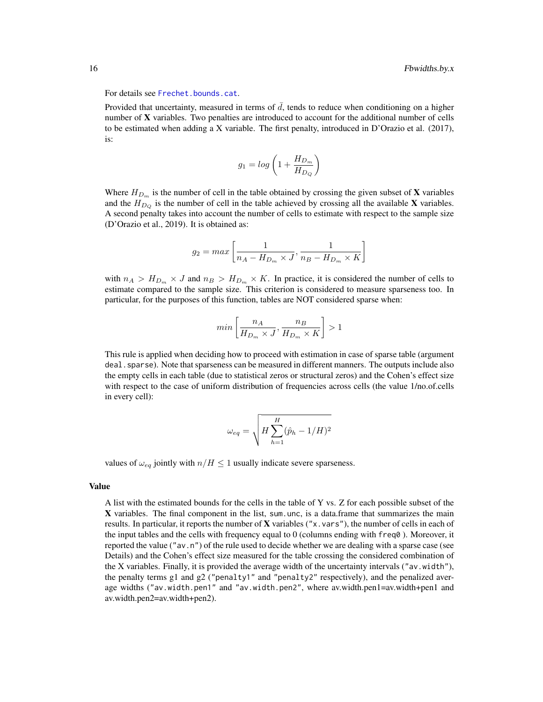For details see [Frechet.bounds.cat](#page-17-1).

Provided that uncertainty, measured in terms of  $\bar{d}$ , tends to reduce when conditioning on a higher number of  $X$  variables. Two penalties are introduced to account for the additional number of cells to be estimated when adding a X variable. The first penalty, introduced in D'Orazio et al. (2017), is:

$$
g_1 = \log\left(1 + \frac{H_{D_m}}{H_{D_Q}}\right)
$$

Where  $H_{D_m}$  is the number of cell in the table obtained by crossing the given subset of **X** variables and the  $H_{D<sub>o</sub>}$  is the number of cell in the table achieved by crossing all the available X variables. A second penalty takes into account the number of cells to estimate with respect to the sample size (D'Orazio et al., 2019). It is obtained as:

$$
g_2 = max\left[\frac{1}{n_A - H_{D_m} \times J}, \frac{1}{n_B - H_{D_m} \times K}\right]
$$

with  $n_A > H_{D_m} \times J$  and  $n_B > H_{D_m} \times K$ . In practice, it is considered the number of cells to estimate compared to the sample size. This criterion is considered to measure sparseness too. In particular, for the purposes of this function, tables are NOT considered sparse when:

$$
min\left[\frac{n_A}{H_{D_m} \times J}, \frac{n_B}{H_{D_m} \times K}\right] > 1
$$

This rule is applied when deciding how to proceed with estimation in case of sparse table (argument deal. sparse). Note that sparseness can be measured in different manners. The outputs include also the empty cells in each table (due to statistical zeros or structural zeros) and the Cohen's effect size with respect to the case of uniform distribution of frequencies across cells (the value 1/no.of.cells in every cell):

$$
\omega_{eq} = \sqrt{H \sum_{h=1}^{H} (\hat{p}_h - 1/H)^2}
$$

values of  $\omega_{eq}$  jointly with  $n/H \leq 1$  usually indicate severe sparseness.

### Value

A list with the estimated bounds for the cells in the table of Y vs. Z for each possible subset of the X variables. The final component in the list, sum unc, is a data.frame that summarizes the main results. In particular, it reports the number of  $\bf{X}$  variables ("x, vars"), the number of cells in each of the input tables and the cells with frequency equal to 0 (columns ending with freq0 ). Moreover, it reported the value ("av.n") of the rule used to decide whether we are dealing with a sparse case (see Details) and the Cohen's effect size measured for the table crossing the considered combination of the X variables. Finally, it is provided the average width of the uncertainty intervals ("av.width"), the penalty terms g1 and  $g2$  ("penalty1" and "penalty2" respectively), and the penalized average widths ("av.width.pen1" and "av.width.pen2", where av.width.pen1=av.width+pen1 and av.width.pen2=av.width+pen2).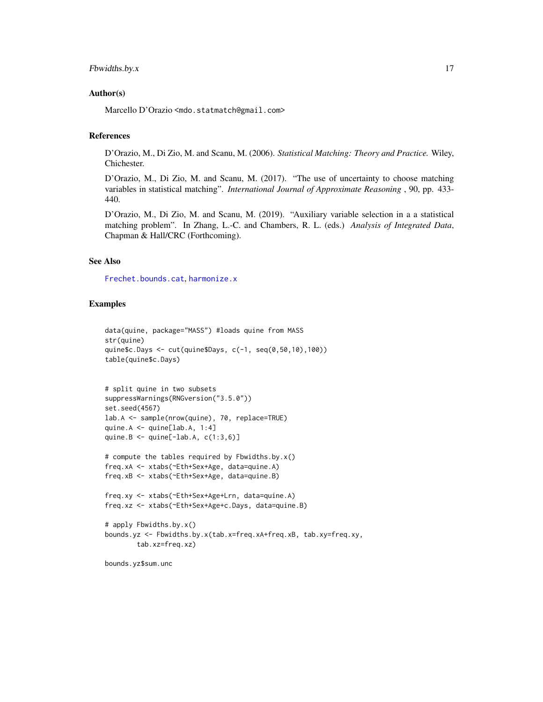### <span id="page-16-0"></span>Fbwidths.by.x 17

### Author(s)

Marcello D'Orazio <mdo.statmatch@gmail.com>

### References

D'Orazio, M., Di Zio, M. and Scanu, M. (2006). *Statistical Matching: Theory and Practice.* Wiley, Chichester.

D'Orazio, M., Di Zio, M. and Scanu, M. (2017). "The use of uncertainty to choose matching variables in statistical matching". *International Journal of Approximate Reasoning* , 90, pp. 433- 440.

D'Orazio, M., Di Zio, M. and Scanu, M. (2019). "Auxiliary variable selection in a a statistical matching problem". In Zhang, L.-C. and Chambers, R. L. (eds.) *Analysis of Integrated Data*, Chapman & Hall/CRC (Forthcoming).

### See Also

[Frechet.bounds.cat](#page-17-1), [harmonize.x](#page-23-1)

### Examples

```
data(quine, package="MASS") #loads quine from MASS
str(quine)
quine$c.Days <- cut(quine$Days, c(-1, seq(0,50,10),100))
table(quine$c.Days)
```

```
# split quine in two subsets
suppressWarnings(RNGversion("3.5.0"))
set.seed(4567)
lab.A <- sample(nrow(quine), 70, replace=TRUE)
quine.A <- quine[lab.A, 1:4]
quine.B \leq quine[-lab.A, c(1:3,6)]
```

```
# compute the tables required by Fbwidths.by.x()
freq.xA <- xtabs(~Eth+Sex+Age, data=quine.A)
freq.xB <- xtabs(~Eth+Sex+Age, data=quine.B)
```

```
freq.xy <- xtabs(~Eth+Sex+Age+Lrn, data=quine.A)
freq.xz <- xtabs(~Eth+Sex+Age+c.Days, data=quine.B)
```

```
# apply Fbwidths.by.x()
bounds.yz <- Fbwidths.by.x(tab.x=freq.xA+freq.xB, tab.xy=freq.xy,
       tab.xz=freq.xz)
```
bounds.yz\$sum.unc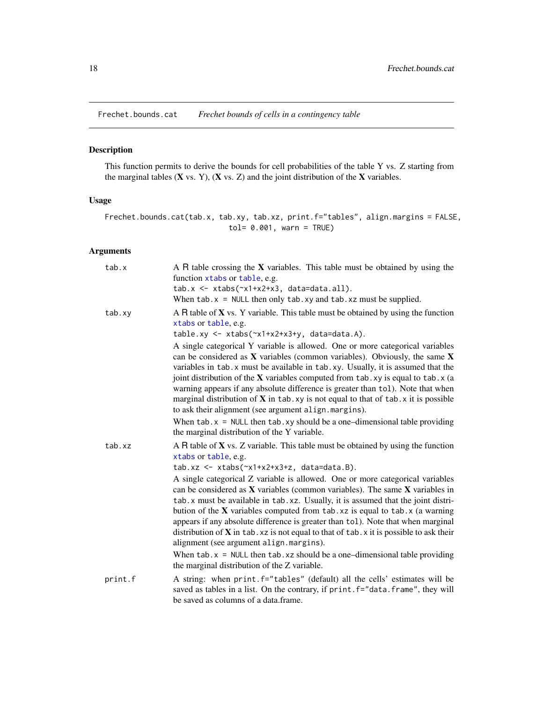<span id="page-17-1"></span><span id="page-17-0"></span>Frechet.bounds.cat *Frechet bounds of cells in a contingency table*

### Description

This function permits to derive the bounds for cell probabilities of the table Y vs. Z starting from the marginal tables  $(X \text{ vs. } Y)$ ,  $(X \text{ vs. } Z)$  and the joint distribution of the  $X$  variables.

### Usage

Frechet.bounds.cat(tab.x, tab.xy, tab.xz, print.f="tables", align.margins = FALSE, tol= 0.001, warn = TRUE)

### Arguments

| tab.x   | A R table crossing the $X$ variables. This table must be obtained by using the<br>function xtabs or table, e.g.<br>$tab.x \leftarrow x \cdot abs(\neg x1 + x2 + x3, data = data.a11).$<br>When $tab.x = NULL$ then only $tab.xy$ and $tab.xz$ must be supplied.                                                                                                                                                                                                                                                                                                                                                                                                                                                  |
|---------|------------------------------------------------------------------------------------------------------------------------------------------------------------------------------------------------------------------------------------------------------------------------------------------------------------------------------------------------------------------------------------------------------------------------------------------------------------------------------------------------------------------------------------------------------------------------------------------------------------------------------------------------------------------------------------------------------------------|
| tab.xy  | A R table of $X$ vs. Y variable. This table must be obtained by using the function<br>xtabs or table, e.g.<br>$tablexy \leftarrow x tabs(\gamma x1+x2+x3+y, data=data.A).$                                                                                                                                                                                                                                                                                                                                                                                                                                                                                                                                       |
|         | A single categorical Y variable is allowed. One or more categorical variables<br>can be considered as $X$ variables (common variables). Obviously, the same $X$<br>variables in tab. x must be available in tab. xy. Usually, it is assumed that the<br>joint distribution of the $X$ variables computed from tab. xy is equal to tab. x (a<br>warning appears if any absolute difference is greater than tol). Note that when<br>marginal distribution of $X$ in tab. xy is not equal to that of tab. x it is possible<br>to ask their alignment (see argument align.margins).<br>When $tab.x = NULL$ then $tab.xy$ should be a one-dimensional table providing<br>the marginal distribution of the Y variable. |
| tab.xz  | A R table of <b>X</b> vs. Z variable. This table must be obtained by using the function<br>xtabs or table, e.g.<br>$tab.xz \leftarrow x tabs(\sim x1+x2+x3+z, data=data.B).$<br>A single categorical Z variable is allowed. One or more categorical variables<br>can be considered as $X$ variables (common variables). The same $X$ variables in<br>tab. x must be available in tab. xz. Usually, it is assumed that the joint distri-<br>bution of the $X$ variables computed from $tab.xz$ is equal to $tab.x$ (a warning                                                                                                                                                                                     |
|         | appears if any absolute difference is greater than tol). Note that when marginal<br>distribution of $X$ in tab. xz is not equal to that of tab. x it is possible to ask their<br>alignment (see argument align.margins).                                                                                                                                                                                                                                                                                                                                                                                                                                                                                         |
|         | When $tab.x = NULL$ then $tab.xz$ should be a one-dimensional table providing<br>the marginal distribution of the Z variable.                                                                                                                                                                                                                                                                                                                                                                                                                                                                                                                                                                                    |
| print.f | A string: when print.f="tables" (default) all the cells' estimates will be<br>saved as tables in a list. On the contrary, if print. f="data. frame", they will<br>be saved as columns of a data.frame.                                                                                                                                                                                                                                                                                                                                                                                                                                                                                                           |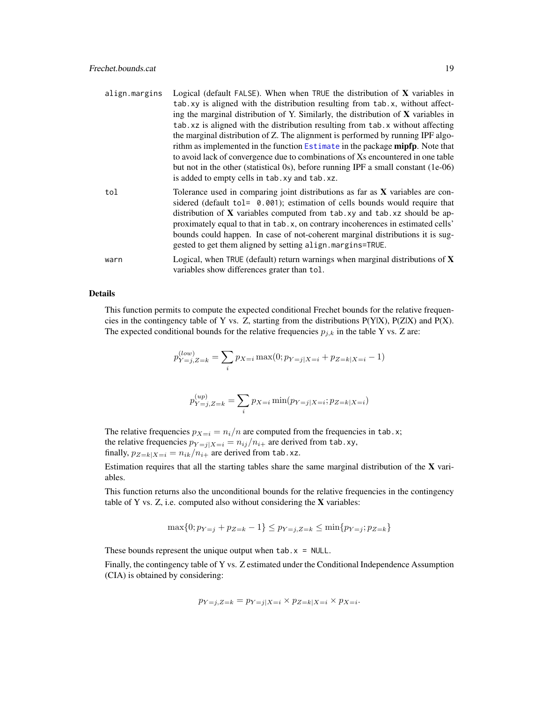<span id="page-18-0"></span>

| align.margins | Logical (default FALSE). When when TRUE the distribution of $X$ variables in<br>tab.xy is aligned with the distribution resulting from tab.x, without affect-<br>ing the marginal distribution of Y. Similarly, the distribution of $X$ variables in<br>tab. xz is aligned with the distribution resulting from tab. x without affecting<br>the marginal distribution of Z. The alignment is performed by running IPF algo-<br>rithm as implemented in the function Estimate in the package mipfp. Note that<br>to avoid lack of convergence due to combinations of Xs encountered in one table<br>but not in the other (statistical 0s), before running IPF a small constant (1e-06)<br>is added to empty cells in tab. xy and tab. xz. |
|---------------|------------------------------------------------------------------------------------------------------------------------------------------------------------------------------------------------------------------------------------------------------------------------------------------------------------------------------------------------------------------------------------------------------------------------------------------------------------------------------------------------------------------------------------------------------------------------------------------------------------------------------------------------------------------------------------------------------------------------------------------|
| tol           | Tolerance used in comparing joint distributions as far as $X$ variables are con-<br>sidered (default tol= 0.001); estimation of cells bounds would require that<br>distribution of X variables computed from tab.xy and tab.xz should be ap-<br>proximately equal to that in tab. x, on contrary incoherences in estimated cells'<br>bounds could happen. In case of not-coherent marginal distributions it is sug-<br>gested to get them aligned by setting align. margins=TRUE.                                                                                                                                                                                                                                                        |
| warn          | Logical, when TRUE (default) return warnings when marginal distributions of $X$<br>variables show differences grater than tol.                                                                                                                                                                                                                                                                                                                                                                                                                                                                                                                                                                                                           |

### Details

This function permits to compute the expected conditional Frechet bounds for the relative frequencies in the contingency table of Y vs. Z, starting from the distributions P(Y|X), P(Z|X) and P(X). The expected conditional bounds for the relative frequencies  $p_{j,k}$  in the table Y vs. Z are:

$$
p_{Y=j,Z=k}^{(low)} = \sum_{i} p_{X=i} \max(0; p_{Y=j|X=i} + p_{Z=k|X=i} - 1)
$$

$$
p_{Y=j,Z=k}^{(up)} = \sum_{i} p_{X=i} \min(p_{Y=j|X=i}; p_{Z=k|X=i})
$$

The relative frequencies  $p_{X=i} = n_i/n$  are computed from the frequencies in tab.x; the relative frequencies  $p_{Y=j|X=i} = n_{ij}/n_{i+}$  are derived from tab.xy, finally,  $p_{Z=k|X=i} = n_{ik}/n_{i+}$  are derived from tab.xz.

Estimation requires that all the starting tables share the same marginal distribution of the X variables.

This function returns also the unconditional bounds for the relative frequencies in the contingency table of Y vs. Z, i.e. computed also without considering the  $X$  variables:

$$
\max\{0; p_{Y=j} + p_{Z=k} - 1\} \le p_{Y=j, Z=k} \le \min\{p_{Y=j}; p_{Z=k}\}\
$$

These bounds represent the unique output when  $tab.x = NULL$ .

Finally, the contingency table of Y vs. Z estimated under the Conditional Independence Assumption (CIA) is obtained by considering:

$$
p_{Y=j,Z=k} = p_{Y=j|X=i} \times p_{Z=k|X=i} \times p_{X=i}.
$$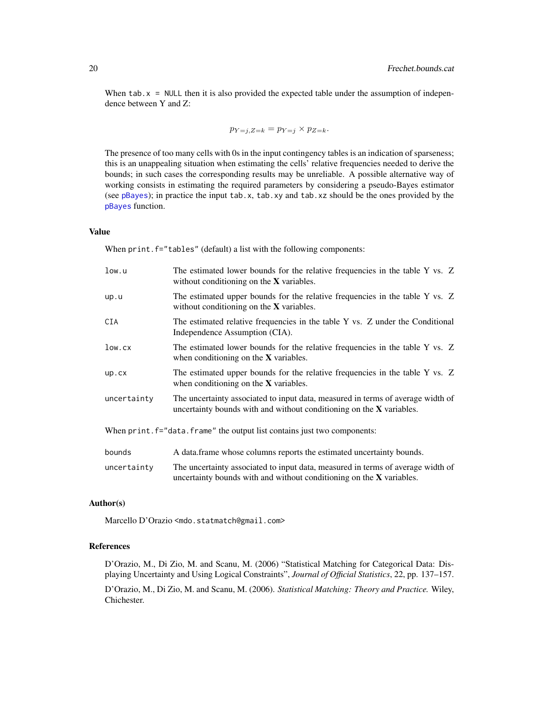<span id="page-19-0"></span>When  $\text{tab. x = NULL}$  then it is also provided the expected table under the assumption of independence between Y and Z:

$$
p_{Y=j,Z=k} = p_{Y=j} \times p_{Z=k}.
$$

The presence of too many cells with 0s in the input contingency tables is an indication of sparseness; this is an unappealing situation when estimating the cells' relative frequencies needed to derive the bounds; in such cases the corresponding results may be unreliable. A possible alternative way of working consists in estimating the required parameters by considering a pseudo-Bayes estimator (see [pBayes](#page-40-1)); in practice the input tab.x, tab.xy and tab.xz should be the ones provided by the [pBayes](#page-40-1) function.

#### Value

When print.f="tables" (default) a list with the following components:

| low.u       | The estimated lower bounds for the relative frequencies in the table Y vs. Z<br>without conditioning on the $X$ variables.                                |
|-------------|-----------------------------------------------------------------------------------------------------------------------------------------------------------|
| up.u        | The estimated upper bounds for the relative frequencies in the table Y vs. Z<br>without conditioning on the $X$ variables.                                |
| CIA         | The estimated relative frequencies in the table Y vs. Z under the Conditional<br>Independence Assumption (CIA).                                           |
| low.cx      | The estimated lower bounds for the relative frequencies in the table Y vs. Z<br>when conditioning on the $X$ variables.                                   |
| up.cx       | The estimated upper bounds for the relative frequencies in the table Y vs. Z<br>when conditioning on the $X$ variables.                                   |
| uncertainty | The uncertainty associated to input data, measured in terms of average width of<br>uncertainty bounds with and without conditioning on the $X$ variables. |
|             | When print. $f = "data. frame"$ the output list contains just two components:                                                                             |
| bounds      | A data frame whose columns reports the estimated uncertainty bounds.                                                                                      |

uncertainty The uncertainty associated to input data, measured in terms of average width of uncertainty bounds with and without conditioning on the X variables.

### Author(s)

Marcello D'Orazio <mdo.statmatch@gmail.com>

### References

D'Orazio, M., Di Zio, M. and Scanu, M. (2006) "Statistical Matching for Categorical Data: Displaying Uncertainty and Using Logical Constraints", *Journal of Official Statistics*, 22, pp. 137–157. D'Orazio, M., Di Zio, M. and Scanu, M. (2006). *Statistical Matching: Theory and Practice.* Wiley, Chichester.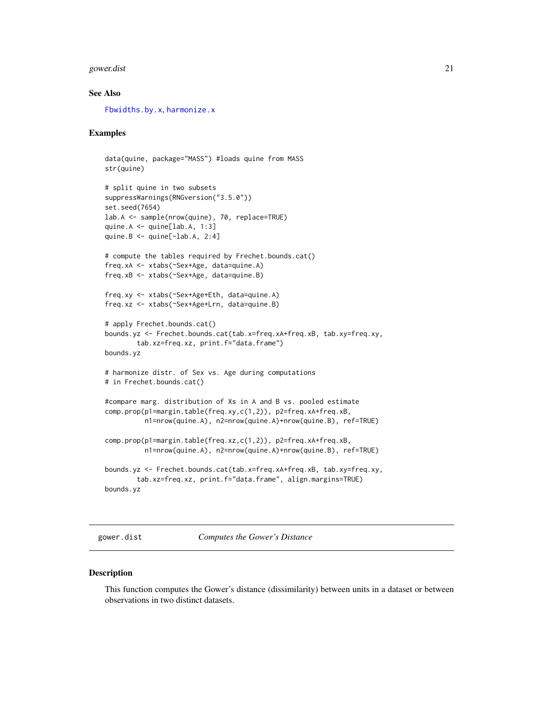#### <span id="page-20-0"></span>gower.dist 21

### See Also

[Fbwidths.by.x](#page-13-1), [harmonize.x](#page-23-1)

### Examples

```
data(quine, package="MASS") #loads quine from MASS
str(quine)
# split quine in two subsets
suppressWarnings(RNGversion("3.5.0"))
set.seed(7654)
lab.A <- sample(nrow(quine), 70, replace=TRUE)
quine.A \leq \text{quire}[lab.A, 1:3]
quine.B \leq - quine[-lab.A, 2:4]
# compute the tables required by Frechet.bounds.cat()
freq.xA <- xtabs(~Sex+Age, data=quine.A)
freq.xB <- xtabs(~Sex+Age, data=quine.B)
freq.xy <- xtabs(~Sex+Age+Eth, data=quine.A)
freq.xz <- xtabs(~Sex+Age+Lrn, data=quine.B)
# apply Frechet.bounds.cat()
bounds.yz <- Frechet.bounds.cat(tab.x=freq.xA+freq.xB, tab.xy=freq.xy,
        tab.xz=freq.xz, print.f="data.frame")
bounds.yz
# harmonize distr. of Sex vs. Age during computations
# in Frechet.bounds.cat()
#compare marg. distribution of Xs in A and B vs. pooled estimate
comp.prop(p1=margin.table(freq.xy,c(1,2)), p2=freq.xA+freq.xB,
          n1=nrow(quine.A), n2=nrow(quine.A)+nrow(quine.B), ref=TRUE)
comp.prop(p1=margin.table(freq.xz,c(1,2)), p2=freq.xA+freq.xB,
          n1=nrow(quine.A), n2=nrow(quine.A)+nrow(quine.B), ref=TRUE)
bounds.yz <- Frechet.bounds.cat(tab.x=freq.xA+freq.xB, tab.xy=freq.xy,
       tab.xz=freq.xz, print.f="data.frame", align.margins=TRUE)
bounds.yz
```
<span id="page-20-1"></span>gower.dist *Computes the Gower's Distance*

### Description

This function computes the Gower's distance (dissimilarity) between units in a dataset or between observations in two distinct datasets.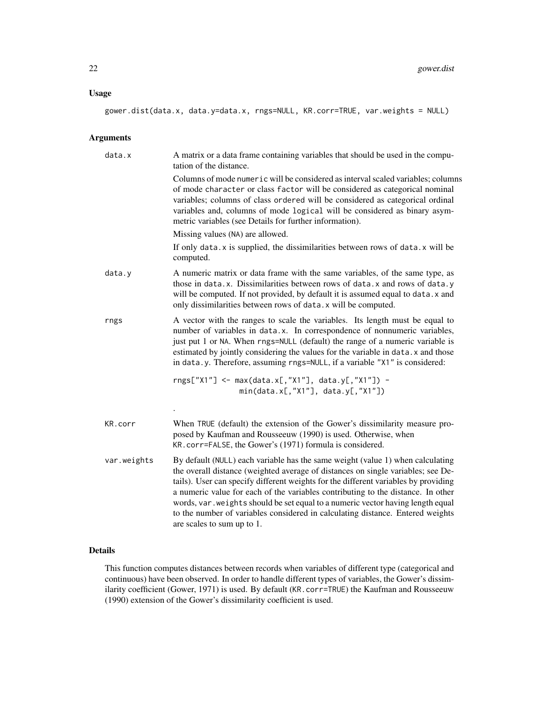### Usage

```
gower.dist(data.x, data.y=data.x, rngs=NULL, KR.corr=TRUE, var.weights = NULL)
```
### Arguments

| data.x      | A matrix or a data frame containing variables that should be used in the compu-<br>tation of the distance.                                                                                                                                                                                                                                                                                                                                                                                                                                        |
|-------------|---------------------------------------------------------------------------------------------------------------------------------------------------------------------------------------------------------------------------------------------------------------------------------------------------------------------------------------------------------------------------------------------------------------------------------------------------------------------------------------------------------------------------------------------------|
|             | Columns of mode numeric will be considered as interval scaled variables; columns<br>of mode character or class factor will be considered as categorical nominal<br>variables; columns of class ordered will be considered as categorical ordinal<br>variables and, columns of mode logical will be considered as binary asym-<br>metric variables (see Details for further information).                                                                                                                                                          |
|             | Missing values (NA) are allowed.                                                                                                                                                                                                                                                                                                                                                                                                                                                                                                                  |
|             | If only data.x is supplied, the dissimilarities between rows of data.x will be<br>computed.                                                                                                                                                                                                                                                                                                                                                                                                                                                       |
| data.y      | A numeric matrix or data frame with the same variables, of the same type, as<br>those in data.x. Dissimilarities between rows of data.x and rows of data.y<br>will be computed. If not provided, by default it is assumed equal to data. x and<br>only dissimilarities between rows of data. x will be computed.                                                                                                                                                                                                                                  |
| rngs        | A vector with the ranges to scale the variables. Its length must be equal to<br>number of variables in data.x. In correspondence of nonnumeric variables,<br>just put 1 or NA. When rngs=NULL (default) the range of a numeric variable is<br>estimated by jointly considering the values for the variable in data. x and those<br>in data.y. Therefore, assuming rngs=NULL, if a variable "X1" is considered:                                                                                                                                    |
|             | rngs["X1"] <- max(data.x[,"X1"], data.y[,"X1"]) -<br>$min(data.x[, "X1"]$ , data.y[,"X1"])                                                                                                                                                                                                                                                                                                                                                                                                                                                        |
|             |                                                                                                                                                                                                                                                                                                                                                                                                                                                                                                                                                   |
| KR.corr     | When TRUE (default) the extension of the Gower's dissimilarity measure pro-<br>posed by Kaufman and Rousseeuw (1990) is used. Otherwise, when<br>KR. corr=FALSE, the Gower's (1971) formula is considered.                                                                                                                                                                                                                                                                                                                                        |
| var.weights | By default (NULL) each variable has the same weight (value 1) when calculating<br>the overall distance (weighted average of distances on single variables; see De-<br>tails). User can specify different weights for the different variables by providing<br>a numeric value for each of the variables contributing to the distance. In other<br>words, var . weights should be set equal to a numeric vector having length equal<br>to the number of variables considered in calculating distance. Entered weights<br>are scales to sum up to 1. |

### Details

This function computes distances between records when variables of different type (categorical and continuous) have been observed. In order to handle different types of variables, the Gower's dissimilarity coefficient (Gower, 1971) is used. By default (KR.corr=TRUE) the Kaufman and Rousseeuw (1990) extension of the Gower's dissimilarity coefficient is used.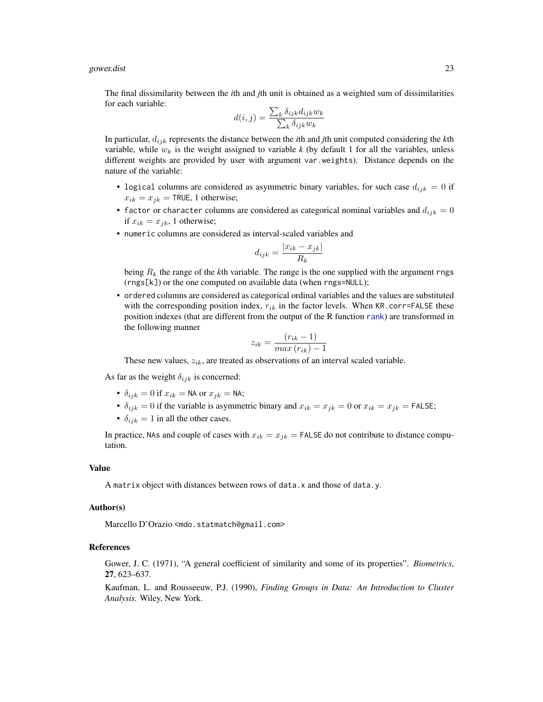#### <span id="page-22-0"></span>gower.dist 23

The final dissimilarity between the *i*th and *j*th unit is obtained as a weighted sum of dissimilarities for each variable:

$$
d(i,j) = \frac{\sum_{k} \delta_{ijk} d_{ijk} w_k}{\sum_{k} \delta_{ijk} w_k}
$$

In particular, dijk represents the distance between the *i*th and *j*th unit computed considering the *k*th variable, while  $w_k$  is the weight assigned to variable k (by default 1 for all the variables, unless different weights are provided by user with argument var.weights). Distance depends on the nature of the variable:

- logical columns are considered as asymmetric binary variables, for such case  $d_{ijk} = 0$  if  $x_{ik} = x_{jk} = \text{TRUE}, 1 \text{ otherwise};$
- factor or character columns are considered as categorical nominal variables and  $d_{ijk} = 0$ if  $x_{ik} = x_{jk}$ , 1 otherwise;
- numeric columns are considered as interval-scaled variables and

$$
d_{ijk} = \frac{|x_{ik} - x_{jk}|}{R_k}
$$

being  $R_k$  the range of the  $k$ th variable. The range is the one supplied with the argument rngs (rngs[k]) or the one computed on available data (when rngs=NULL);

• ordered columns are considered as categorical ordinal variables and the values are substituted with the corresponding position index,  $r_{ik}$  in the factor levels. When KR.corr=FALSE these position indexes (that are different from the output of the R function [rank](#page-0-0)) are transformed in the following manner

$$
z_{ik} = \frac{(r_{ik} - 1)}{max(r_{ik}) - 1}
$$

These new values,  $z_{ik}$ , are treated as observations of an interval scaled variable.

As far as the weight  $\delta_{ijk}$  is concerned:

- $\delta_{ijk} = 0$  if  $x_{ik} = \text{NA}$  or  $x_{jk} = \text{NA}$ ;
- $\delta_{ijk} = 0$  if the variable is asymmetric binary and  $x_{ik} = x_{jk} = 0$  or  $x_{ik} = x_{jk} =$  FALSE;
- $\delta_{ijk} = 1$  in all the other cases.

In practice, NAs and couple of cases with  $x_{ik} = x_{jk} =$  FALSE do not contribute to distance computation.

### Value

A matrix object with distances between rows of data.x and those of data.y.

### Author(s)

Marcello D'Orazio <mdo.statmatch@gmail.com>

#### References

Gower, J. C. (1971), "A general coefficient of similarity and some of its properties". *Biometrics*, 27, 623–637.

Kaufman, L. and Rousseeuw, P.J. (1990), *Finding Groups in Data: An Introduction to Cluster Analysis.* Wiley, New York.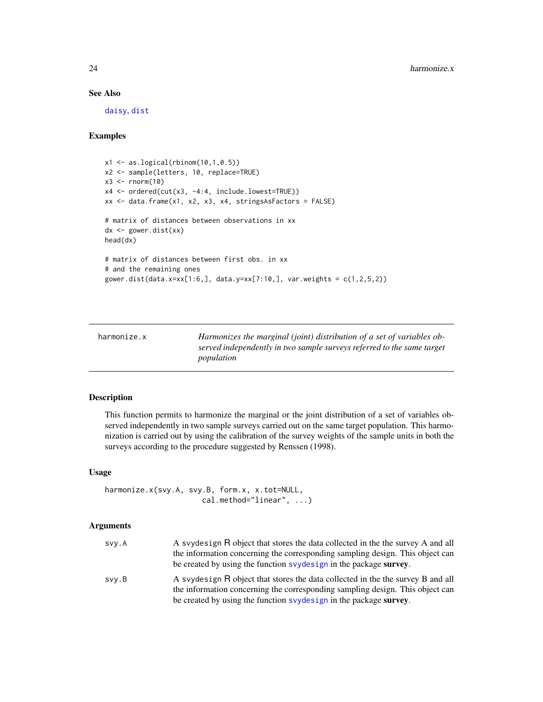### See Also

[daisy](#page-0-0), [dist](#page-0-0)

### Examples

```
x1 <- as.logical(rbinom(10,1,0.5))
x2 <- sample(letters, 10, replace=TRUE)
x3 \le- rnorm(10)
x4 <- ordered(cut(x3, -4:4, include.lowest=TRUE))
xx <- data.frame(x1, x2, x3, x4, stringsAsFactors = FALSE)
# matrix of distances between observations in xx
dx <- gower.dist(xx)
head(dx)
# matrix of distances between first obs. in xx
# and the remaining ones
gower.dist(data.x=xx[1:6,], data.y=xx[7:10,], var.weights = c(1, 2, 5, 2))
```
<span id="page-23-1"></span>

| harmonize.x | Harmonizes the marginal (joint) distribution of a set of variables ob- |
|-------------|------------------------------------------------------------------------|
|             | served independently in two sample surveys referred to the same target |
|             | population                                                             |

### Description

This function permits to harmonize the marginal or the joint distribution of a set of variables observed independently in two sample surveys carried out on the same target population. This harmonization is carried out by using the calibration of the survey weights of the sample units in both the surveys according to the procedure suggested by Renssen (1998).

### Usage

```
harmonize.x(svy.A, svy.B, form.x, x.tot=NULL,
                      cal.method="linear", ...)
```
### Arguments

| svy.A | A syydesign R object that stores the data collected in the the survey A and all<br>the information concerning the corresponding sampling design. This object can<br>be created by using the function syposity in the package survey.  |
|-------|---------------------------------------------------------------------------------------------------------------------------------------------------------------------------------------------------------------------------------------|
| svy.B | A syydesign R object that stores the data collected in the the survey B and all<br>the information concerning the corresponding sampling design. This object can<br>be created by using the function syydesign in the package survey. |

<span id="page-23-0"></span>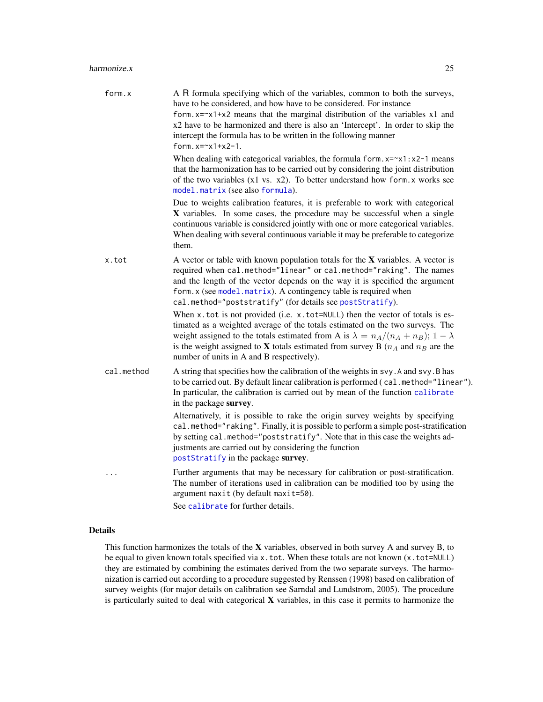<span id="page-24-0"></span>

| form.x     | A R formula specifying which of the variables, common to both the surveys,<br>have to be considered, and how have to be considered. For instance<br>form. $x = x1+x2$ means that the marginal distribution of the variables x1 and<br>x2 have to be harmonized and there is also an 'Intercept'. In order to skip the<br>intercept the formula has to be written in the following manner<br>form.x= $-x1+x2-1$ . |
|------------|------------------------------------------------------------------------------------------------------------------------------------------------------------------------------------------------------------------------------------------------------------------------------------------------------------------------------------------------------------------------------------------------------------------|
|            | When dealing with categorical variables, the formula form. $x = x1 : x2 - 1$ means<br>that the harmonization has to be carried out by considering the joint distribution<br>of the two variables $(x1 \text{ vs. } x2)$ . To better understand how form. x works see<br>model.matrix (see also formula).                                                                                                         |
|            | Due to weights calibration features, it is preferable to work with categorical<br>X variables. In some cases, the procedure may be successful when a single<br>continuous variable is considered jointly with one or more categorical variables.<br>When dealing with several continuous variable it may be preferable to categorize<br>them.                                                                    |
| x.tot      | A vector or table with known population totals for the $X$ variables. A vector is<br>required when cal.method="linear" or cal.method="raking". The names<br>and the length of the vector depends on the way it is specified the argument<br>form.x (see model.matrix). A contingency table is required when<br>cal.method="poststratify" (for details see postStratify).                                         |
|            | When x.tot is not provided (i.e. x.tot=NULL) then the vector of totals is es-<br>timated as a weighted average of the totals estimated on the two surveys. The<br>weight assigned to the totals estimated from A is $\lambda = n_A/(n_A + n_B); 1 - \lambda$<br>is the weight assigned to <b>X</b> totals estimated from survey B ( $n_A$ and $n_B$ are the<br>number of units in A and B respectively).         |
| cal.method | A string that specifies how the calibration of the weights in svy. A and svy. B has<br>to be carried out. By default linear calibration is performed (cal.method="linear").<br>In particular, the calibration is carried out by mean of the function calibrate<br>in the package survey.                                                                                                                         |
|            | Alternatively, it is possible to rake the origin survey weights by specifying<br>cal.method="raking". Finally, it is possible to perform a simple post-stratification<br>by setting cal.method="poststratify". Note that in this case the weights ad-<br>justments are carried out by considering the function<br>postStratify in the package survey.                                                            |
|            | Further arguments that may be necessary for calibration or post-stratification.<br>The number of iterations used in calibration can be modified too by using the<br>argument maxit (by default maxit=50).<br>See calibrate for further details.                                                                                                                                                                  |

### Details

This function harmonizes the totals of the  $X$  variables, observed in both survey A and survey B, to be equal to given known totals specified via x.tot. When these totals are not known (x.tot=NULL) they are estimated by combining the estimates derived from the two separate surveys. The harmonization is carried out according to a procedure suggested by Renssen (1998) based on calibration of survey weights (for major details on calibration see Sarndal and Lundstrom, 2005). The procedure is particularly suited to deal with categorical X variables, in this case it permits to harmonize the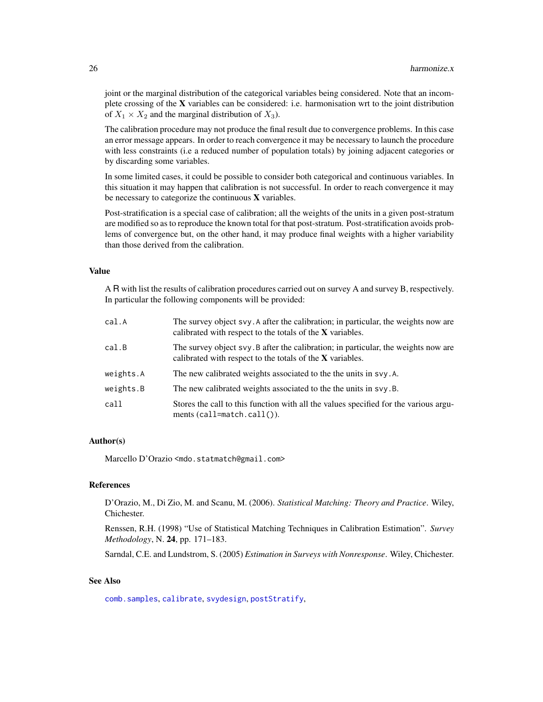joint or the marginal distribution of the categorical variables being considered. Note that an incomplete crossing of the X variables can be considered: i.e. harmonisation wrt to the joint distribution of  $X_1 \times X_2$  and the marginal distribution of  $X_3$ ).

The calibration procedure may not produce the final result due to convergence problems. In this case an error message appears. In order to reach convergence it may be necessary to launch the procedure with less constraints (i.e a reduced number of population totals) by joining adjacent categories or by discarding some variables.

In some limited cases, it could be possible to consider both categorical and continuous variables. In this situation it may happen that calibration is not successful. In order to reach convergence it may be necessary to categorize the continuous  $X$  variables.

Post-stratification is a special case of calibration; all the weights of the units in a given post-stratum are modified so as to reproduce the known total for that post-stratum. Post-stratification avoids problems of convergence but, on the other hand, it may produce final weights with a higher variability than those derived from the calibration.

### Value

A R with list the results of calibration procedures carried out on survey A and survey B, respectively. In particular the following components will be provided:

| cal.A     | The survey object svy. A after the calibration; in particular, the weights now are<br>calibrated with respect to the totals of the $X$ variables. |
|-----------|---------------------------------------------------------------------------------------------------------------------------------------------------|
| cal.B     | The survey object svy. B after the calibration; in particular, the weights now are<br>calibrated with respect to the totals of the $X$ variables. |
| weights.A | The new calibrated weights associated to the the units in svy.A.                                                                                  |
| weights.B | The new calibrated weights associated to the the units in svy.B.                                                                                  |
| call      | Stores the call to this function with all the values specified for the various argu-<br>ments $(call = match.call())$ .                           |

### Author(s)

Marcello D'Orazio <mdo.statmatch@gmail.com>

### References

D'Orazio, M., Di Zio, M. and Scanu, M. (2006). *Statistical Matching: Theory and Practice*. Wiley, Chichester.

Renssen, R.H. (1998) "Use of Statistical Matching Techniques in Calibration Estimation". *Survey Methodology*, N. 24, pp. 171–183.

Sarndal, C.E. and Lundstrom, S. (2005) *Estimation in Surveys with Nonresponse*. Wiley, Chichester.

### See Also

[comb.samples](#page-2-1), [calibrate](#page-0-0), [svydesign](#page-0-0), [postStratify](#page-0-0),

<span id="page-25-0"></span>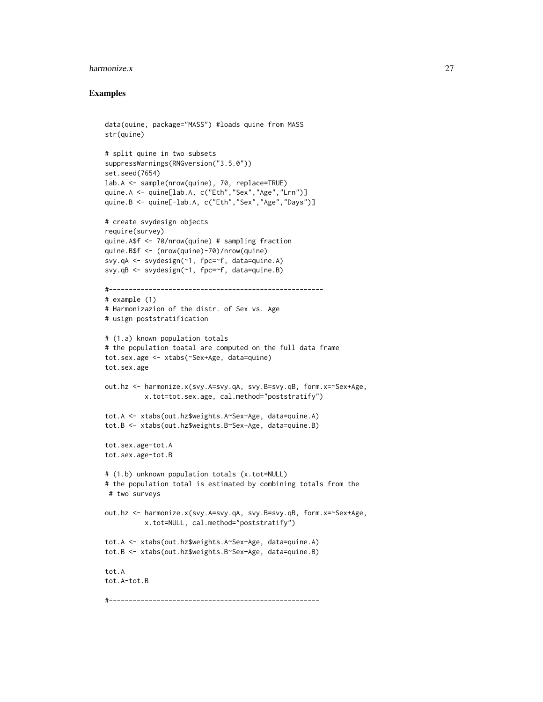#### harmonize.x 27

### Examples

```
data(quine, package="MASS") #loads quine from MASS
str(quine)
# split quine in two subsets
suppressWarnings(RNGversion("3.5.0"))
set.seed(7654)
lab.A <- sample(nrow(quine), 70, replace=TRUE)
quine.A <- quine[lab.A, c("Eth","Sex","Age","Lrn")]
quine.B <- quine[-lab.A, c("Eth","Sex","Age","Days")]
# create svydesign objects
require(survey)
quine.A$f <- 70/nrow(quine) # sampling fraction
quine.B$f <- (nrow(quine)-70)/nrow(quine)
svy.qA <- svydesign(~1, fpc=~f, data=quine.A)
svy.qB <- svydesign(~1, fpc=~f, data=quine.B)
#------------------------------------------------------
# example (1)
# Harmonizazion of the distr. of Sex vs. Age
# usign poststratification
# (1.a) known population totals
# the population toatal are computed on the full data frame
tot.sex.age <- xtabs(~Sex+Age, data=quine)
tot.sex.age
out.hz <- harmonize.x(svy.A=svy.qA, svy.B=svy.qB, form.x=~Sex+Age,
          x.tot=tot.sex.age, cal.method="poststratify")
tot.A <- xtabs(out.hz$weights.A~Sex+Age, data=quine.A)
tot.B <- xtabs(out.hz$weights.B~Sex+Age, data=quine.B)
tot.sex.age-tot.A
tot.sex.age-tot.B
# (1.b) unknown population totals (x.tot=NULL)
# the population total is estimated by combining totals from the
# two surveys
out.hz <- harmonize.x(svy.A=svy.qA, svy.B=svy.qB, form.x=~Sex+Age,
          x.tot=NULL, cal.method="poststratify")
tot.A <- xtabs(out.hz$weights.A~Sex+Age, data=quine.A)
tot.B <- xtabs(out.hz$weights.B~Sex+Age, data=quine.B)
tot.A
tot.A-tot.B
#-----------------------------------------------------
```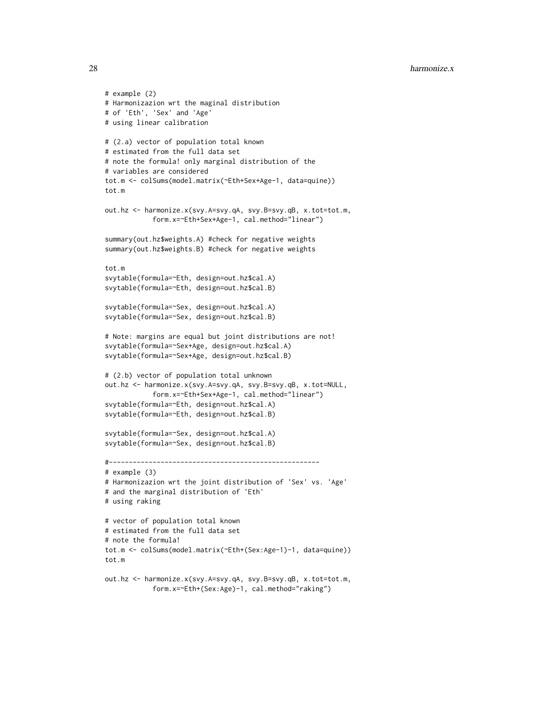```
# example (2)
# Harmonizazion wrt the maginal distribution
# of 'Eth', 'Sex' and 'Age'
# using linear calibration
# (2.a) vector of population total known
# estimated from the full data set
# note the formula! only marginal distribution of the
# variables are considered
tot.m <- colSums(model.matrix(~Eth+Sex+Age-1, data=quine))
tot.m
out.hz <- harmonize.x(svy.A=svy.qA, svy.B=svy.qB, x.tot=tot.m,
            form.x=~Eth+Sex+Age-1, cal.method="linear")
summary(out.hz$weights.A) #check for negative weights
summary(out.hz$weights.B) #check for negative weights
tot.m
svytable(formula=~Eth, design=out.hz$cal.A)
svytable(formula=~Eth, design=out.hz$cal.B)
svytable(formula=~Sex, design=out.hz$cal.A)
svytable(formula=~Sex, design=out.hz$cal.B)
# Note: margins are equal but joint distributions are not!
svytable(formula=~Sex+Age, design=out.hz$cal.A)
svytable(formula=~Sex+Age, design=out.hz$cal.B)
# (2.b) vector of population total unknown
out.hz <- harmonize.x(svy.A=svy.qA, svy.B=svy.qB, x.tot=NULL,
            form.x=~Eth+Sex+Age-1, cal.method="linear")
svytable(formula=~Eth, design=out.hz$cal.A)
svytable(formula=~Eth, design=out.hz$cal.B)
svytable(formula=~Sex, design=out.hz$cal.A)
svytable(formula=~Sex, design=out.hz$cal.B)
#-----------------------------------------------------
# example (3)
# Harmonizazion wrt the joint distribution of 'Sex' vs. 'Age'
# and the marginal distribution of 'Eth'
# using raking
# vector of population total known
# estimated from the full data set
# note the formula!
tot.m <- colSums(model.matrix(~Eth+(Sex:Age-1)-1, data=quine))
tot.m
out.hz <- harmonize.x(svy.A=svy.qA, svy.B=svy.qB, x.tot=tot.m,
            form.x=~Eth+(Sex:Age)-1, cal.method="raking")
```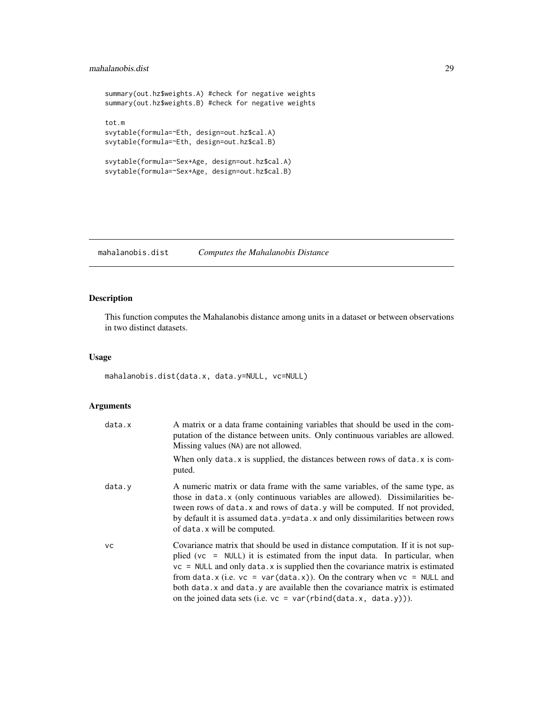### <span id="page-28-0"></span>mahalanobis.dist 29

```
summary(out.hz$weights.A) #check for negative weights
summary(out.hz$weights.B) #check for negative weights
tot.m
svytable(formula=~Eth, design=out.hz$cal.A)
svytable(formula=~Eth, design=out.hz$cal.B)
svytable(formula=~Sex+Age, design=out.hz$cal.A)
svytable(formula=~Sex+Age, design=out.hz$cal.B)
```
<span id="page-28-1"></span>mahalanobis.dist *Computes the Mahalanobis Distance*

### Description

This function computes the Mahalanobis distance among units in a dataset or between observations in two distinct datasets.

### Usage

mahalanobis.dist(data.x, data.y=NULL, vc=NULL)

### Arguments

| data.x    | A matrix or a data frame containing variables that should be used in the com-<br>putation of the distance between units. Only continuous variables are allowed.<br>Missing values (NA) are not allowed.                                                                                                                                                                                                                                                                                    |
|-----------|--------------------------------------------------------------------------------------------------------------------------------------------------------------------------------------------------------------------------------------------------------------------------------------------------------------------------------------------------------------------------------------------------------------------------------------------------------------------------------------------|
|           | When only data. $x$ is supplied, the distances between rows of data. $x$ is com-<br>puted.                                                                                                                                                                                                                                                                                                                                                                                                 |
| data.y    | A numeric matrix or data frame with the same variables, of the same type, as<br>those in data.x (only continuous variables are allowed). Dissimilarities be-<br>tween rows of data. x and rows of data. y will be computed. If not provided,<br>by default it is assumed data. y=data. x and only dissimilarities between rows<br>of data. x will be computed.                                                                                                                             |
| <b>VC</b> | Covariance matrix that should be used in distance computation. If it is not sup-<br>plied (vc = NULL) it is estimated from the input data. In particular, when<br>$vc = NULL$ and only data. x is supplied then the covariance matrix is estimated<br>from data.x (i.e. $vc = var(data.x)$ ). On the contrary when $vc = NULL$ and<br>both data. x and data. y are available then the covariance matrix is estimated<br>on the joined data sets (i.e. $vc = var(rbind(data.x, data.y))$ ). |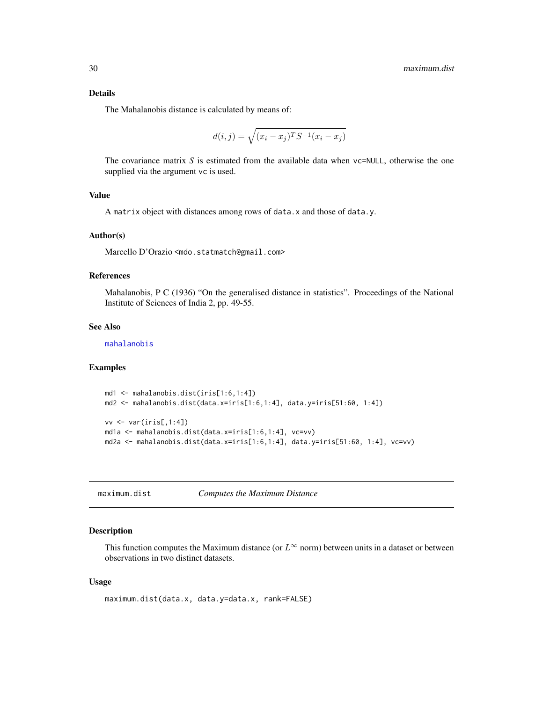### <span id="page-29-0"></span>Details

The Mahalanobis distance is calculated by means of:

$$
d(i, j) = \sqrt{(x_i - x_j)^T S^{-1} (x_i - x_j)}
$$

The covariance matrix *S* is estimated from the available data when vc=NULL, otherwise the one supplied via the argument vc is used.

### Value

A matrix object with distances among rows of data.x and those of data.y.

#### Author(s)

Marcello D'Orazio <mdo.statmatch@gmail.com>

### References

Mahalanobis, P C (1936) "On the generalised distance in statistics". Proceedings of the National Institute of Sciences of India 2, pp. 49-55.

### See Also

[mahalanobis](#page-0-0)

#### Examples

```
md1 <- mahalanobis.dist(iris[1:6,1:4])
md2 <- mahalanobis.dist(data.x=iris[1:6,1:4], data.y=iris[51:60, 1:4])
```

```
vv <- var(iris[,1:4])
md1a <- mahalanobis.dist(data.x=iris[1:6,1:4], vc=vv)
md2a <- mahalanobis.dist(data.x=iris[1:6,1:4], data.y=iris[51:60, 1:4], vc=vv)
```
<span id="page-29-1"></span>maximum.dist *Computes the Maximum Distance*

### Description

This function computes the Maximum distance (or  $L^{\infty}$  norm) between units in a dataset or between observations in two distinct datasets.

### Usage

```
maximum.dist(data.x, data.y=data.x, rank=FALSE)
```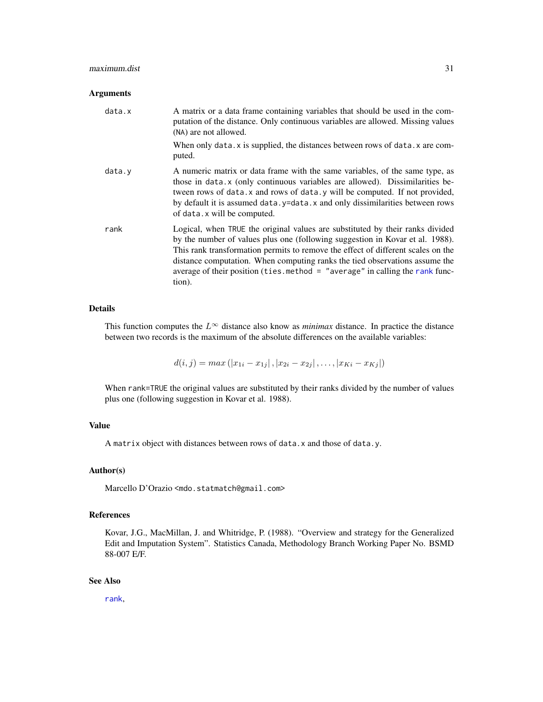### <span id="page-30-0"></span>maximum.dist 31

### Arguments

| data.x | A matrix or a data frame containing variables that should be used in the com-<br>putation of the distance. Only continuous variables are allowed. Missing values<br>(NA) are not allowed.                                                                                                                                                                                                                                    |
|--------|------------------------------------------------------------------------------------------------------------------------------------------------------------------------------------------------------------------------------------------------------------------------------------------------------------------------------------------------------------------------------------------------------------------------------|
|        | When only data. $x$ is supplied, the distances between rows of data. $x$ are com-<br>puted.                                                                                                                                                                                                                                                                                                                                  |
| data.v | A numeric matrix or data frame with the same variables, of the same type, as<br>those in data.x (only continuous variables are allowed). Dissimilarities be-<br>tween rows of data. x and rows of data. y will be computed. If not provided,<br>by default it is assumed data.y=data.x and only dissimilarities between rows<br>of data. x will be computed.                                                                 |
| rank   | Logical, when TRUE the original values are substituted by their ranks divided<br>by the number of values plus one (following suggestion in Kovar et al. 1988).<br>This rank transformation permits to remove the effect of different scales on the<br>distance computation. When computing ranks the tied observations assume the<br>average of their position (ties. method = "average" in calling the rank func-<br>tion). |

### Details

This function computes the  $L^{\infty}$  distance also know as *minimax* distance. In practice the distance between two records is the maximum of the absolute differences on the available variables:

$$
d(i, j) = max (|x_{1i} - x_{1j}|, |x_{2i} - x_{2j}|, \dots, |x_{Ki} - x_{Ki}|)
$$

When rank=TRUE the original values are substituted by their ranks divided by the number of values plus one (following suggestion in Kovar et al. 1988).

### Value

A matrix object with distances between rows of data.x and those of data.y.

### Author(s)

Marcello D'Orazio <mdo.statmatch@gmail.com>

### References

Kovar, J.G., MacMillan, J. and Whitridge, P. (1988). "Overview and strategy for the Generalized Edit and Imputation System". Statistics Canada, Methodology Branch Working Paper No. BSMD 88-007 E/F.

### See Also

[rank](#page-0-0),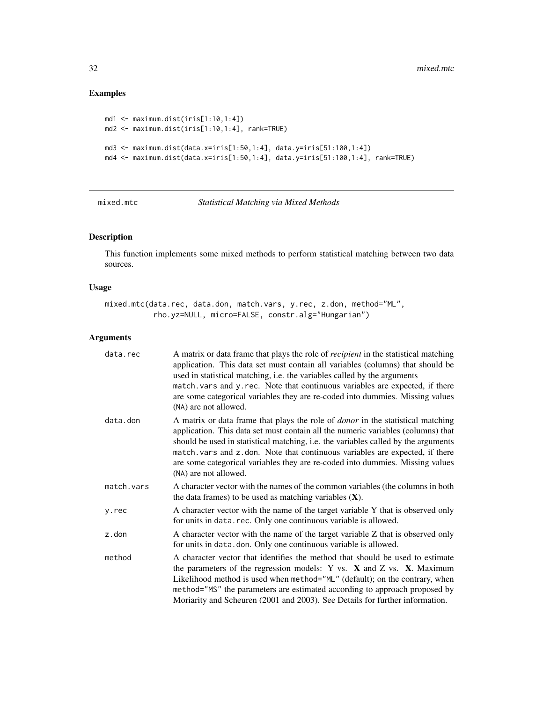### Examples

```
md1 <- maximum.dist(iris[1:10,1:4])
md2 <- maximum.dist(iris[1:10,1:4], rank=TRUE)
md3 <- maximum.dist(data.x=iris[1:50,1:4], data.y=iris[51:100,1:4])
md4 <- maximum.dist(data.x=iris[1:50,1:4], data.y=iris[51:100,1:4], rank=TRUE)
```
<span id="page-31-1"></span>

mixed.mtc *Statistical Matching via Mixed Methods*

### Description

This function implements some mixed methods to perform statistical matching between two data sources.

### Usage

mixed.mtc(data.rec, data.don, match.vars, y.rec, z.don, method="ML", rho.yz=NULL, micro=FALSE, constr.alg="Hungarian")

### Arguments

| data.rec   | A matrix or data frame that plays the role of <i>recipient</i> in the statistical matching<br>application. This data set must contain all variables (columns) that should be<br>used in statistical matching, i.e. the variables called by the arguments<br>match. vars and y. rec. Note that continuous variables are expected, if there<br>are some categorical variables they are re-coded into dummies. Missing values<br>(NA) are not allowed.        |
|------------|------------------------------------------------------------------------------------------------------------------------------------------------------------------------------------------------------------------------------------------------------------------------------------------------------------------------------------------------------------------------------------------------------------------------------------------------------------|
| data.don   | A matrix or data frame that plays the role of <i>donor</i> in the statistical matching<br>application. This data set must contain all the numeric variables (columns) that<br>should be used in statistical matching, i.e. the variables called by the arguments<br>match. vars and z.don. Note that continuous variables are expected, if there<br>are some categorical variables they are re-coded into dummies. Missing values<br>(NA) are not allowed. |
| match.vars | A character vector with the names of the common variables (the columns in both<br>the data frames) to be used as matching variables $(X)$ .                                                                                                                                                                                                                                                                                                                |
| y.rec      | A character vector with the name of the target variable Y that is observed only<br>for units in data.rec. Only one continuous variable is allowed.                                                                                                                                                                                                                                                                                                         |
| z.don      | A character vector with the name of the target variable Z that is observed only<br>for units in data.don. Only one continuous variable is allowed.                                                                                                                                                                                                                                                                                                         |
| method     | A character vector that identifies the method that should be used to estimate<br>the parameters of the regression models: $Y$ vs. $X$ and $Z$ vs. $X$ . Maximum<br>Likelihood method is used when method="ML" (default); on the contrary, when<br>method="MS" the parameters are estimated according to approach proposed by<br>Moriarity and Scheuren (2001 and 2003). See Details for further information.                                               |

<span id="page-31-0"></span>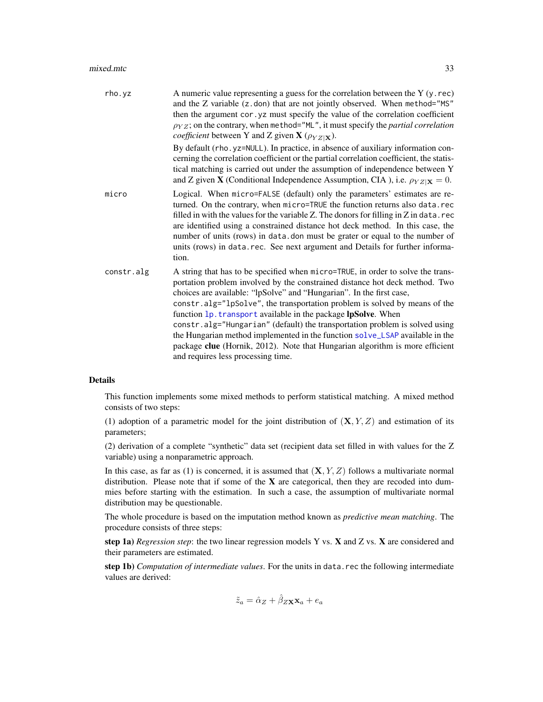#### <span id="page-32-0"></span>mixed.mtc 33

| rho.yz     | A numeric value representing a guess for the correlation between the $Y(y, rec)$<br>and the Z variable (z.don) that are not jointly observed. When method="MS"<br>then the argument cor. yz must specify the value of the correlation coefficient<br>$\rho_{YZ}$ ; on the contrary, when method="ML", it must specify the <i>partial correlation</i><br><i>coefficient</i> between Y and Z given <b>X</b> ( $\rho_{YZ X}$ ).                                                                                                                                                                                                                                               |
|------------|----------------------------------------------------------------------------------------------------------------------------------------------------------------------------------------------------------------------------------------------------------------------------------------------------------------------------------------------------------------------------------------------------------------------------------------------------------------------------------------------------------------------------------------------------------------------------------------------------------------------------------------------------------------------------|
|            | By default (rho. yz=NULL). In practice, in absence of auxiliary information con-<br>cerning the correlation coefficient or the partial correlation coefficient, the statis-<br>tical matching is carried out under the assumption of independence between Y<br>and Z given <b>X</b> (Conditional Independence Assumption, CIA), i.e. $\rho_{YZ X} = 0$ .                                                                                                                                                                                                                                                                                                                   |
| micro      | Logical. When micro=FALSE (default) only the parameters' estimates are re-<br>turned. On the contrary, when micro=TRUE the function returns also data.rec<br>filled in with the values for the variable $Z$ . The donors for filling in $Z$ in data. rec<br>are identified using a constrained distance hot deck method. In this case, the<br>number of units (rows) in data.don must be grater or equal to the number of<br>units (rows) in data.rec. See next argument and Details for further informa-<br>tion.                                                                                                                                                         |
| constr.alg | A string that has to be specified when micro=TRUE, in order to solve the trans-<br>portation problem involved by the constrained distance hot deck method. Two<br>choices are available: "lpSolve" and "Hungarian". In the first case,<br>constr.alg="lpSolve", the transportation problem is solved by means of the<br>function 1p. transport available in the package lpSolve. When<br>constr.alg="Hungarian" (default) the transportation problem is solved using<br>the Hungarian method implemented in the function solve_LSAP available in the<br>package clue (Hornik, 2012). Note that Hungarian algorithm is more efficient<br>and requires less processing time. |

### Details

This function implements some mixed methods to perform statistical matching. A mixed method consists of two steps:

(1) adoption of a parametric model for the joint distribution of  $(X, Y, Z)$  and estimation of its parameters;

(2) derivation of a complete "synthetic" data set (recipient data set filled in with values for the Z variable) using a nonparametric approach.

In this case, as far as (1) is concerned, it is assumed that  $(X, Y, Z)$  follows a multivariate normal distribution. Please note that if some of the  $X$  are categorical, then they are recoded into dummies before starting with the estimation. In such a case, the assumption of multivariate normal distribution may be questionable.

The whole procedure is based on the imputation method known as *predictive mean matching*. The procedure consists of three steps:

step 1a) *Regression step*: the two linear regression models Y vs. X and Z vs. X are considered and their parameters are estimated.

step 1b) *Computation of intermediate values*. For the units in data.rec the following intermediate values are derived:

$$
\tilde{z}_a = \hat{\alpha}_Z + \hat{\beta}_{Z\mathbf{X}} \mathbf{x}_a + e_a
$$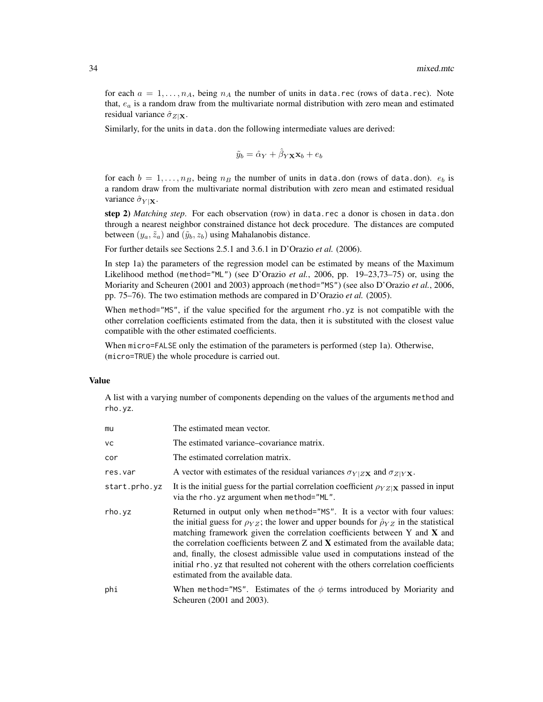for each  $a = 1, \ldots, n_A$ , being  $n_A$  the number of units in data.rec (rows of data.rec). Note that,  $e_a$  is a random draw from the multivariate normal distribution with zero mean and estimated residual variance  $\hat{\sigma}_{Z|\mathbf{X}}$ .

Similarly, for the units in data. don the following intermediate values are derived:

$$
\tilde{y}_b = \hat{\alpha}_Y + \hat{\beta}_Y \mathbf{x} \mathbf{x}_b + e_b
$$

for each  $b = 1, ..., n_B$ , being  $n_B$  the number of units in data.don (rows of data.don).  $e_b$  is a random draw from the multivariate normal distribution with zero mean and estimated residual variance  $\hat{\sigma}_{Y|X}$ .

step 2) *Matching step*. For each observation (row) in data.rec a donor is chosen in data.don through a nearest neighbor constrained distance hot deck procedure. The distances are computed between  $(y_a, \tilde{z}_a)$  and  $(\tilde{y}_b, z_b)$  using Mahalanobis distance.

For further details see Sections 2.5.1 and 3.6.1 in D'Orazio *et al.* (2006).

In step 1a) the parameters of the regression model can be estimated by means of the Maximum Likelihood method (method="ML") (see D'Orazio *et al.*, 2006, pp. 19–23,73–75) or, using the Moriarity and Scheuren (2001 and 2003) approach (method="MS") (see also D'Orazio *et al.*, 2006, pp. 75–76). The two estimation methods are compared in D'Orazio *et al.* (2005).

When method="MS", if the value specified for the argument rho.yz is not compatible with the other correlation coefficients estimated from the data, then it is substituted with the closest value compatible with the other estimated coefficients.

When micro=FALSE only the estimation of the parameters is performed (step 1a). Otherwise, (micro=TRUE) the whole procedure is carried out.

#### Value

A list with a varying number of components depending on the values of the arguments method and rho.yz.

| mu            | The estimated mean vector.                                                                                                                                                                                                                                                                                                                                                                                                                                                                                                                                         |
|---------------|--------------------------------------------------------------------------------------------------------------------------------------------------------------------------------------------------------------------------------------------------------------------------------------------------------------------------------------------------------------------------------------------------------------------------------------------------------------------------------------------------------------------------------------------------------------------|
| <b>VC</b>     | The estimated variance–covariance matrix.                                                                                                                                                                                                                                                                                                                                                                                                                                                                                                                          |
| cor           | The estimated correlation matrix.                                                                                                                                                                                                                                                                                                                                                                                                                                                                                                                                  |
| res.var       | A vector with estimates of the residual variances $\sigma_{Y ZX}$ and $\sigma_{Z YX}$ .                                                                                                                                                                                                                                                                                                                                                                                                                                                                            |
| start.prho.yz | It is the initial guess for the partial correlation coefficient $\rho_{YZ X}$ passed in input<br>via the rho. yz argument when method="ML".                                                                                                                                                                                                                                                                                                                                                                                                                        |
| rho.yz        | Returned in output only when method="MS". It is a vector with four values:<br>the initial guess for $\rho_{YZ}$ ; the lower and upper bounds for $\rho_{YZ}$ in the statistical<br>matching framework given the correlation coefficients between Y and X and<br>the correlation coefficients between $Z$ and $X$ estimated from the available data;<br>and, finally, the closest admissible value used in computations instead of the<br>initial rho. yz that resulted not coherent with the others correlation coefficients<br>estimated from the available data. |
| phi           | When method="MS". Estimates of the $\phi$ terms introduced by Moriarity and<br>Scheuren (2001 and 2003).                                                                                                                                                                                                                                                                                                                                                                                                                                                           |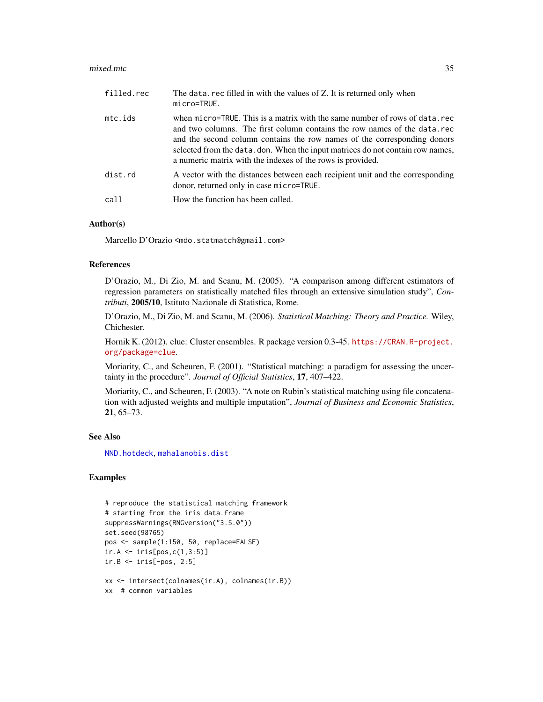#### <span id="page-34-0"></span>mixed.mtc 35

| filled.rec | The data. rec filled in with the values of Z. It is returned only when<br>micro=TRUE.                                                                                                                                                                                                                                                                                              |
|------------|------------------------------------------------------------------------------------------------------------------------------------------------------------------------------------------------------------------------------------------------------------------------------------------------------------------------------------------------------------------------------------|
| mtc.ids    | when micro=TRUE. This is a matrix with the same number of rows of data.rec<br>and two columns. The first column contains the row names of the data.rec<br>and the second column contains the row names of the corresponding donors<br>selected from the data. don. When the input matrices do not contain row names,<br>a numeric matrix with the indexes of the rows is provided. |
| dist.rd    | A vector with the distances between each recipient unit and the corresponding<br>donor, returned only in case micro=TRUE.                                                                                                                                                                                                                                                          |
| call       | How the function has been called.                                                                                                                                                                                                                                                                                                                                                  |

### Author(s)

Marcello D'Orazio <mdo.statmatch@gmail.com>

#### References

D'Orazio, M., Di Zio, M. and Scanu, M. (2005). "A comparison among different estimators of regression parameters on statistically matched files through an extensive simulation study", *Contributi*, 2005/10, Istituto Nazionale di Statistica, Rome.

D'Orazio, M., Di Zio, M. and Scanu, M. (2006). *Statistical Matching: Theory and Practice.* Wiley, Chichester.

Hornik K. (2012). clue: Cluster ensembles. R package version 0.3-45. [https://CRAN.R-project.](https://CRAN.R-project.org/package=clue) [org/package=clue](https://CRAN.R-project.org/package=clue).

Moriarity, C., and Scheuren, F. (2001). "Statistical matching: a paradigm for assessing the uncertainty in the procedure". *Journal of Official Statistics*, 17, 407–422.

Moriarity, C., and Scheuren, F. (2003). "A note on Rubin's statistical matching using file concatenation with adjusted weights and multiple imputation", *Journal of Business and Economic Statistics*, 21, 65–73.

### See Also

[NND.hotdeck](#page-36-1), [mahalanobis.dist](#page-28-1)

### Examples

```
# reproduce the statistical matching framework
# starting from the iris data.frame
suppressWarnings(RNGversion("3.5.0"))
set.seed(98765)
pos <- sample(1:150, 50, replace=FALSE)
ir.A \leftarrow iris[pos, c(1, 3:5)]ir.B \leftarrow iris[-pos, 2:5]xx <- intersect(colnames(ir.A), colnames(ir.B))
xx # common variables
```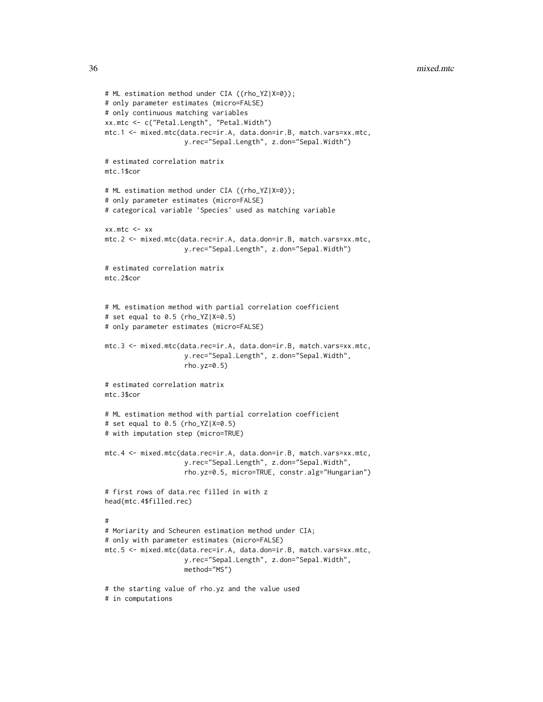```
# ML estimation method under CIA ((rho_YZ|X=0));
# only parameter estimates (micro=FALSE)
# only continuous matching variables
xx.mtc <- c("Petal.Length", "Petal.Width")
mtc.1 <- mixed.mtc(data.rec=ir.A, data.don=ir.B, match.vars=xx.mtc,
                    y.rec="Sepal.Length", z.don="Sepal.Width")
# estimated correlation matrix
mtc.1$cor
# ML estimation method under CIA ((rho_YZ|X=0));
# only parameter estimates (micro=FALSE)
# categorical variable 'Species' used as matching variable
xx.mtc <- xx
mtc.2 <- mixed.mtc(data.rec=ir.A, data.don=ir.B, match.vars=xx.mtc,
                    y.rec="Sepal.Length", z.don="Sepal.Width")
# estimated correlation matrix
mtc.2$cor
# ML estimation method with partial correlation coefficient
# set equal to 0.5 (rho_YZ|X=0.5)
# only parameter estimates (micro=FALSE)
mtc.3 <- mixed.mtc(data.rec=ir.A, data.don=ir.B, match.vars=xx.mtc,
                    y.rec="Sepal.Length", z.don="Sepal.Width",
                    rho.yz=0.5)
# estimated correlation matrix
mtc.3$cor
# ML estimation method with partial correlation coefficient
# set equal to 0.5 (rho_YZ|X=0.5)
# with imputation step (micro=TRUE)
mtc.4 <- mixed.mtc(data.rec=ir.A, data.don=ir.B, match.vars=xx.mtc,
                    y.rec="Sepal.Length", z.don="Sepal.Width",
                    rho.yz=0.5, micro=TRUE, constr.alg="Hungarian")
# first rows of data.rec filled in with z
head(mtc.4$filled.rec)
#
# Moriarity and Scheuren estimation method under CIA;
# only with parameter estimates (micro=FALSE)
mtc.5 <- mixed.mtc(data.rec=ir.A, data.don=ir.B, match.vars=xx.mtc,
                    y.rec="Sepal.Length", z.don="Sepal.Width",
                    method="MS")
# the starting value of rho.yz and the value used
# in computations
```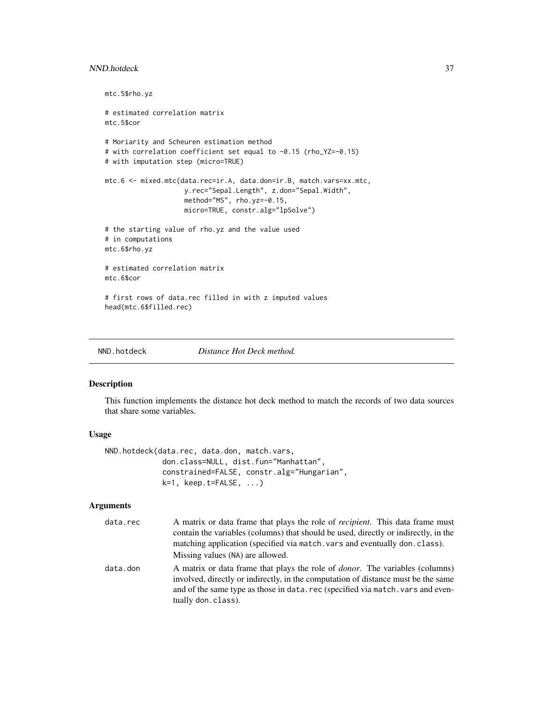### <span id="page-36-0"></span>NND.hotdeck 37

```
mtc.5$rho.yz
# estimated correlation matrix
mtc.5$cor
# Moriarity and Scheuren estimation method
# with correlation coefficient set equal to -0.15 (rho_YZ=-0.15)
# with imputation step (micro=TRUE)
mtc.6 <- mixed.mtc(data.rec=ir.A, data.don=ir.B, match.vars=xx.mtc,
                    y.rec="Sepal.Length", z.don="Sepal.Width",
                    method="MS", rho.yz=-0.15,
                    micro=TRUE, constr.alg="lpSolve")
# the starting value of rho.yz and the value used
# in computations
mtc.6$rho.yz
# estimated correlation matrix
mtc.6$cor
# first rows of data.rec filled in with z imputed values
head(mtc.6$filled.rec)
```
<span id="page-36-1"></span>

NND.hotdeck *Distance Hot Deck method.*

#### Description

This function implements the distance hot deck method to match the records of two data sources that share some variables.

### Usage

```
NND.hotdeck(data.rec, data.don, match.vars,
             don.class=NULL, dist.fun="Manhattan",
             constrained=FALSE, constr.alg="Hungarian",
             k=1, keep.t=FALSE, ...)
```
### Arguments

| data.rec | A matrix or data frame that plays the role of <i>recipient</i> . This data frame must<br>contain the variables (columns) that should be used, directly or indirectly, in the<br>matching application (specified via match, vars and eventually don, class).<br>Missing values (NA) are allowed. |
|----------|-------------------------------------------------------------------------------------------------------------------------------------------------------------------------------------------------------------------------------------------------------------------------------------------------|
| data.don | A matrix or data frame that plays the role of <i>donor</i> . The variables (columns)<br>involved, directly or indirectly, in the computation of distance must be the same<br>and of the same type as those in data, rec (specified via match, vars and even-<br>tually don. class).             |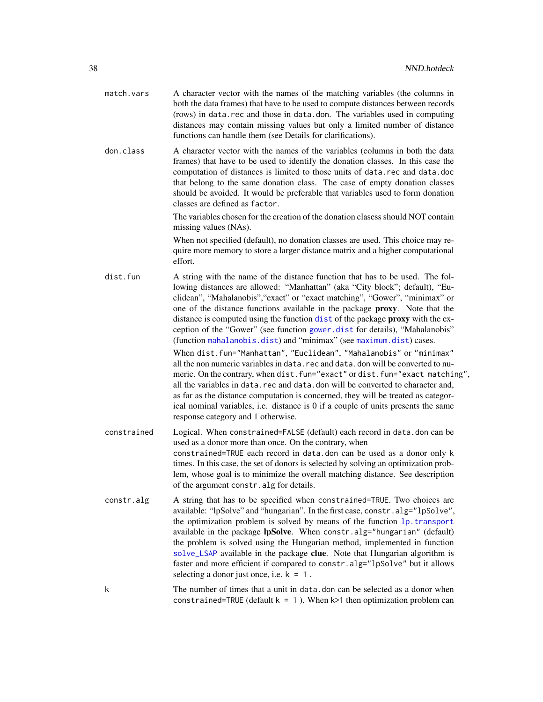<span id="page-37-0"></span>

| match.vars | A character vector with the names of the matching variables (the columns in     |
|------------|---------------------------------------------------------------------------------|
|            | both the data frames) that have to be used to compute distances between records |
|            | (rows) in data.rec and those in data.don. The variables used in computing       |
|            | distances may contain missing values but only a limited number of distance      |
|            | functions can handle them (see Details for clarifications).                     |

don.class A character vector with the names of the variables (columns in both the data frames) that have to be used to identify the donation classes. In this case the computation of distances is limited to those units of data.rec and data.doc that belong to the same donation class. The case of empty donation classes should be avoided. It would be preferable that variables used to form donation classes are defined as factor.

> The variables chosen for the creation of the donation clasess should NOT contain missing values (NAs).

> When not specified (default), no donation classes are used. This choice may require more memory to store a larger distance matrix and a higher computational effort.

dist.fun A string with the name of the distance function that has to be used. The following distances are allowed: "Manhattan" (aka "City block"; default), "Euclidean", "Mahalanobis","exact" or "exact matching", "Gower", "minimax" or one of the distance functions available in the package proxy. Note that the distance is computed using the function [dist](#page-0-0) of the package proxy with the exception of the "Gower" (see function [gower.dist](#page-20-1) for details), "Mahalanobis" (function [mahalanobis.dist](#page-28-1)) and "minimax" (see [maximum.dist](#page-29-1)) cases. When dist.fun="Manhattan", "Euclidean", "Mahalanobis" or "minimax" all the non numeric variables in data.rec and data.don will be converted to numeric. On the contrary, when dist.fun="exact" or dist.fun="exact matching", all the variables in data.rec and data.don will be converted to character and, as far as the distance computation is concerned, they will be treated as categorical nominal variables, i.e. distance is 0 if a couple of units presents the same response category and 1 otherwise.

constrained Logical. When constrained=FALSE (default) each record in data.don can be used as a donor more than once. On the contrary, when constrained=TRUE each record in data.don can be used as a donor only k times. In this case, the set of donors is selected by solving an optimization problem, whose goal is to minimize the overall matching distance. See description of the argument constr.alg for details.

- constr.alg A string that has to be specified when constrained=TRUE. Two choices are available: "lpSolve" and "hungarian". In the first case, constr.alg="lpSolve", the optimization problem is solved by means of the function [lp.transport](#page-0-0) available in the package lpSolve. When constr.alg="hungarian" (default) the problem is solved using the Hungarian method, implemented in function [solve\\_LSAP](#page-0-0) available in the package clue. Note that Hungarian algorithm is faster and more efficient if compared to constr.alg="lpSolve" but it allows selecting a donor just once, i.e.  $k = 1$ .
- k The number of times that a unit in data.don can be selected as a donor when constrained=TRUE (default  $k = 1$ ). When  $k > 1$  then optimization problem can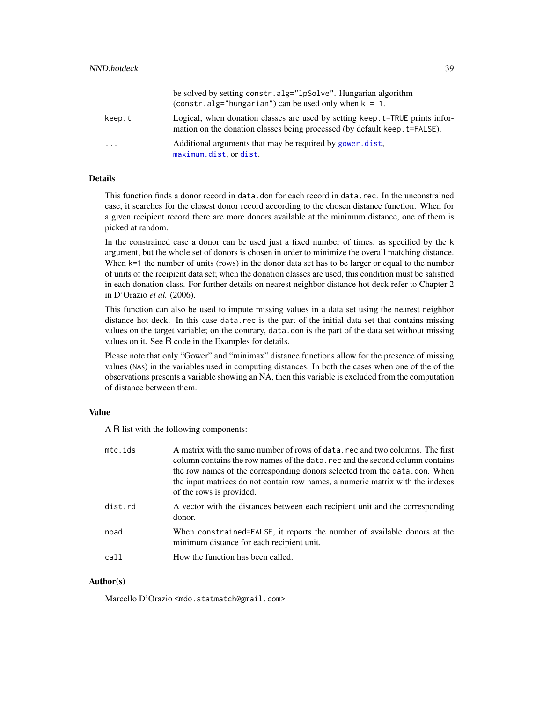<span id="page-38-0"></span>

|                         | be solved by setting constr.alg="lpSolve". Hungarian algorithm<br>(constr.alg="hungarian") can be used only when $k = 1$ .                                  |
|-------------------------|-------------------------------------------------------------------------------------------------------------------------------------------------------------|
| keep.t                  | Logical, when donation classes are used by setting keep. t=TRUE prints infor-<br>mation on the donation classes being processed (by default keep. t=FALSE). |
| $\cdot$ $\cdot$ $\cdot$ | Additional arguments that may be required by gower. dist.<br>maximum.dist.ordist.                                                                           |

### **Details**

This function finds a donor record in data.don for each record in data.rec. In the unconstrained case, it searches for the closest donor record according to the chosen distance function. When for a given recipient record there are more donors available at the minimum distance, one of them is picked at random.

In the constrained case a donor can be used just a fixed number of times, as specified by the k argument, but the whole set of donors is chosen in order to minimize the overall matching distance. When k=1 the number of units (rows) in the donor data set has to be larger or equal to the number of units of the recipient data set; when the donation classes are used, this condition must be satisfied in each donation class. For further details on nearest neighbor distance hot deck refer to Chapter 2 in D'Orazio *et al.* (2006).

This function can also be used to impute missing values in a data set using the nearest neighbor distance hot deck. In this case data.rec is the part of the initial data set that contains missing values on the target variable; on the contrary, data.don is the part of the data set without missing values on it. See R code in the Examples for details.

Please note that only "Gower" and "minimax" distance functions allow for the presence of missing values (NAs) in the variables used in computing distances. In both the cases when one of the of the observations presents a variable showing an NA, then this variable is excluded from the computation of distance between them.

### Value

A R list with the following components:

| mc.ids  | A matrix with the same number of rows of data, rec and two columns. The first<br>column contains the row names of the data, rec and the second column contains<br>the row names of the corresponding donors selected from the data, don. When<br>the input matrices do not contain row names, a numeric matrix with the indexes<br>of the rows is provided. |
|---------|-------------------------------------------------------------------------------------------------------------------------------------------------------------------------------------------------------------------------------------------------------------------------------------------------------------------------------------------------------------|
| dist.rd | A vector with the distances between each recipient unit and the corresponding<br>donor.                                                                                                                                                                                                                                                                     |
| noad    | When constrained=FALSE, it reports the number of available donors at the<br>minimum distance for each recipient unit.                                                                                                                                                                                                                                       |
| call    | How the function has been called.                                                                                                                                                                                                                                                                                                                           |

### Author(s)

Marcello D'Orazio <mdo.statmatch@gmail.com>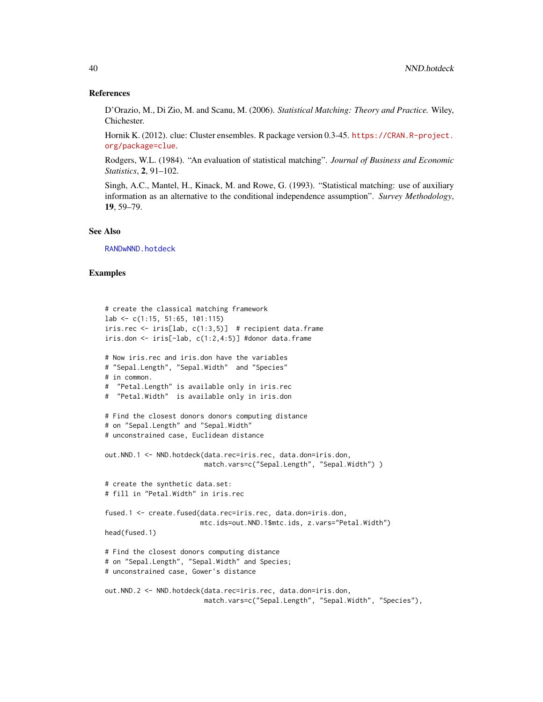### References

D'Orazio, M., Di Zio, M. and Scanu, M. (2006). *Statistical Matching: Theory and Practice.* Wiley, Chichester.

Hornik K. (2012). clue: Cluster ensembles. R package version 0.3-45. [https://CRAN.R-project.](https://CRAN.R-project.org/package=clue) [org/package=clue](https://CRAN.R-project.org/package=clue).

Rodgers, W.L. (1984). "An evaluation of statistical matching". *Journal of Business and Economic Statistics*, 2, 91–102.

Singh, A.C., Mantel, H., Kinack, M. and Rowe, G. (1993). "Statistical matching: use of auxiliary information as an alternative to the conditional independence assumption". *Survey Methodology*, 19, 59–79.

### See Also

[RANDwNND.hotdeck](#page-46-1)

### Examples

```
# create the classical matching framework
lab \leftarrow c(1:15, 51:65, 101:115)iris.rec <- iris[lab, c(1:3,5)] # recipient data.frame
iris.don < -iris[-lab, c(1:2,4:5)] #donor data.frame
# Now iris.rec and iris.don have the variables
# "Sepal.Length", "Sepal.Width" and "Species"
# in common.
# "Petal.Length" is available only in iris.rec
# "Petal.Width" is available only in iris.don
# Find the closest donors donors computing distance
# on "Sepal.Length" and "Sepal.Width"
# unconstrained case, Euclidean distance
out.NND.1 <- NND.hotdeck(data.rec=iris.rec, data.don=iris.don,
                         match.vars=c("Sepal.Length", "Sepal.Width") )
# create the synthetic data.set:
# fill in "Petal.Width" in iris.rec
fused.1 <- create.fused(data.rec=iris.rec, data.don=iris.don,
                        mtc.ids=out.NND.1$mtc.ids, z.vars="Petal.Width")
head(fused.1)
# Find the closest donors computing distance
# on "Sepal.Length", "Sepal.Width" and Species;
# unconstrained case, Gower's distance
out.NND.2 <- NND.hotdeck(data.rec=iris.rec, data.don=iris.don,
                         match.vars=c("Sepal.Length", "Sepal.Width", "Species"),
```
<span id="page-39-0"></span>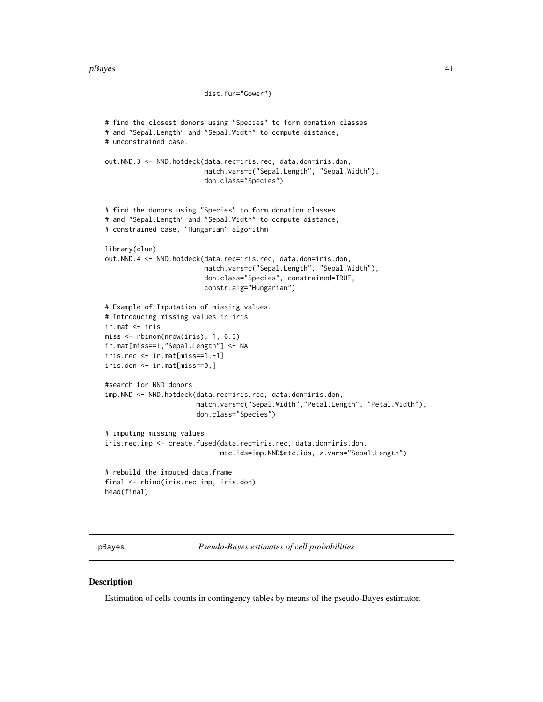#### <span id="page-40-0"></span> $pBayes$  41

```
dist.fun="Gower")
# find the closest donors using "Species" to form donation classes
# and "Sepal.Length" and "Sepal.Width" to compute distance;
# unconstrained case.
out.NND.3 <- NND.hotdeck(data.rec=iris.rec, data.don=iris.don,
                         match.vars=c("Sepal.Length", "Sepal.Width"),
                         don.class="Species")
# find the donors using "Species" to form donation classes
# and "Sepal.Length" and "Sepal.Width" to compute distance;
# constrained case, "Hungarian" algorithm
library(clue)
out.NND.4 <- NND.hotdeck(data.rec=iris.rec, data.don=iris.don,
                         match.vars=c("Sepal.Length", "Sepal.Width"),
                         don.class="Species", constrained=TRUE,
                         constr.alg="Hungarian")
# Example of Imputation of missing values.
# Introducing missing values in iris
ir.mat <- iris
miss <- rbinom(nrow(iris), 1, 0.3)
ir.mat[miss==1,"Sepal.Length"] <- NA
iris.rec <- ir.mat[miss==1,-1]
iris.don <- ir.mat[miss==0,]
#search for NND donors
imp.NND <- NND.hotdeck(data.rec=iris.rec, data.don=iris.don,
                       match.vars=c("Sepal.Width","Petal.Length", "Petal.Width"),
                       don.class="Species")
# imputing missing values
iris.rec.imp <- create.fused(data.rec=iris.rec, data.don=iris.don,
                             mtc.ids=imp.NND$mtc.ids, z.vars="Sepal.Length")
# rebuild the imputed data.frame
final <- rbind(iris.rec.imp, iris.don)
head(final)
```
<span id="page-40-1"></span>pBayes *Pseudo-Bayes estimates of cell probabilities*

#### Description

Estimation of cells counts in contingency tables by means of the pseudo-Bayes estimator.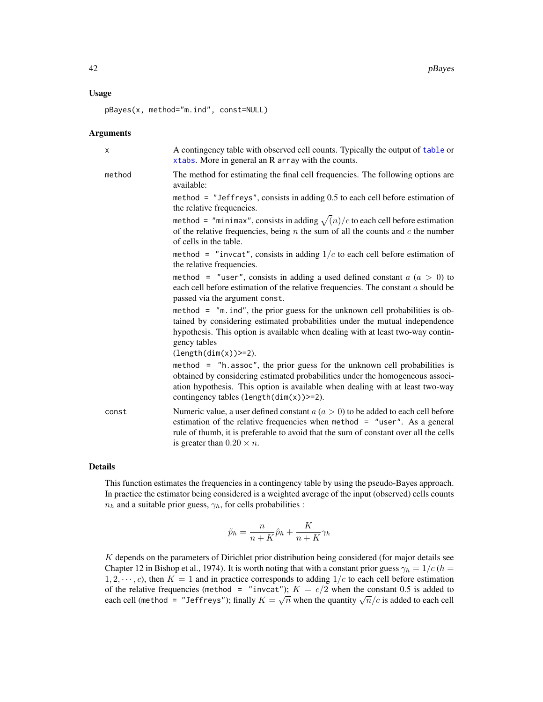### <span id="page-41-0"></span>Usage

pBayes(x, method="m.ind", const=NULL)

#### Arguments

| X      | A contingency table with observed cell counts. Typically the output of table or<br>xtabs. More in general an R array with the counts.                                                                                                                                                                |
|--------|------------------------------------------------------------------------------------------------------------------------------------------------------------------------------------------------------------------------------------------------------------------------------------------------------|
| method | The method for estimating the final cell frequencies. The following options are<br>available:                                                                                                                                                                                                        |
|        | method = $"Jeffreys", consists in adding 0.5 to each cell before estimation of$<br>the relative frequencies.                                                                                                                                                                                         |
|        | method = "minimax", consists in adding $\sqrt{n}/c$ to each cell before estimation<br>of the relative frequencies, being $n$ the sum of all the counts and $c$ the number<br>of cells in the table.                                                                                                  |
|        | method = "invcat", consists in adding $1/c$ to each cell before estimation of<br>the relative frequencies.                                                                                                                                                                                           |
|        | method = "user", consists in adding a used defined constant $a (a > 0)$ to<br>each cell before estimation of the relative frequencies. The constant $a$ should be<br>passed via the argument const.                                                                                                  |
|        | method = $\degree$ m.ind", the prior guess for the unknown cell probabilities is ob-<br>tained by considering estimated probabilities under the mutual independence<br>hypothesis. This option is available when dealing with at least two-way contin-<br>gency tables<br>$(length(dim(x))>=2).$     |
|        | method = $"h$ . assoc", the prior guess for the unknown cell probabilities is<br>obtained by considering estimated probabilities under the homogeneous associ-<br>ation hypothesis. This option is available when dealing with at least two-way<br>contingency tables $(\text{length}(dim(x))>=2)$ . |
| const  | Numeric value, a user defined constant $a(a > 0)$ to be added to each cell before<br>estimation of the relative frequencies when method = "user". As a general<br>rule of thumb, it is preferable to avoid that the sum of constant over all the cells<br>is greater than $0.20 \times n$ .          |

### Details

This function estimates the frequencies in a contingency table by using the pseudo-Bayes approach. In practice the estimator being considered is a weighted average of the input (observed) cells counts  $n_h$  and a suitable prior guess,  $\gamma_h$ , for cells probabilities :

$$
\tilde{p}_h = \frac{n}{n+K}\hat{p}_h + \frac{K}{n+K}\gamma_h
$$

K depends on the parameters of Dirichlet prior distribution being considered (for major details see Chapter 12 in Bishop et al., 1974). It is worth noting that with a constant prior guess  $\gamma_h = 1/c$  (h =  $1, 2, \dots, c$ , then  $K = 1$  and in practice corresponds to adding  $1/c$  to each cell before estimation of the relative frequencies (method = "invcat");  $K = c/2$  when the constant 0.5 is added to of the relative frequencies (inection  $\overline{a}$  =  $\overline{b}$  invest  $\overline{b}$ ,  $K = c/2$  when the constant 0.5 is added to each cell (method = "Jeffreys"); finally  $K = \sqrt{n}$  when the quantity  $\sqrt{n}/c$  is added to each cell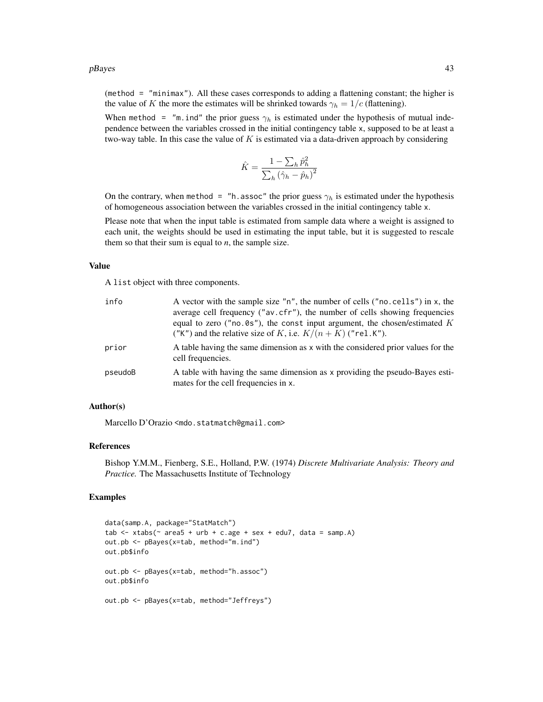#### $pBayes$  43

(method = "minimax"). All these cases corresponds to adding a flattening constant; the higher is the value of K the more the estimates will be shrinked towards  $\gamma_h = 1/c$  (flattening).

When method = "m.ind" the prior guess  $\gamma_h$  is estimated under the hypothesis of mutual independence between the variables crossed in the initial contingency table x, supposed to be at least a two-way table. In this case the value of  $K$  is estimated via a data-driven approach by considering

$$
\hat{K} = \frac{1 - \sum_h \hat{p}_h^2}{\sum_h (\hat{\gamma}_h - \hat{p}_h)^2}
$$

On the contrary, when method = "h.assoc" the prior guess  $\gamma_h$  is estimated under the hypothesis of homogeneous association between the variables crossed in the initial contingency table x.

Please note that when the input table is estimated from sample data where a weight is assigned to each unit, the weights should be used in estimating the input table, but it is suggested to rescale them so that their sum is equal to  $n$ , the sample size.

### Value

A list object with three components.

| info    | A vector with the sample size "n", the number of cells ("no. cells") in x, the<br>average cell frequency ("av.cfr"), the number of cells showing frequencies<br>equal to zero ( $"no.0s"$ ), the const input argument, the chosen/estimated K<br>("K") and the relative size of K, i.e. $K/(n+K)$ ("rel.K"). |
|---------|--------------------------------------------------------------------------------------------------------------------------------------------------------------------------------------------------------------------------------------------------------------------------------------------------------------|
| prior   | A table having the same dimension as x with the considered prior values for the<br>cell frequencies.                                                                                                                                                                                                         |
| pseudoB | A table with having the same dimension as x providing the pseudo-Bayes esti-<br>mates for the cell frequencies in x.                                                                                                                                                                                         |

#### Author(s)

Marcello D'Orazio <mdo.statmatch@gmail.com>

#### References

Bishop Y.M.M., Fienberg, S.E., Holland, P.W. (1974) *Discrete Multivariate Analysis: Theory and Practice.* The Massachusetts Institute of Technology

### Examples

```
data(samp.A, package="StatMatch")
tab \le xtabs(\le area5 + urb + c.age + sex + edu7, data = samp.A)
out.pb <- pBayes(x=tab, method="m.ind")
out.pb$info
out.pb <- pBayes(x=tab, method="h.assoc")
out.pb$info
out.pb <- pBayes(x=tab, method="Jeffreys")
```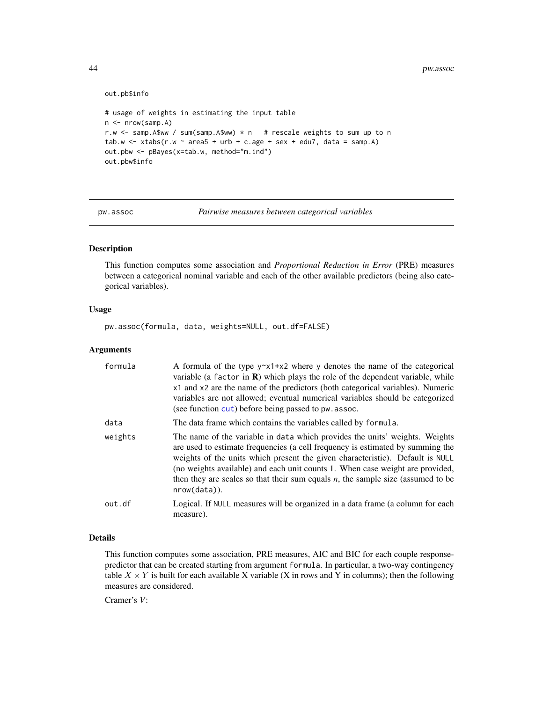```
out.pb$info
# usage of weights in estimating the input table
n <- nrow(samp.A)
r.w \le samp. A$ww / sum(samp. A$ww) * n # rescale weights to sum up to n
tab.w \leftarrow x tabs(r.w \sim area5 + urb + c.age + sex + edu7, data = samp.A)out.pbw <- pBayes(x=tab.w, method="m.ind")
out.pbw$info
```

```
pw.assoc Pairwise measures between categorical variables
```
### Description

This function computes some association and *Proportional Reduction in Error* (PRE) measures between a categorical nominal variable and each of the other available predictors (being also categorical variables).

### Usage

pw.assoc(formula, data, weights=NULL, out.df=FALSE)

### **Arguments**

| formula | A formula of the type $y \sim x1+x2$ where y denotes the name of the categorical<br>variable (a factor in $\bf{R}$ ) which plays the role of the dependent variable, while<br>x1 and x2 are the name of the predictors (both categorical variables). Numeric<br>variables are not allowed; eventual numerical variables should be categorized<br>(see function cut) before being passed to pw. assoc.                                 |
|---------|---------------------------------------------------------------------------------------------------------------------------------------------------------------------------------------------------------------------------------------------------------------------------------------------------------------------------------------------------------------------------------------------------------------------------------------|
| data    | The data frame which contains the variables called by formula.                                                                                                                                                                                                                                                                                                                                                                        |
| weights | The name of the variable in data which provides the units' weights. Weights<br>are used to estimate frequencies (a cell frequency is estimated by summing the<br>weights of the units which present the given characteristic). Default is NULL<br>(no weights available) and each unit counts 1. When case weight are provided,<br>then they are scales so that their sum equals $n$ , the sample size (assumed to be<br>nrow(data)). |
| out.df  | Logical. If NULL measures will be organized in a data frame (a column for each<br>measure).                                                                                                                                                                                                                                                                                                                                           |

### Details

This function computes some association, PRE measures, AIC and BIC for each couple responsepredictor that can be created starting from argument formula. In particular, a two-way contingency table  $X \times Y$  is built for each available X variable (X in rows and Y in columns); then the following measures are considered.

Cramer's *V*:

<span id="page-43-0"></span>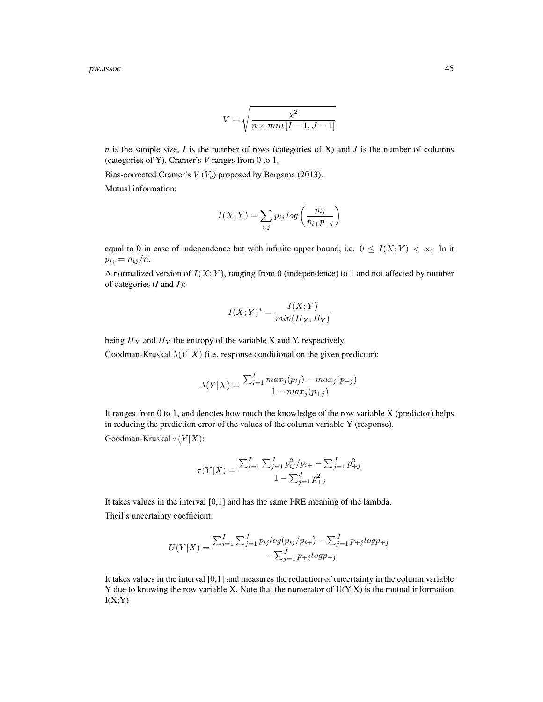pw.assoc **45** 

$$
V = \sqrt{\frac{\chi^2}{n \times min\left[I-1, J-1\right]}}
$$

*n* is the sample size, *I* is the number of rows (categories of X) and *J* is the number of columns (categories of Y). Cramer's *V* ranges from 0 to 1.

Bias-corrected Cramer's  $V(V_c)$  proposed by Bergsma (2013).

Mutual information:

$$
I(X;Y) = \sum_{i,j} p_{ij} \log \left( \frac{p_{ij}}{p_{i+}p_{+j}} \right)
$$

equal to 0 in case of independence but with infinite upper bound, i.e.  $0 \le I(X;Y) < \infty$ . In it  $p_{ij} = n_{ij}/n.$ 

A normalized version of  $I(X; Y)$ , ranging from 0 (independence) to 1 and not affected by number of categories (*I* and *J*):

$$
I(X;Y)^* = \frac{I(X;Y)}{\min(H_X,H_Y)}
$$

being  $H_X$  and  $H_Y$  the entropy of the variable X and Y, respectively.

Goodman-Kruskal  $\lambda(Y|X)$  (i.e. response conditional on the given predictor):

$$
\lambda(Y|X) = \frac{\sum_{i=1}^{I} max_j(p_{ij}) - max_j(p_{+j})}{1 - max_j(p_{+j})}
$$

It ranges from 0 to 1, and denotes how much the knowledge of the row variable X (predictor) helps in reducing the prediction error of the values of the column variable Y (response).

Goodman-Kruskal  $\tau(Y|X)$ :

$$
\tau(Y|X) = \frac{\sum_{i=1}^{I} \sum_{j=1}^{J} p_{ij}^2 / p_{i+} - \sum_{j=1}^{J} p_{+j}^2}{1 - \sum_{j=1}^{J} p_{+j}^2}
$$

It takes values in the interval [0,1] and has the same PRE meaning of the lambda. Theil's uncertainty coefficient:

$$
U(Y|X) = \frac{\sum_{i=1}^{I} \sum_{j=1}^{J} p_{ij} log(p_{ij}/p_{i+}) - \sum_{j=1}^{J} p_{+j} log p_{+j}}{-\sum_{j=1}^{J} p_{+j} log p_{+j}}
$$

It takes values in the interval [0,1] and measures the reduction of uncertainty in the column variable Y due to knowing the row variable X. Note that the numerator of  $U(Y|X)$  is the mutual information  $I(X;Y)$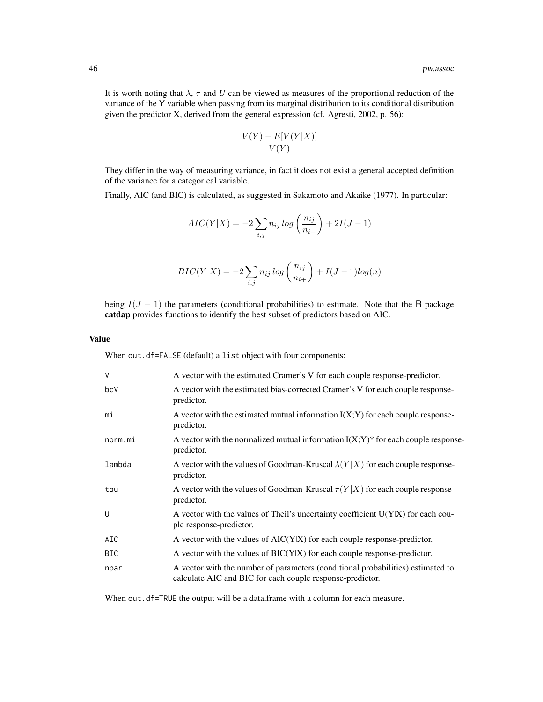It is worth noting that  $\lambda$ ,  $\tau$  and *U* can be viewed as measures of the proportional reduction of the variance of the Y variable when passing from its marginal distribution to its conditional distribution given the predictor X, derived from the general expression (cf. Agresti, 2002, p. 56):

$$
\frac{V(Y) - E[V(Y|X)]}{V(Y)}
$$

They differ in the way of measuring variance, in fact it does not exist a general accepted definition of the variance for a categorical variable.

Finally, AIC (and BIC) is calculated, as suggested in Sakamoto and Akaike (1977). In particular:

$$
AIC(Y|X) = -2\sum_{i,j} n_{ij} \log\left(\frac{n_{ij}}{n_{i+}}\right) + 2I(J-1)
$$

$$
BIC(Y|X) = -2\sum_{i,j} n_{ij} \log\left(\frac{n_{ij}}{n_{i+}}\right) + I(J-1)\log(n)
$$

being  $I(J - 1)$  the parameters (conditional probabilities) to estimate. Note that the R package catdap provides functions to identify the best subset of predictors based on AIC.

#### Value

When out.df=FALSE (default) a list object with four components:

| $\vee$     | A vector with the estimated Cramer's V for each couple response-predictor.                                                                   |
|------------|----------------------------------------------------------------------------------------------------------------------------------------------|
| bcV        | A vector with the estimated bias-corrected Cramer's V for each couple response-<br>predictor.                                                |
| mi         | A vector with the estimated mutual information $I(X;Y)$ for each couple response-<br>predictor.                                              |
| norm.mi    | A vector with the normalized mutual information $I(X;Y)^*$ for each couple response-<br>predictor.                                           |
| lambda     | A vector with the values of Goodman-Kruscal $\lambda(Y X)$ for each couple response-<br>predictor.                                           |
| tau        | A vector with the values of Goodman-Kruscal $\tau(Y X)$ for each couple response-<br>predictor.                                              |
| U          | A vector with the values of Theil's uncertainty coefficient U(YIX) for each cou-<br>ple response-predictor.                                  |
| AIC        | A vector with the values of $AIC(Y X)$ for each couple response-predictor.                                                                   |
| <b>BIC</b> | A vector with the values of $BIC(Y X)$ for each couple response-predictor.                                                                   |
| npar       | A vector with the number of parameters (conditional probabilities) estimated to<br>calculate AIC and BIC for each couple response-predictor. |

When out.df=TRUE the output will be a data.frame with a column for each measure.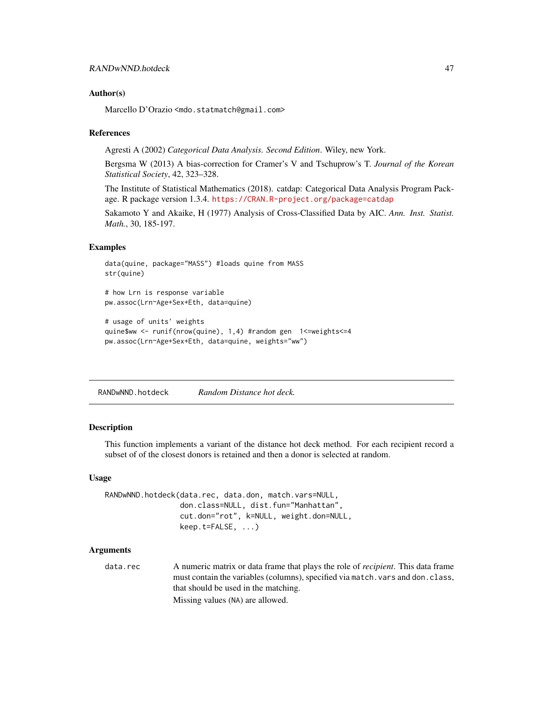### <span id="page-46-0"></span>Author(s)

Marcello D'Orazio <mdo.statmatch@gmail.com>

### References

Agresti A (2002) *Categorical Data Analysis. Second Edition*. Wiley, new York.

Bergsma W (2013) A bias-correction for Cramer's V and Tschuprow's T. *Journal of the Korean Statistical Society*, 42, 323–328.

The Institute of Statistical Mathematics (2018). catdap: Categorical Data Analysis Program Package. R package version 1.3.4. <https://CRAN.R-project.org/package=catdap>

Sakamoto Y and Akaike, H (1977) Analysis of Cross-Classified Data by AIC. *Ann. Inst. Statist. Math.*, 30, 185-197.

#### Examples

```
data(quine, package="MASS") #loads quine from MASS
str(quine)
# how Lrn is response variable
pw.assoc(Lrn~Age+Sex+Eth, data=quine)
```

```
# usage of units' weights
quine$ww <- runif(nrow(quine), 1,4) #random gen 1<=weights<=4
pw.assoc(Lrn~Age+Sex+Eth, data=quine, weights="ww")
```
<span id="page-46-1"></span>RANDwNND.hotdeck *Random Distance hot deck.*

### Description

This function implements a variant of the distance hot deck method. For each recipient record a subset of of the closest donors is retained and then a donor is selected at random.

### Usage

```
RANDwNND.hotdeck(data.rec, data.don, match.vars=NULL,
                 don.class=NULL, dist.fun="Manhattan",
                 cut.don="rot", k=NULL, weight.don=NULL,
                 keep.t=FALSE, ...)
```
### Arguments

data.rec A numeric matrix or data frame that plays the role of *recipient*. This data frame must contain the variables (columns), specified via match. vars and don.class, that should be used in the matching. Missing values (NA) are allowed.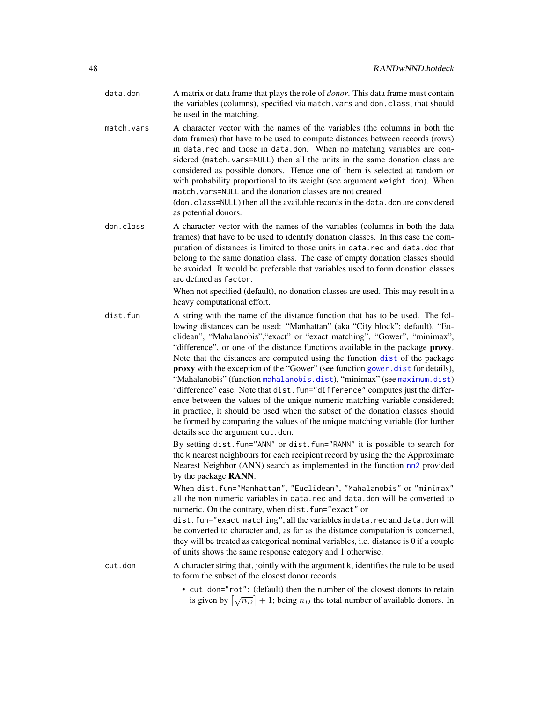- <span id="page-47-0"></span>data.don A matrix or data frame that plays the role of *donor*. This data frame must contain the variables (columns), specified via match.vars and don.class, that should be used in the matching.
- match.vars A character vector with the names of the variables (the columns in both the data frames) that have to be used to compute distances between records (rows) in data.rec and those in data.don. When no matching variables are considered (match.vars=NULL) then all the units in the same donation class are considered as possible donors. Hence one of them is selected at random or with probability proportional to its weight (see argument weight.don). When match.vars=NULL and the donation classes are not created (don.class=NULL) then all the available records in the data.don are considered
	- as potential donors.
- don.class A character vector with the names of the variables (columns in both the data frames) that have to be used to identify donation classes. In this case the computation of distances is limited to those units in data.rec and data.doc that belong to the same donation class. The case of empty donation classes should be avoided. It would be preferable that variables used to form donation classes are defined as factor.

When not specified (default), no donation classes are used. This may result in a heavy computational effort.

dist.fun A string with the name of the distance function that has to be used. The following distances can be used: "Manhattan" (aka "City block"; default), "Euclidean", "Mahalanobis","exact" or "exact matching", "Gower", "minimax", "difference", or one of the distance functions available in the package **proxy**. Note that the distances are computed using the function [dist](#page-0-0) of the package proxy with the exception of the "Gower" (see function [gower.dist](#page-20-1) for details), "Mahalanobis" (function [mahalanobis.dist](#page-28-1)), "minimax" (see [maximum.dist](#page-29-1)) "difference" case. Note that dist.fun="difference" computes just the difference between the values of the unique numeric matching variable considered; in practice, it should be used when the subset of the donation classes should be formed by comparing the values of the unique matching variable (for further details see the argument cut.don.

> By setting dist.fun="ANN" or dist.fun="RANN" it is possible to search for the k nearest neighbours for each recipient record by using the the Approximate Nearest Neighbor (ANN) search as implemented in the function [nn2](#page-0-0) provided by the package RANN.

> When dist.fun="Manhattan", "Euclidean", "Mahalanobis" or "minimax" all the non numeric variables in data.rec and data.don will be converted to numeric. On the contrary, when dist.fun="exact" or

> dist.fun="exact matching", all the variables in data.rec and data.don will be converted to character and, as far as the distance computation is concerned, they will be treated as categorical nominal variables, i.e. distance is 0 if a couple of units shows the same response category and 1 otherwise.

cut.don A character string that, jointly with the argument k, identifies the rule to be used to form the subset of the closest donor records.

> • cut.don="rot": (default) then the number of the closest donors to retain Eq. (30.1- 1 or ). (detaint) then the number of the crosss donors to retain<br>is given by  $[\sqrt{n_D}] + 1$ ; being  $n_D$  the total number of available donors. In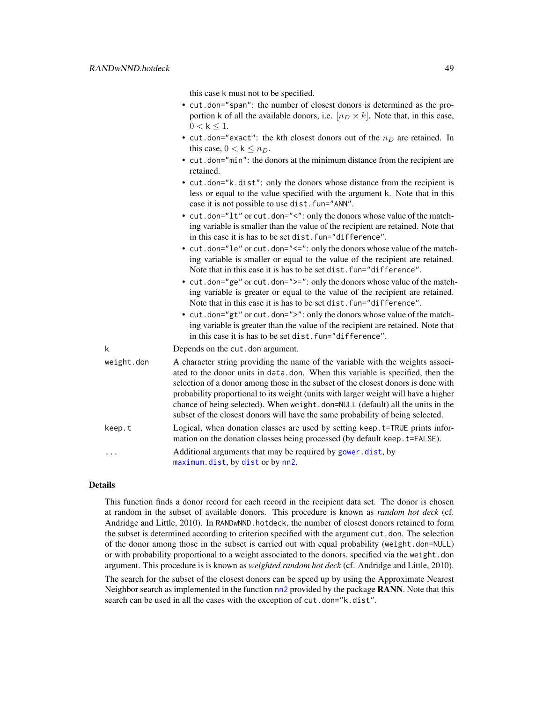this case k must not to be specified.

- <span id="page-48-0"></span>• cut.don="span": the number of closest donors is determined as the proportion k of all the available donors, i.e.  $[n_D \times k]$ . Note that, in this case,  $0 < k \leq 1$ .
- cut.don="exact": the kth closest donors out of the  $n_D$  are retained. In this case,  $0 < k \leq n_D$ .
- cut.don="min": the donors at the minimum distance from the recipient are retained.
- cut.don="k.dist": only the donors whose distance from the recipient is less or equal to the value specified with the argument k. Note that in this case it is not possible to use dist.fun="ANN".
- cut.don="lt" or cut.don="<": only the donors whose value of the matching variable is smaller than the value of the recipient are retained. Note that in this case it is has to be set dist.fun="difference".
- cut.don="le" or cut.don="<=": only the donors whose value of the matching variable is smaller or equal to the value of the recipient are retained. Note that in this case it is has to be set dist.fun="difference".
- cut.don="ge" or cut.don=">=": only the donors whose value of the matching variable is greater or equal to the value of the recipient are retained. Note that in this case it is has to be set dist.fun="difference".
- cut.don="gt" or cut.don=">": only the donors whose value of the matching variable is greater than the value of the recipient are retained. Note that in this case it is has to be set dist.fun="difference".

k Depends on the cut.don argument.

| weight.don | A character string providing the name of the variable with the weights associ-                                                                              |
|------------|-------------------------------------------------------------------------------------------------------------------------------------------------------------|
|            | ated to the donor units in data.don. When this variable is specified, then the                                                                              |
|            | selection of a donor among those in the subset of the closest donors is done with                                                                           |
|            | probability proportional to its weight (units with larger weight will have a higher                                                                         |
|            | chance of being selected). When weight.don=NULL (default) all the units in the                                                                              |
|            | subset of the closest donors will have the same probability of being selected.                                                                              |
| keep.t     | Logical, when donation classes are used by setting keep. t=TRUE prints infor-<br>mation on the donation classes being processed (by default keep. t=FALSE). |
| .          | Additional arguments that may be required by gower. dist, by<br>maximum.dist, by dist or by nn2.                                                            |

### Details

This function finds a donor record for each record in the recipient data set. The donor is chosen at random in the subset of available donors. This procedure is known as *random hot deck* (cf. Andridge and Little, 2010). In RANDwNND.hotdeck, the number of closest donors retained to form the subset is determined according to criterion specified with the argument cut.don. The selection of the donor among those in the subset is carried out with equal probability (weight.don=NULL) or with probability proportional to a weight associated to the donors, specified via the weight.don argument. This procedure is is known as *weighted random hot deck* (cf. Andridge and Little, 2010).

The search for the subset of the closest donors can be speed up by using the Approximate Nearest Neighbor search as implemented in the function  $nn2$  provided by the package **RANN**. Note that this search can be used in all the cases with the exception of cut.don="k.dist".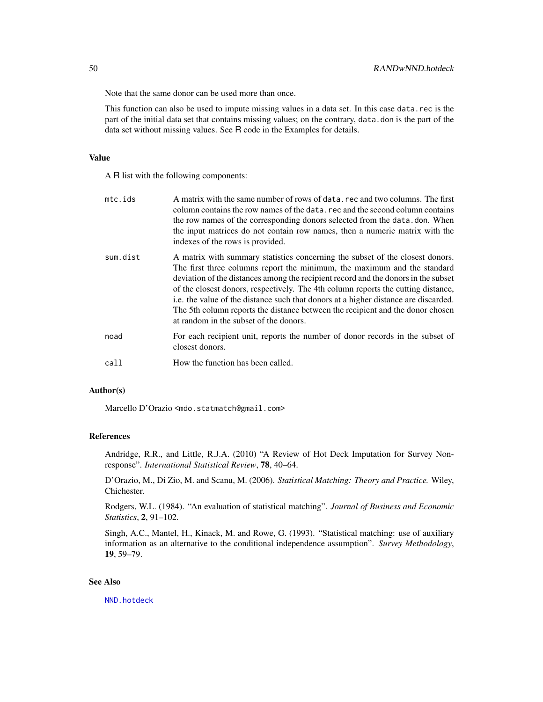<span id="page-49-0"></span>Note that the same donor can be used more than once.

This function can also be used to impute missing values in a data set. In this case data.rec is the part of the initial data set that contains missing values; on the contrary, data.don is the part of the data set without missing values. See R code in the Examples for details.

### Value

A R list with the following components:

| $mc$ . $ids$ | A matrix with the same number of rows of data, rec and two columns. The first<br>column contains the row names of the data, rec and the second column contains<br>the row names of the corresponding donors selected from the data, don. When<br>the input matrices do not contain row names, then a numeric matrix with the<br>indexes of the rows is provided.                                                                                                                                                                                        |
|--------------|---------------------------------------------------------------------------------------------------------------------------------------------------------------------------------------------------------------------------------------------------------------------------------------------------------------------------------------------------------------------------------------------------------------------------------------------------------------------------------------------------------------------------------------------------------|
| sum.dist     | A matrix with summary statistics concerning the subset of the closest donors.<br>The first three columns report the minimum, the maximum and the standard<br>deviation of the distances among the recipient record and the donors in the subset<br>of the closest donors, respectively. The 4th column reports the cutting distance,<br>i.e. the value of the distance such that donors at a higher distance are discarded.<br>The 5th column reports the distance between the recipient and the donor chosen<br>at random in the subset of the donors. |
| noad         | For each recipient unit, reports the number of donor records in the subset of<br>closest donors.                                                                                                                                                                                                                                                                                                                                                                                                                                                        |
| call         | How the function has been called.                                                                                                                                                                                                                                                                                                                                                                                                                                                                                                                       |

### Author(s)

Marcello D'Orazio <mdo.statmatch@gmail.com>

### References

Andridge, R.R., and Little, R.J.A. (2010) "A Review of Hot Deck Imputation for Survey Nonresponse". *International Statistical Review*, 78, 40–64.

D'Orazio, M., Di Zio, M. and Scanu, M. (2006). *Statistical Matching: Theory and Practice.* Wiley, Chichester.

Rodgers, W.L. (1984). "An evaluation of statistical matching". *Journal of Business and Economic Statistics*, 2, 91–102.

Singh, A.C., Mantel, H., Kinack, M. and Rowe, G. (1993). "Statistical matching: use of auxiliary information as an alternative to the conditional independence assumption". *Survey Methodology*, 19, 59–79.

#### See Also

[NND.hotdeck](#page-36-1)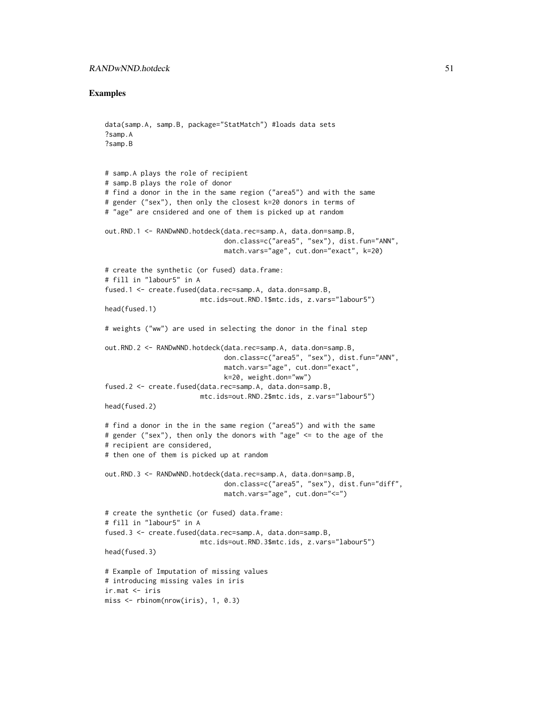### Examples

```
data(samp.A, samp.B, package="StatMatch") #loads data sets
?samp.A
?samp.B
# samp.A plays the role of recipient
# samp.B plays the role of donor
# find a donor in the in the same region ("area5") and with the same
# gender ("sex"), then only the closest k=20 donors in terms of
# "age" are cnsidered and one of them is picked up at random
out.RND.1 <- RANDwNND.hotdeck(data.rec=samp.A, data.don=samp.B,
                              don.class=c("area5", "sex"), dist.fun="ANN",
                              match.vars="age", cut.don="exact", k=20)
# create the synthetic (or fused) data.frame:
# fill in "labour5" in A
fused.1 <- create.fused(data.rec=samp.A, data.don=samp.B,
                        mtc.ids=out.RND.1$mtc.ids, z.vars="labour5")
head(fused.1)
# weights ("ww") are used in selecting the donor in the final step
out.RND.2 <- RANDwNND.hotdeck(data.rec=samp.A, data.don=samp.B,
                              don.class=c("area5", "sex"), dist.fun="ANN",
                              match.vars="age", cut.don="exact",
                              k=20, weight.don="ww")
fused.2 <- create.fused(data.rec=samp.A, data.don=samp.B,
                        mtc.ids=out.RND.2$mtc.ids, z.vars="labour5")
head(fused.2)
# find a donor in the in the same region ("area5") and with the same
# gender ("sex"), then only the donors with "age" <= to the age of the
# recipient are considered,
# then one of them is picked up at random
out.RND.3 <- RANDwNND.hotdeck(data.rec=samp.A, data.don=samp.B,
                              don.class=c("area5", "sex"), dist.fun="diff",
                              match.vars="age", cut.don="<=")
# create the synthetic (or fused) data.frame:
# fill in "labour5" in A
fused.3 <- create.fused(data.rec=samp.A, data.don=samp.B,
                        mtc.ids=out.RND.3$mtc.ids, z.vars="labour5")
head(fused.3)
# Example of Imputation of missing values
# introducing missing vales in iris
ir.mat <- iris
miss <- rbinom(nrow(iris), 1, 0.3)
```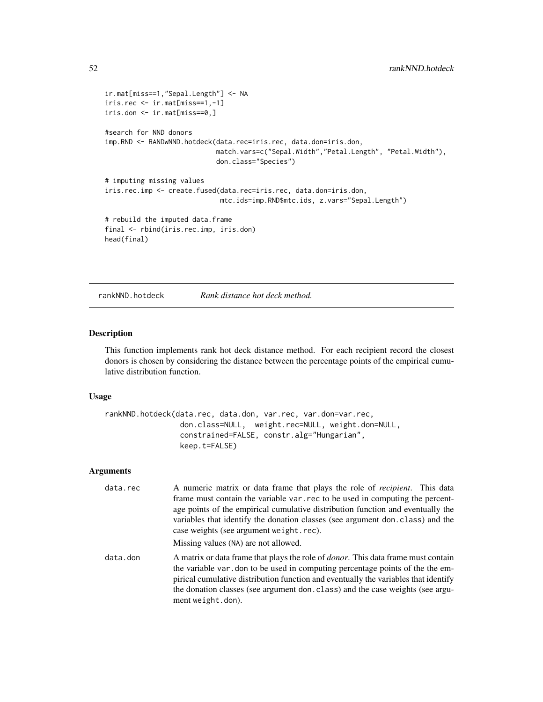```
ir.mat[miss==1,"Sepal.Length"] <- NA
iris.rec <- ir.mat[miss==1,-1]
iris.don <- ir.mat[miss==0,]
#search for NND donors
imp.RND <- RANDwNND.hotdeck(data.rec=iris.rec, data.don=iris.don,
                            match.vars=c("Sepal.Width","Petal.Length", "Petal.Width"),
                            don.class="Species")
# imputing missing values
iris.rec.imp <- create.fused(data.rec=iris.rec, data.don=iris.don,
                             mtc.ids=imp.RND$mtc.ids, z.vars="Sepal.Length")
# rebuild the imputed data.frame
final <- rbind(iris.rec.imp, iris.don)
head(final)
```
<span id="page-51-1"></span>rankNND.hotdeck *Rank distance hot deck method.*

### Description

This function implements rank hot deck distance method. For each recipient record the closest donors is chosen by considering the distance between the percentage points of the empirical cumulative distribution function.

### Usage

```
rankNND.hotdeck(data.rec, data.don, var.rec, var.don=var.rec,
                don.class=NULL, weight.rec=NULL, weight.don=NULL,
                constrained=FALSE, constr.alg="Hungarian",
                keep.t=FALSE)
```
### Arguments

| data.rec | A numeric matrix or data frame that plays the role of <i>recipient</i> . This data<br>frame must contain the variable var, rec to be used in computing the percent-<br>age points of the empirical cumulative distribution function and eventually the<br>variables that identify the donation classes (see argument don. class) and the<br>case weights (see argument weight.rec).<br>Missing values (NA) are not allowed. |
|----------|-----------------------------------------------------------------------------------------------------------------------------------------------------------------------------------------------------------------------------------------------------------------------------------------------------------------------------------------------------------------------------------------------------------------------------|
| data.don | A matrix or data frame that plays the role of <i>donor</i> . This data frame must contain<br>the variable var, don to be used in computing percentage points of the the em-<br>pirical cumulative distribution function and eventually the variables that identify<br>the donation classes (see argument don. class) and the case weights (see argu-<br>ment weight.don).                                                   |

<span id="page-51-0"></span>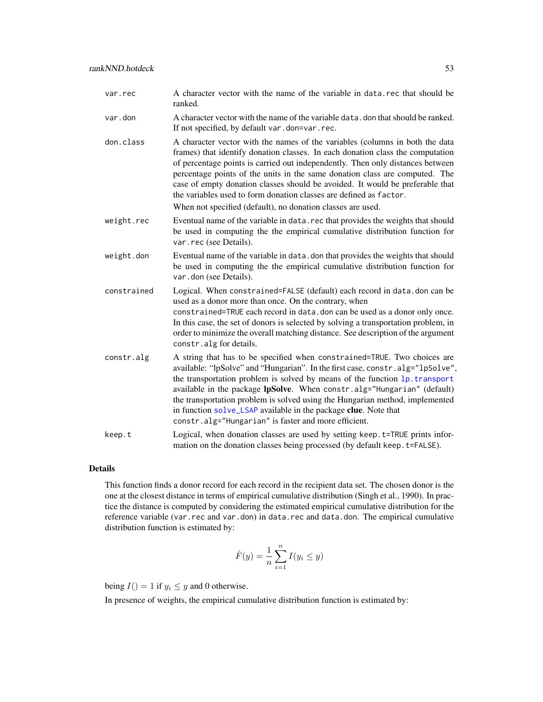<span id="page-52-0"></span>

| var.rec | A character vector with the name of the variable in data, rec that should be |
|---------|------------------------------------------------------------------------------|
|         | ranked.                                                                      |

- var.don A character vector with the name of the variable data.don that should be ranked. If not specified, by default var.don=var.rec.
- don.class A character vector with the names of the variables (columns in both the data frames) that identify donation classes. In each donation class the computation of percentage points is carried out independently. Then only distances between percentage points of the units in the same donation class are computed. The case of empty donation classes should be avoided. It would be preferable that the variables used to form donation classes are defined as factor.

When not specified (default), no donation classes are used.

- weight.rec Eventual name of the variable in data.rec that provides the weights that should be used in computing the the empirical cumulative distribution function for var.rec (see Details).
- weight.don Eventual name of the variable in data.don that provides the weights that should be used in computing the the empirical cumulative distribution function for var.don (see Details).
- constrained Logical. When constrained=FALSE (default) each record in data.don can be used as a donor more than once. On the contrary, when constrained=TRUE each record in data.don can be used as a donor only once. In this case, the set of donors is selected by solving a transportation problem, in order to minimize the overall matching distance. See description of the argument constr.alg for details.
- constr.alg A string that has to be specified when constrained=TRUE. Two choices are available: "lpSolve" and "Hungarian". In the first case, constr.alg="lpSolve", the transportation problem is solved by means of the function [lp.transport](#page-0-0) available in the package lpSolve. When constr.alg="Hungarian" (default) the transportation problem is solved using the Hungarian method, implemented in function [solve\\_LSAP](#page-0-0) available in the package clue. Note that constr.alg="Hungarian" is faster and more efficient.
- keep.t Logical, when donation classes are used by setting keep.t=TRUE prints information on the donation classes being processed (by default keep.t=FALSE).

### Details

This function finds a donor record for each record in the recipient data set. The chosen donor is the one at the closest distance in terms of empirical cumulative distribution (Singh et al., 1990). In practice the distance is computed by considering the estimated empirical cumulative distribution for the reference variable (var.rec and var.don) in data.rec and data.don. The empirical cumulative distribution function is estimated by:

$$
\hat{F}(y) = \frac{1}{n} \sum_{i=1}^{n} I(y_i \le y)
$$

being  $I() = 1$  if  $y_i \leq y$  and 0 otherwise.

In presence of weights, the empirical cumulative distribution function is estimated by: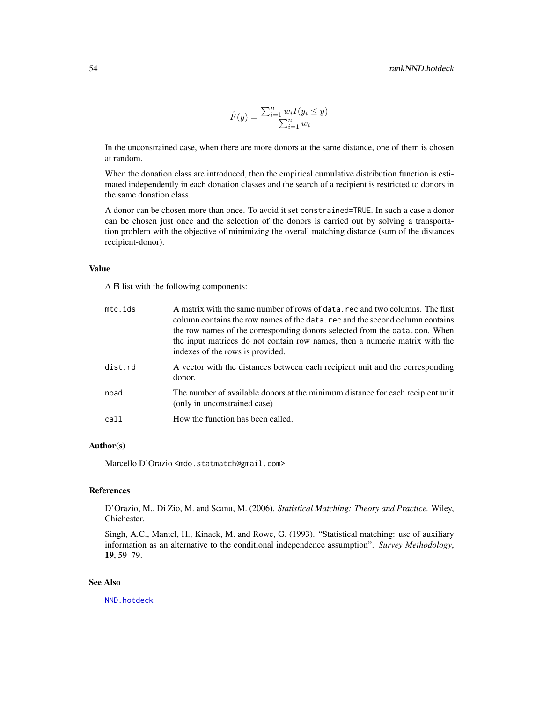$$
\hat{F}(y) = \frac{\sum_{i=1}^{n} w_i I(y_i \le y)}{\sum_{i=1}^{n} w_i}
$$

<span id="page-53-0"></span>In the unconstrained case, when there are more donors at the same distance, one of them is chosen at random.

When the donation class are introduced, then the empirical cumulative distribution function is estimated independently in each donation classes and the search of a recipient is restricted to donors in the same donation class.

A donor can be chosen more than once. To avoid it set constrained=TRUE. In such a case a donor can be chosen just once and the selection of the donors is carried out by solving a transportation problem with the objective of minimizing the overall matching distance (sum of the distances recipient-donor).

### Value

A R list with the following components:

| mc.ids  | A matrix with the same number of rows of data, rec and two columns. The first<br>column contains the row names of the data, rec and the second column contains<br>the row names of the corresponding donors selected from the data, don. When<br>the input matrices do not contain row names, then a numeric matrix with the<br>indexes of the rows is provided. |
|---------|------------------------------------------------------------------------------------------------------------------------------------------------------------------------------------------------------------------------------------------------------------------------------------------------------------------------------------------------------------------|
| dist.rd | A vector with the distances between each recipient unit and the corresponding<br>donor.                                                                                                                                                                                                                                                                          |
| noad    | The number of available donors at the minimum distance for each recipient unit<br>(only in unconstrained case)                                                                                                                                                                                                                                                   |
| call    | How the function has been called.                                                                                                                                                                                                                                                                                                                                |

### Author(s)

Marcello D'Orazio <mdo.statmatch@gmail.com>

### References

D'Orazio, M., Di Zio, M. and Scanu, M. (2006). *Statistical Matching: Theory and Practice.* Wiley, Chichester.

Singh, A.C., Mantel, H., Kinack, M. and Rowe, G. (1993). "Statistical matching: use of auxiliary information as an alternative to the conditional independence assumption". *Survey Methodology*, 19, 59–79.

#### See Also

[NND.hotdeck](#page-36-1)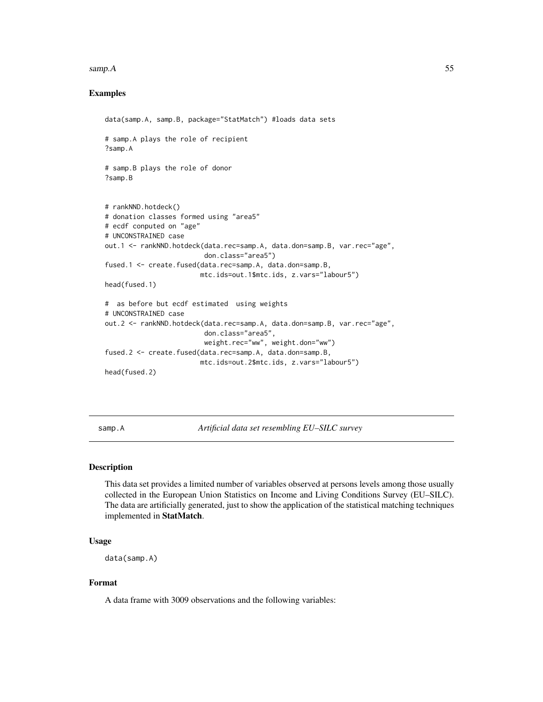#### <span id="page-54-0"></span>samp.A 55

### Examples

```
data(samp.A, samp.B, package="StatMatch") #loads data sets
# samp.A plays the role of recipient
?samp.A
# samp.B plays the role of donor
?samp.B
# rankNND.hotdeck()
# donation classes formed using "area5"
# ecdf conputed on "age"
# UNCONSTRAINED case
out.1 <- rankNND.hotdeck(data.rec=samp.A, data.don=samp.B, var.rec="age",
                         don.class="area5")
fused.1 <- create.fused(data.rec=samp.A, data.don=samp.B,
                        mtc.ids=out.1$mtc.ids, z.vars="labour5")
head(fused.1)
# as before but ecdf estimated using weights
# UNCONSTRAINED case
out.2 <- rankNND.hotdeck(data.rec=samp.A, data.don=samp.B, var.rec="age",
                         don.class="area5",
                         weight.rec="ww", weight.don="ww")
fused.2 <- create.fused(data.rec=samp.A, data.don=samp.B,
                        mtc.ids=out.2$mtc.ids, z.vars="labour5")
head(fused.2)
```
samp.A *Artificial data set resembling EU–SILC survey*

#### Description

This data set provides a limited number of variables observed at persons levels among those usually collected in the European Union Statistics on Income and Living Conditions Survey (EU–SILC). The data are artificially generated, just to show the application of the statistical matching techniques implemented in StatMatch.

### Usage

```
data(samp.A)
```
### Format

A data frame with 3009 observations and the following variables: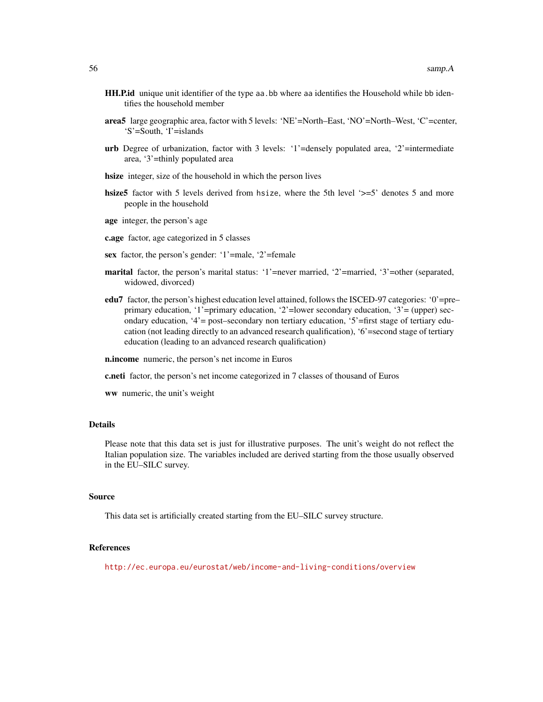- HH.P.id unique unit identifier of the type aa.bb where aa identifies the Household while bb identifies the household member
- area5 large geographic area, factor with 5 levels: 'NE'=North–East, 'NO'=North–West, 'C'=center, 'S'=South, 'I'=islands
- urb Degree of urbanization, factor with 3 levels: '1'=densely populated area, '2'=intermediate area, '3'=thinly populated area
- hsize integer, size of the household in which the person lives
- hsize5 factor with 5 levels derived from hsize, where the 5th level '>=5' denotes 5 and more people in the household
- age integer, the person's age
- c.age factor, age categorized in 5 classes
- sex factor, the person's gender: '1'=male, '2'=female
- marital factor, the person's marital status: '1'=never married, '2'=married, '3'=other (separated, widowed, divorced)
- edu7 factor, the person's highest education level attained, follows the ISCED-97 categories: '0'=pre– primary education, '1'=primary education, '2'=lower secondary education, '3'= (upper) secondary education, '4'= post–secondary non tertiary education, '5'=first stage of tertiary education (not leading directly to an advanced research qualification), '6'=second stage of tertiary education (leading to an advanced research qualification)
- n.income numeric, the person's net income in Euros
- c.neti factor, the person's net income categorized in 7 classes of thousand of Euros
- ww numeric, the unit's weight

### Details

Please note that this data set is just for illustrative purposes. The unit's weight do not reflect the Italian population size. The variables included are derived starting from the those usually observed in the EU–SILC survey.

#### Source

This data set is artificially created starting from the EU–SILC survey structure.

### References

<http://ec.europa.eu/eurostat/web/income-and-living-conditions/overview>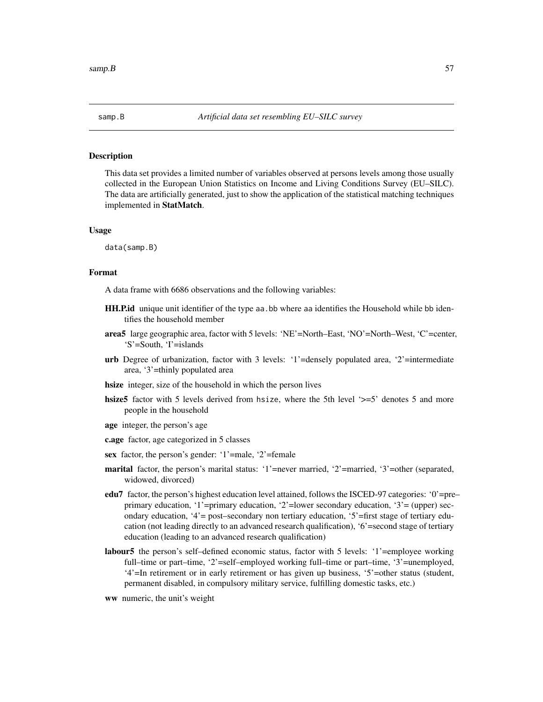<span id="page-56-0"></span>

### Description

This data set provides a limited number of variables observed at persons levels among those usually collected in the European Union Statistics on Income and Living Conditions Survey (EU–SILC). The data are artificially generated, just to show the application of the statistical matching techniques implemented in StatMatch.

#### Usage

data(samp.B)

### Format

A data frame with 6686 observations and the following variables:

- **HH.P.id** unique unit identifier of the type aa. bb where aa identifies the Household while bb identifies the household member
- area5 large geographic area, factor with 5 levels: 'NE'=North–East, 'NO'=North–West, 'C'=center, 'S'=South, 'I'=islands
- urb Degree of urbanization, factor with 3 levels: '1'=densely populated area, '2'=intermediate area, '3'=thinly populated area
- hsize integer, size of the household in which the person lives
- hsize5 factor with 5 levels derived from hsize, where the 5th level '>=5' denotes 5 and more people in the household
- age integer, the person's age
- c.age factor, age categorized in 5 classes
- sex factor, the person's gender: '1'=male, '2'=female
- marital factor, the person's marital status: '1'=never married, '2'=married, '3'=other (separated, widowed, divorced)
- edu7 factor, the person's highest education level attained, follows the ISCED-97 categories: '0'=pre– primary education, '1'=primary education, '2'=lower secondary education, '3'= (upper) secondary education, '4'= post–secondary non tertiary education, '5'=first stage of tertiary education (not leading directly to an advanced research qualification), '6'=second stage of tertiary education (leading to an advanced research qualification)
- labour5 the person's self-defined economic status, factor with 5 levels: '1'=employee working full–time or part–time, '2'=self–employed working full–time or part–time, '3'=unemployed, '4'=In retirement or in early retirement or has given up business, '5'=other status (student, permanent disabled, in compulsory military service, fulfilling domestic tasks, etc.)
- ww numeric, the unit's weight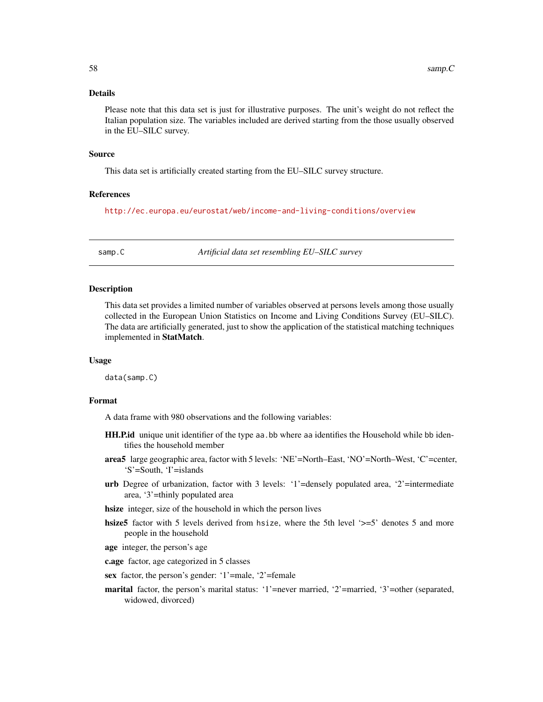### <span id="page-57-0"></span>Details

Please note that this data set is just for illustrative purposes. The unit's weight do not reflect the Italian population size. The variables included are derived starting from the those usually observed in the EU–SILC survey.

### Source

This data set is artificially created starting from the EU–SILC survey structure.

### References

<http://ec.europa.eu/eurostat/web/income-and-living-conditions/overview>

samp.C *Artificial data set resembling EU–SILC survey*

### Description

This data set provides a limited number of variables observed at persons levels among those usually collected in the European Union Statistics on Income and Living Conditions Survey (EU–SILC). The data are artificially generated, just to show the application of the statistical matching techniques implemented in StatMatch.

### Usage

data(samp.C)

### Format

A data frame with 980 observations and the following variables:

- HH.P.id unique unit identifier of the type aa.bb where aa identifies the Household while bb identifies the household member
- area5 large geographic area, factor with 5 levels: 'NE'=North–East, 'NO'=North–West, 'C'=center, 'S'=South, 'I'=islands
- urb Degree of urbanization, factor with 3 levels: '1'=densely populated area, '2'=intermediate area, '3'=thinly populated area
- hsize integer, size of the household in which the person lives
- hsize5 factor with 5 levels derived from hsize, where the 5th level '>=5' denotes 5 and more people in the household
- age integer, the person's age

c.age factor, age categorized in 5 classes

- sex factor, the person's gender: '1'=male, '2'=female
- marital factor, the person's marital status: '1'=never married, '2'=married, '3'=other (separated, widowed, divorced)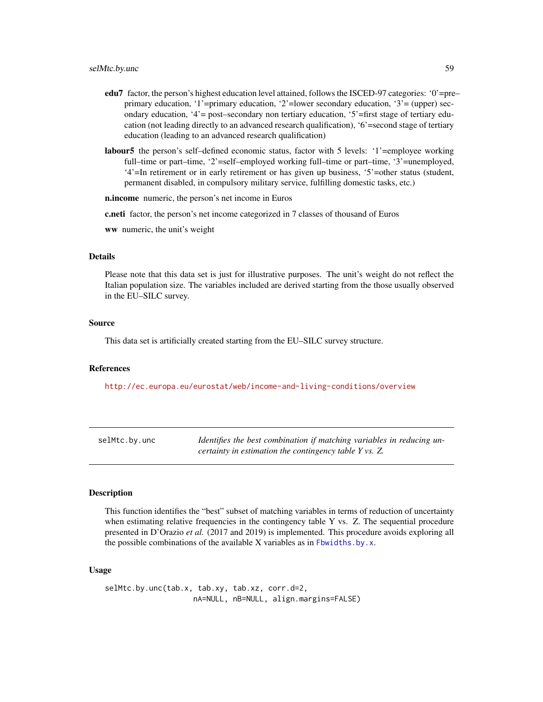- <span id="page-58-0"></span>edu7 factor, the person's highest education level attained, follows the ISCED-97 categories: '0'=pre– primary education, '1'=primary education, '2'=lower secondary education, '3'= (upper) secondary education, '4'= post–secondary non tertiary education, '5'=first stage of tertiary education (not leading directly to an advanced research qualification), '6'=second stage of tertiary education (leading to an advanced research qualification)
- labour5 the person's self–defined economic status, factor with 5 levels: '1'=employee working full–time or part–time, '2'=self–employed working full–time or part–time, '3'=unemployed, '4'=In retirement or in early retirement or has given up business, '5'=other status (student, permanent disabled, in compulsory military service, fulfilling domestic tasks, etc.)

n.income numeric, the person's net income in Euros

c.neti factor, the person's net income categorized in 7 classes of thousand of Euros

ww numeric, the unit's weight

#### Details

Please note that this data set is just for illustrative purposes. The unit's weight do not reflect the Italian population size. The variables included are derived starting from the those usually observed in the EU–SILC survey.

#### Source

This data set is artificially created starting from the EU–SILC survey structure.

#### References

<http://ec.europa.eu/eurostat/web/income-and-living-conditions/overview>

| selMtc.by.unc | Identifies the best combination if matching variables in reducing un- |
|---------------|-----------------------------------------------------------------------|
|               | certainty in estimation the contingency table Y vs. Z.                |

### Description

This function identifies the "best" subset of matching variables in terms of reduction of uncertainty when estimating relative frequencies in the contingency table Y vs. Z. The sequential procedure presented in D'Orazio *et al.* (2017 and 2019) is implemented. This procedure avoids exploring all the possible combinations of the available X variables as in [Fbwidths.by.x](#page-13-1).

### Usage

selMtc.by.unc(tab.x, tab.xy, tab.xz, corr.d=2, nA=NULL, nB=NULL, align.margins=FALSE)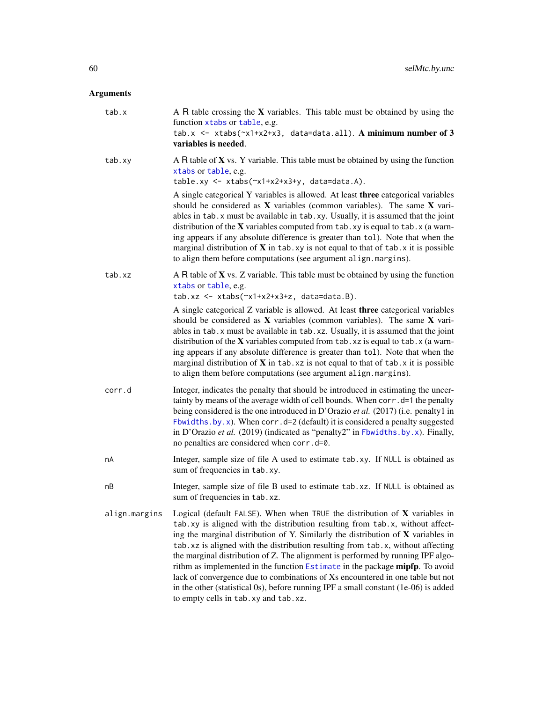### <span id="page-59-0"></span>Arguments

| tab.x         | A R table crossing the $X$ variables. This table must be obtained by using the<br>function xtabs or table, e.g.<br>tab.x <- xtabs( $x1+x2+x3$ , data=data.all). A minimum number of 3<br>variables is needed.                                                                                                                                                                                                                                                                                                                                                                                                                                                                                                                |
|---------------|------------------------------------------------------------------------------------------------------------------------------------------------------------------------------------------------------------------------------------------------------------------------------------------------------------------------------------------------------------------------------------------------------------------------------------------------------------------------------------------------------------------------------------------------------------------------------------------------------------------------------------------------------------------------------------------------------------------------------|
| tab.xy        | A R table of $X$ vs. Y variable. This table must be obtained by using the function<br>xtabs or table, e.g.<br>table.xy <- xtabs(~x1+x2+x3+y, data=data.A).                                                                                                                                                                                                                                                                                                                                                                                                                                                                                                                                                                   |
|               | A single categorical Y variables is allowed. At least three categorical variables<br>should be considered as $X$ variables (common variables). The same $X$ vari-<br>ables in tab. x must be available in tab. xy. Usually, it is assumed that the joint<br>distribution of the $X$ variables computed from tab. xy is equal to tab. x (a warn-<br>ing appears if any absolute difference is greater than tol). Note that when the<br>marginal distribution of $X$ in tab. xy is not equal to that of tab. x it is possible<br>to align them before computations (see argument align.margins).                                                                                                                               |
| tab.xz        | A R table of $X$ vs. Z variable. This table must be obtained by using the function<br>xtabs or table, e.g.<br>$tab.xz \leftarrow xtabs(\sim x1+x2+x3+z, data=data.B).$                                                                                                                                                                                                                                                                                                                                                                                                                                                                                                                                                       |
|               | A single categorical Z variable is allowed. At least three categorical variables<br>should be considered as $X$ variables (common variables). The same $X$ vari-<br>ables in tab. x must be available in tab. xz. Usually, it is assumed that the joint<br>distribution of the $X$ variables computed from tab. xz is equal to tab. x (a warn-<br>ing appears if any absolute difference is greater than tol). Note that when the<br>marginal distribution of $X$ in tab. xz is not equal to that of tab. x it is possible<br>to align them before computations (see argument align.margins).                                                                                                                                |
| corr.d        | Integer, indicates the penalty that should be introduced in estimating the uncer-<br>tainty by means of the average width of cell bounds. When corr. d=1 the penalty<br>being considered is the one introduced in D'Orazio et al. (2017) (i.e. penalty1 in<br>Fbwidths.by.x). When corr.d=2 (default) it is considered a penalty suggested<br>in D'Orazio et al. (2019) (indicated as "penalty2" in Fbwidths.by.x). Finally,<br>no penalties are considered when corr.d=0.                                                                                                                                                                                                                                                   |
| nA            | Integer, sample size of file A used to estimate tab.xy. If NULL is obtained as<br>sum of frequencies in tab.xy.                                                                                                                                                                                                                                                                                                                                                                                                                                                                                                                                                                                                              |
| nВ            | Integer, sample size of file B used to estimate tab.xz. If NULL is obtained as<br>sum of frequencies in tab.xz.                                                                                                                                                                                                                                                                                                                                                                                                                                                                                                                                                                                                              |
| align.margins | Logical (default FALSE). When when TRUE the distribution of $X$ variables in<br>tab.xy is aligned with the distribution resulting from tab.x, without affect-<br>ing the marginal distribution of Y. Similarly the distribution of X variables in<br>tab. xz is aligned with the distribution resulting from tab. x, without affecting<br>the marginal distribution of Z. The alignment is performed by running IPF algo-<br>rithm as implemented in the function Estimate in the package mipfp. To avoid<br>lack of convergence due to combinations of Xs encountered in one table but not<br>in the other (statistical 0s), before running IPF a small constant (1e-06) is added<br>to empty cells in tab. xy and tab. xz. |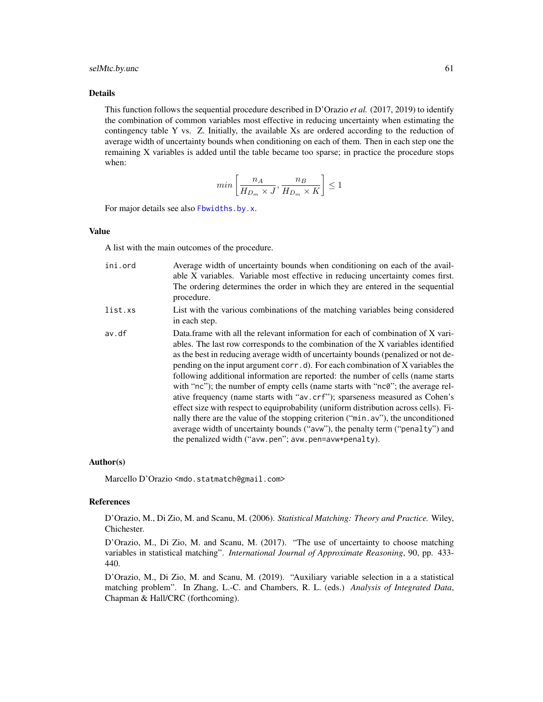#### selMtc.by.unc 61

#### Details

This function follows the sequential procedure described in D'Orazio *et al.* (2017, 2019) to identify the combination of common variables most effective in reducing uncertainty when estimating the contingency table Y vs. Z. Initially, the available Xs are ordered according to the reduction of average width of uncertainty bounds when conditioning on each of them. Then in each step one the remaining X variables is added until the table became too sparse; in practice the procedure stops when:

$$
min\left[\frac{n_A}{H_{D_m} \times J}, \frac{n_B}{H_{D_m} \times K}\right] \le 1
$$

For major details see also [Fbwidths.by.x](#page-13-1).

#### Value

A list with the main outcomes of the procedure.

- ini.ord Average width of uncertainty bounds when conditioning on each of the available X variables. Variable most effective in reducing uncertainty comes first. The ordering determines the order in which they are entered in the sequential procedure.
- list.xs List with the various combinations of the matching variables being considered in each step.
- av.df Data.frame with all the relevant information for each of combination of X variables. The last row corresponds to the combination of the X variables identified as the best in reducing average width of uncertainty bounds (penalized or not depending on the input argument corr.d). For each combination of X variables the following additional information are reported: the number of cells (name starts with "nc"); the number of empty cells (name starts with "nc0"; the average relative frequency (name starts with "av.crf"); sparseness measured as Cohen's effect size with respect to equiprobability (uniform distribution across cells). Finally there are the value of the stopping criterion ("min.av"), the unconditioned average width of uncertainty bounds ("avw"), the penalty term ("penalty") and the penalized width ("avw.pen"; avw.pen=avw+penalty).

#### Author(s)

Marcello D'Orazio <mdo.statmatch@gmail.com>

### References

D'Orazio, M., Di Zio, M. and Scanu, M. (2006). *Statistical Matching: Theory and Practice.* Wiley, Chichester.

D'Orazio, M., Di Zio, M. and Scanu, M. (2017). "The use of uncertainty to choose matching variables in statistical matching". *International Journal of Approximate Reasoning*, 90, pp. 433- 440.

D'Orazio, M., Di Zio, M. and Scanu, M. (2019). "Auxiliary variable selection in a a statistical matching problem". In Zhang, L.-C. and Chambers, R. L. (eds.) *Analysis of Integrated Data*, Chapman & Hall/CRC (forthcoming).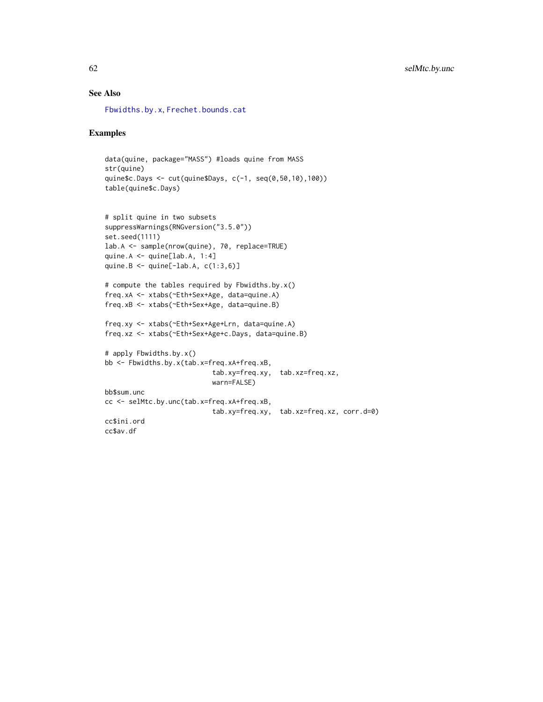### <span id="page-61-0"></span>See Also

[Fbwidths.by.x](#page-13-1), [Frechet.bounds.cat](#page-17-1)

### Examples

```
data(quine, package="MASS") #loads quine from MASS
str(quine)
quine$c.Days <- cut(quine$Days, c(-1, seq(0,50,10),100))
table(quine$c.Days)
```

```
# split quine in two subsets
suppressWarnings(RNGversion("3.5.0"))
set.seed(1111)
lab.A <- sample(nrow(quine), 70, replace=TRUE)
quine.A <- quine[lab.A, 1:4]
quine.B \leq quine[-lab.A, c(1:3,6)]
```

```
# compute the tables required by Fbwidths.by.x()
freq.xA <- xtabs(~Eth+Sex+Age, data=quine.A)
freq.xB <- xtabs(~Eth+Sex+Age, data=quine.B)
```

```
freq.xy <- xtabs(~Eth+Sex+Age+Lrn, data=quine.A)
freq.xz <- xtabs(~Eth+Sex+Age+c.Days, data=quine.B)
```

```
# apply Fbwidths.by.x()
bb <- Fbwidths.by.x(tab.x=freq.xA+freq.xB,
                          tab.xy=freq.xy, tab.xz=freq.xz,
                          warn=FALSE)
bb$sum.unc
cc <- selMtc.by.unc(tab.x=freq.xA+freq.xB,
                          tab.xy=freq.xy, tab.xz=freq.xz, corr.d=0)
cc$ini.ord
cc$av.df
```